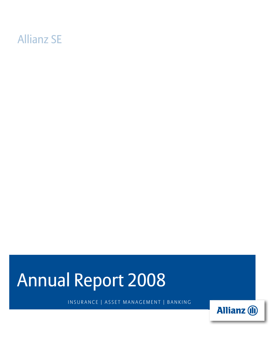

# Annual Report 2008

INSURANCE | ASSET MANAGEMENT | BANKING

**Allianz (II)**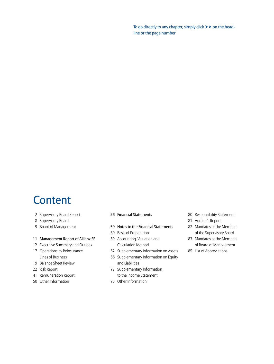To go directly to any chapter, simply click  $\triangleright$  on the headline or the page number

## **Content**

- [2 Supervisory Board Report](#page-3-0)
- [8 Supervisory Board](#page-9-0)
- [9 Board of Management](#page-10-0)

### [11 Management Report of Allianz SE](#page-12-0)

- [12 Executive Summary and Outlook](#page-13-0)
- [17 Operations by Reinsurance](#page-18-0)  Lines of Business
- [19 Balance Sheet Review](#page-20-0)
- [22 Risk Report](#page-23-0)
- [41 Remuneration Report](#page-42-0)
- [50 Other Information](#page-51-0)
- [56 Financial Statements](#page-57-0)
- [59 Notes to the Financial Statements](#page-61-0)
- 59 Basis of Preparation
- 59 Accounting, Valuation and Calculation Method
- [62 Supplementary Information on Assets](#page-64-0)
- [66 Supplementary Information on Equity](#page-68-0)  and Liabilities
- [72 Supplementary Information](#page-74-0)  to the Income Statement
- [75 Other Information](#page-77-0)
- [80 Responsibility Statement](#page-82-0)
- [81 Auditor's Report](#page-83-0)
- [82 Mandates of the Members](#page-84-0) of the Supervisory Board
- [83 Mandates of the Members](#page-85-0)  of Board of Management
- [85 List of Abbreviations](#page-87-0)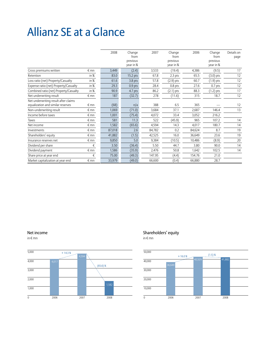## Allianz SE at a Glance

|                                                                           |             | 2008   | Change<br>from<br>previous<br>year in % | 2007   | Change<br>from<br>previous<br>year in % | 2006   | Change<br>from<br>previous<br>year in % | Details on<br>page |
|---------------------------------------------------------------------------|-------------|--------|-----------------------------------------|--------|-----------------------------------------|--------|-----------------------------------------|--------------------|
| Gross premiums written                                                    | $\n  mn\n$  | 3,449  | (2.4)                                   | 3,533  | (19.4)                                  | 4,386  | (9.5)                                   | 17                 |
| Retention                                                                 | in %        | 83.0   | 15.2 pts                                | 67.8   | 2.3 pts                                 | 65.5   | $(3.0)$ pts                             | 12                 |
| Loss ratio (net) Property/Casualty                                        | in %        | 61.6   | 3.8 pts                                 | 57.8   | $(2.9)$ pts                             | 60.7   | $(1.9)$ pts                             | 12                 |
| Expense ratio (net) Property/Casualty                                     | in %        | 29.3   | $0.9$ pts                               | 28.4   | $0.8$ pts                               | 27.6   | 0.7 <sub>pts</sub>                      | 12                 |
| Combined ratio (net) Property/Casualty                                    | in %        | 90.9   | 4.7 pts                                 | 86.2   | $(2.1)$ pts                             | 88.3   | $(1.2)$ pts                             | 17                 |
| Net underwriting result                                                   | $\n  Emn\n$ | 187    | (32.7)                                  | 278    | (11.6)                                  | 315    | 18.7                                    | 12                 |
| Net underwriting result after claims<br>equalization and similar reserves | $\n  Emn\n$ | (68)   | n/a                                     | 388    | 6.5                                     | 365    |                                         | 12                 |
| Non-underwriting result                                                   | $\n  Emn\n$ | 1,069  | (71.0)                                  | 3,684  | 37.1                                    | 2,687  | 146.4                                   | 13                 |
| Income before taxes                                                       | $\notin$ mn | 1,001  | (75.4)                                  | 4,072  | 33.4                                    | 3,052  | 216.2                                   |                    |
| Taxes                                                                     | $\n  Emn\n$ | 581    | 11.3                                    | 522    | (45.9)                                  | 965    | 107.2                                   | 14                 |
| Net income                                                                | € mn        | 1,582  | (65.6)                                  | 4,594  | 14.3                                    | 4,017  | 180.7                                   | 14                 |
| Investments                                                               | $\n  mn\n$  | 87,018 | 2.6                                     | 84,782 | 0.2                                     | 84,624 | 8.7                                     | 19                 |
| Shareholders' equity                                                      | $\notin$ mn | 41,882 | (1.5)                                   | 42,525 | 16.0                                    | 36,649 | 23.6                                    | 19                 |
| Insurance reserves net                                                    | $\notin$ mn | 9,850  | 5.0                                     | 9,384  | (10.5)                                  | 10,486 | (8.9)                                   | 20                 |
| Dividend per share                                                        | €           | 3.50   | (36.4)                                  | 5.50   | 44.7                                    | 3.80   | 90.0                                    | 14                 |
| Dividend payment                                                          | $\n  mn\n$  | 1,586  | (35.9)                                  | 2,476  | 50.8                                    | 1,642  | 102.5                                   | 14                 |
| Share price at year end                                                   | €           | 75.00  | (49.3)                                  | 147.95 | (4.4)                                   | 154.76 | 21.0                                    |                    |
| Market capitalization at year end                                         | €mn         | 33,979 | (49.0)                                  | 66,600 | (0.4)                                   | 66,880 | 28.7                                    |                    |

### Net income

in  $\epsilon$  mn



### Shareholders' equity

 $in \in$ mn

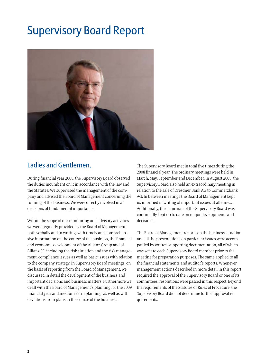## <span id="page-3-0"></span>Supervisory Board Report



## Ladies and Gentlemen,

During financial year 2008, the Supervisory Board observed the duties incumbent on it in accordance with the law and the Statutes. We supervised the management of the company and advised the Board of Management concerning the running of the business. We were directly involved in all decisions of fundamental importance.

Within the scope of our monitoring and advisory activities we were regularly provided by the Board of Management, both verbally and in writing, with timely and comprehensive information on the course of the business, the financial and economic development of the Allianz Group and of Allianz SE, including the risk situation and the risk management, compliance issues as well as basic issues with relation to the company strategy. In Supervisory Board meetings, on the basis of reporting from the Board of Management, we discussed in detail the development of the business and important decisions and business matters. Furthermore we dealt with the Board of Management's planning for the 2009 financial year and medium-term planning, as well as with deviations from plans in the course of the business.

The Supervisory Board met in total five times during the 2008 financial year. The ordinary meetings were held in March, May, September and December. In August 2008, the Supervisory Board also held an extraordinary meeting in relation to the sale of Dresdner Bank AG to Commerzbank AG. In between meetings the Board of Management kept us informed in writing of important issues at all times. Additionally, the chairman of the Supervisory Board was continually kept up to date on major developments and decisions.

The Board of Management reports on the business situation and all the presentations on particular issues were accompanied by written supporting documentation, all of which was sent to each Supervisory Board member prior to the meeting for preparation purposes. The same applied to all the financial statements and auditor's reports. Whenever management actions described in more detail in this report required the approval of the Supervisory Board or one of its committees, resolutions were passed in this respect. Beyond the requirements of the Statutes or Rules of Procedure, the Supervisory Board did not determine further approval requirements.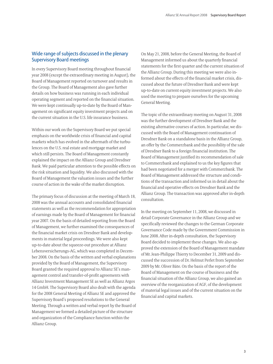### Wide range of subjects discussed in the plenary Supervisory Board meetings

In every Supervisory Board meeting throughout financial year 2008 (except the extraordinary meeting in August), the Board of Management reported on turnover and results in the Group. The Board of Management also gave further details on how business was running in each individual operating segment and reported on the financial situation. We were kept continually up-to-date by the Board of Management on significant equity investment projects and on the current situation in the U.S. life insurance business.

Within our work on the Supervisory Board we put special emphasis on the worldwide crisis of financial and capital markets which has evolved in the aftermath of the turbulences on the U.S. real estate and mortgage market and which still persists. The Board of Management constantly explained the impact on the Allianz Group and Dresdner Bank. We paid particular attention to the possible effects on the risk situation and liquidity. We also discussed with the Board of Management the valuation issues and the further course of action in the wake of the market disruption.

The primary focus of discussion at the meeting of March 18, 2008 was the annual accounts and consolidated financial statements as well as the recommendation for appropriation of earnings made by the Board of Management for financial year 2007. On the basis of detailed reporting from the Board of Management, we further examined the consequences of the financial market crisis on Dresdner Bank and developments in material legal proceedings. We were also kept up-to-date about the squeeze-out procedure at Allianz Lebensversicherungs-AG, which was completed in December 2008. On the basis of the written and verbal explanations provided by the Board of Management, the Supervisory Board granted the required approval to Allianz SE's management control and transfer-of-profit agreements with Allianz Investment Management SE as well as Allianz Argos 14 GmbH. The Supervisory Board also dealt with the agenda for the 2008 General Meeting of Allianz SE and approved the Supervisory Board's proposed resolutions to the General Meeting. Through a written and verbal report by the Board of Management we formed a detailed picture of the structure and organization of the Compliance function within the Allianz Group.

On May 21, 2008, before the General Meeting, the Board of Management informed us about the quarterly financial statements for the first quarter and the current situation of the Allianz Group. During this meeting we were also informed about the effects of the financial market crisis, discussed about the future of Dresdner Bank and were kept up-to-date on current equity investment projects. We also used the meeting to prepare ourselves for the upcoming General Meeting.

The topic of the extraordinary meeting on August 31, 2008 was the further development of Dresdner Bank and the existing alternative courses of action. In particular, we discussed with the Board of Management continuation of Dresdner Bank on a standalone basis in the Allianz Group, an offer by the Commerzbank and the possibility of the sale of Dresdner Bank to a foreign financial institution. The Board of Management justified its recommendation of sale to Commerzbank and explained to us the key figures that had been negotiated for a merger with Commerzbank. The Board of Management addressed the structure and conditions of the transaction and informed us in detail about the financial and operative effects on Dresdner Bank and the Allianz Group. The transaction was approved after in-depth consultation.

In the meeting on September 11, 2008, we discussed in detail Corporate Governance in the Allianz Group and we specifically reviewed the changes to the German Corporate Governance Code made by the Government Commission in June 2008. After in-depth consultation, the Supervisory Board decided to implement these changes. We also approved the extension of the Board of Management mandate of Mr. Jean-Philippe Thierry to December 31, 2009 and discussed the succession of Dr. Helmut Perlet from September 2009 by Mr. Oliver Bäte. On the basis of the report of the Board of Management on the course of business and the financial situation of the Allianz Group, we also gained an overview of the reorganization of AGF, of the development of material legal issues and of the current situation on the financial and capital markets.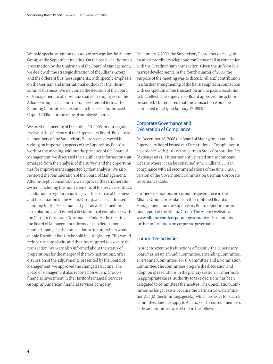We paid special attention to issues of strategy for the Allianz Group at the September meeting. On the basis of a thorough presentation by the Chairman of the Board of Management, we dealt with the strategic direction of the Allianz Group and the different business segments, with specific emphasis on the German and international outlook for the life insurance business. We welcomed the decision of the Board of Management to offer Allianz shares to employees of the Allianz Group in 24 countries on preferential terms. The Standing Committee consented to the use of Authorized Capital 2006/II for the issue of employee shares.

We used the meeting of December 10, 2008 for our regular review of the efficiency of the Supervisory Board. Previously, all members of the Supervisory Board were surveyed in writing on important aspects of the Supervisory Board's work. At the meeting, without the presence of the Board of Management, we discussed the significant information that emerged from the analysis of the survey, and the opportunities for improvement suggested by that analysis. We also reviewed the remuneration of the Board of Management. After in-depth consultation, we approved the remuneration system, including the main elements of the service contract. In addition to regular reporting over the course of business and the situation of the Allianz Group, we also addressed planning for the 2009 financial year as well as mediumterm planning, and issued a declaration of compliance with the German Corporate Governance Code. At the meeting, the Board of Management informed us in detail about a planned change in the transaction structure, which would enable Dresdner Bank to be sold in a single step. This would reduce the complexity and the time required to execute the transaction. We were also informed about the status of preparations for the merger of the two institutions. After discussion of the adjustments presented by the Board of Management, we approved the changed structure. The Board of Management also reported on Allianz Group's financial investment in the Hartford Financial Services Group, an American financial services company.

On January 6, 2009, the Supervisory Board met once again for an extraordinary telephone conference call in connection with the Dresdner Bank transaction. Given the unfavorable market developments in the fourth quarter of 2008, the purpose of the meeting was to discuss Allianz' contribution in a further strengthening of the bank's capital in connection with completion of the transaction and to pass a resolution to that effect. The Supervisory Board approved the actions presented. This ensured that the transaction would be completed quickly on January 12, 2009.

### Corporate Governance and Declaration of Compliance

On December 18, 2008 the Board of Management and the Supervisory Board issued our Declaration of Compliance in accordance with § 161 of the German Stock Corporation Act (Aktiengesetz). It is permanently posted on the company website where it can be consulted at will. Allianz SE is in compliance with all recommendations of the June 6, 2008 version of the Government Commission German Corporate Governance Code.

Further explanations on corporate governance in the Allianz Group are available in the combined Board of Management and the Supervisory Board report in the annual report of the Allianz Group. The Allianz website at www.allianz.com/corporate-governance also contains further information on corporate governance.

### Committee activities

In order to exercise its functions efficiently, the Supervisory Board has set up an Audit Committee, a Standing Committee, a Personnel Committee, a Risk Committee and a Nomination Committee. The committees prepare the discussion and adoption of resolutions in the plenary session. Furthermore, in appropriate cases, authority to take decisions has been delegated to committees themselves. The Conciliation Committee no longer exists because the German Co-Determination Act (Mitbestimmungsgesetz), which provides for such a committee, does not apply to Allianz SE. The current members of these committees are set out in the following list.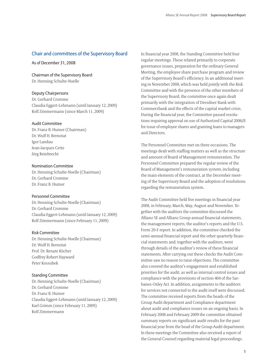### Chair and committees of the Supervisory Board

As of December 31, 2008

Chairman of the Supervisory Board Dr. Henning Schulte-Noelle

### Deputy Chairpersons

Dr. Gerhard Cromme Claudia Eggert-Lehmann (until January 12, 2009) Rolf Zimmermann (since March 11, 2009)

### Audit Committee

Dr. Franz B. Humer (Chairman) Dr. Wulf H. Bernotat Igor Landau Jean-Jacques Cette Jörg Reinbrecht

### Nomination Committee

Dr. Henning Schulte-Noelle (Chairman) Dr. Gerhard Cromme Dr. Franz B. Humer

### Personnel Committee

Dr. Henning Schulte-Noelle (Chairman) Dr. Gerhard Cromme Claudia Eggert-Lehmann (until January 12, 2009) Rolf Zimmermann (since February 11, 2009)

### Risk Committee

Dr. Henning Schulte-Noelle (Chairman) Dr. Wulf H. Bernotat Prof. Dr. Renate Köcher Godfrey Robert Hayward Peter Kossubek

### Standing Committee

Dr. Henning Schulte-Noelle (Chairman) Dr. Gerhard Cromme Dr. Franz B. Humer Claudia Eggert-Lehmann (until January 12, 2009) Karl Grimm (since February 11, 2009) Rolf Zimmermann

In financial year 2008, the Standing Committee held four regular meetings. These related primarily to corporate governance issues, preparation for the ordinary General Meeting, the employee share purchase program and review of the Supervisory Board's efficiency. In an additional meeting in November 2008, which was held jointly with the Risk Committee and with the presence of the other members of the Supervisory Board, the committee once again dealt primarily with the integration of Dresdner Bank with Commerzbank and the effects of the capital market crisis. During the financial year, the Committee passed resolutions requiring approval on use of Authorized Capital 2006/II for issue of employee shares and granting loans to managers and Directors.

The Personnel Committee met on three occasions. The meetings dealt with staffing matters as well as the structure and amount of Board of Management remuneration. The Personnel Committee prepared the regular review of the Board of Management's remuneration system, including the main elements of the contract, at the December meeting of the Supervisory Board and the adoption of resolutions regarding the remuneration system.

The Audit Committee held five meetings in financial year 2008, in February, March, May, August and November. Together with the auditors the committee discussed the Allianz SE and Allianz Group annual financial statements, the management reports, the auditor's reports and the U.S. Form 20-F report. In addition, the committee checked the semi-annual financial report and the other quarterly financial statements and, together with the auditors, went through details of the auditor's review of these financial statements. After carrying out these checks the Audit Committee saw no reason to raise objections. The committee also covered the auditor's engagement and established priorities for the audit, as well as internal control issues and compliance with the provisions of section 404 of the Sarbanes-Oxley Act. In addition, assignments to the auditors for services not connected to the audit itself were discussed. The committee received reports from the heads of the Group Audit department and Compliance department about audit and compliance issues on an ongoing basis. In February 2008 and February 2009 the committee obtained summary reports on significant audit results for the past financial year from the head of the Group Audit department. In these meetings the Committee also received a report of the General Counsel regarding material legal proceedings.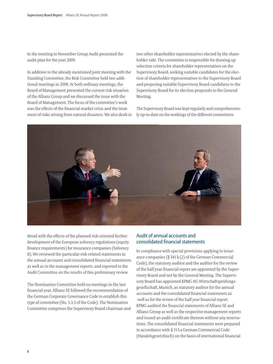In the meeting in November Group Audit presented the audit plan for the year 2009.

In addition to the already mentioned joint meeting with the Standing Committee, the Risk Committee held two additional meetings in 2008. At both ordinary meetings, the Board of Management presented the current risk situation of the Allianz Group and we discussed the issue with the Board of Management. The focus of the committee's work was the effects of the financial market crisis and the treatment of risks arising from natural disasters. We also dealt in two other shareholder representatives elected by the shareholder side. The committee is responsible for drawing up selection criteria for shareholder representatives on the Supervisory Board, seeking suitable candidates for the election of shareholder representatives to the Supervisory Board and proposing suitable Supervisory Board candidates to the Supervisory Board for its election proposals to the General Meeting.

The Supervisory Board was kept regularly and comprehensively up-to-date on the workings of the different committees.



detail with the effects of the planned risk-oriented further development of the European solvency regulations (equity finance requirements) for insurance companies (Solvency II). We reviewed the particular risk-related statements in the annual accounts and consolidated financial statements as well as in the management reports, and reported to the Audit Committee on the results of this preliminary review.

The Nomination Committee held no meetings in the last financial year. Allianz SE followed the recommendation of the German Corporate Governance Code to establish this type of committee (No. 5.3.3 of the Code). The Nomination Committee comprises the Supervisory Board chairman and

### Audit of annual accounts and consolidated financial statements

In compliance with special provisions applying to insurance companies ( $\S 341 k(2)$  of the German Commercial Code), the statutory auditor and the auditor for the review of the half year financial report are appointed by the Supervisory Board and not by the General Meeting. The Supervisory Board has appointed KPMG AG Wirtschaftsprüfungsgesellschaft, Munich, as statutory auditor for the annual accounts and the consolidated financial statements as well as for the review of the half year financial report. KPMG audited the financial statements of Allianz SE and Allianz Group as well as the respective management reports and issued an audit certificate thereon without any reservations. The consolidated financial statements were prepared in accordance with § 315 a German Commercial Code (Handelsgesetzbuch) on the basis of international financial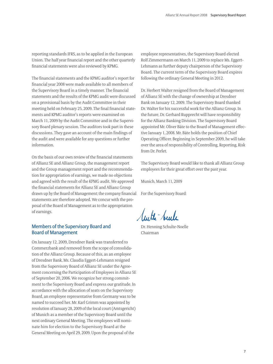reporting standards IFRS, as to be applied in the European Union. The half year financial report and the other quarterly financial statements were also reviewed by KPMG.

The financial statements and the KPMG auditor's report for financial year 2008 were made available to all members of the Supervisory Board in a timely manner. The financial statements and the results of the KPMG audit were discussed on a provisional basis by the Audit Committee in their meeting held on February 25, 2009. The final financial statements and KPMG auditor's reports were examined on March 11, 2009 by the Audit Committee and in the Supervisory Board plenary session. The auditors took part in these discussions. They gave an account of the main findings of the audit and were available for any questions or further information.

On the basis of our own review of the financial statements of Allianz SE and Allianz Group, the management report and the Group management report and the recommendation for appropriation of earnings, we made no objections and agreed with the result of the KPMG audit. We approved the financial statements for Allianz SE and Allianz Group drawn up by the Board of Management; the company financial statements are therefore adopted. We concur with the proposal of the Board of Management as to the appropriation of earnings.

### Members of the Supervisory Board and Board of Management

On January 12, 2009, Dresdner Bank was transferred to Commerzbank and removed from the scope of consolidation of the Allianz Group. Because of this, as an employee of Dresdner Bank, Ms. Claudia Eggert-Lehmann resigned from the Supervisory Board of Allianz SE under the Agreement concerning the Participation of Employees in Allianz SE of September 20, 2006. We recognize her strong commitment to the Supervisory Board and express our gratitude. In accordance with the allocation of seats on the Supervisory Board, an employee representative from Germany was to be named to succeed her. Mr. Karl Grimm was appointed by resolution of January 28, 2009 of the local court (Amtsgericht) of Munich as a member of the Supervisory Board until the next ordinary General Meeting. The employees will nominate him for election to the Supervisory Board at the General Meeting on April 29, 2009. Upon the proposal of the

employee representatives, the Supervisory Board elected Rolf Zimmermann on March 11, 2009 to replace Ms. Eggert-Lehmann as further deputy chairperson of the Supervisory Board. The current term of the Supervisory Board expires following the ordinary General Meeting in 2012.

Dr. Herbert Walter resigned from the Board of Management of Allianz SE with the change of ownership at Dresdner Bank on January 12, 2009. The Supervisory Board thanked Dr. Walter for his successful work for the Allianz Group. In the future, Dr. Gerhard Rupprecht will have responsibility for the Allianz Banking Division. The Supervisory Board appointed Mr. Oliver Bäte to the Board of Management effective January 1, 2008. Mr. Bäte holds the position of Chief Operating Officer. Beginning in September 2009, he will take over the area of responsibility of Controlling, Reporting, Risk from Dr. Perlet.

The Supervisory Board would like to thank all Allianz Group employees for their great effort over the past year.

Munich, March 11, 2009

For the Supervisory Board:

with beach

Dr. Henning Schulte-Noelle Chairman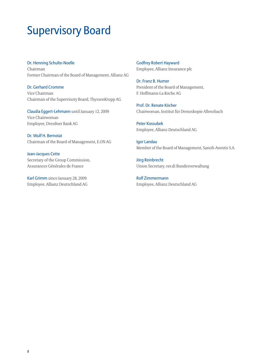## <span id="page-9-0"></span>Supervisory Board

### Dr. Henning Schulte-Noelle

Chairman Former Chairman of the Board of Management, Allianz AG

### Dr. Gerhard Cromme

Vice Chairman Chairman of the Supervisory Board, ThyssenKrupp AG

Claudia Eggert-Lehmann until January 12, 2009 Vice Chairwoman Employee, Dresdner Bank AG

Dr. Wulf H. Bernotat Chairman of the Board of Management, E.ON AG

Jean-Jacques Cette Secretary of the Group Commission, Assurances Générales de France

Karl Grimm since January 28, 2009 Employee, Allianz Deutschland AG Godfrey Robert Hayward Employee, Allianz Insurance plc

Dr. Franz B. Humer President of the Board of Management, F. Hoffmann-La Roche AG

Prof. Dr. Renate Köcher Chairwoman, Institut für Demoskopie Allensbach

Peter Kossubek Employee, Allianz Deutschland AG

Igor Landau Member of the Board of Management, Sanofi-Aventis S.A.

Jörg Reinbrecht Union Secretary, ver.di Bundesverwaltung

Rolf Zimmermann Employee, Allianz Deutschland AG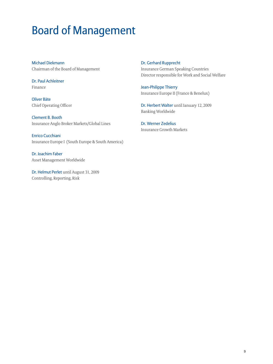## <span id="page-10-0"></span>Board of Management

Michael Diekmann Chairman of the Board of Management

Dr. Paul Achleitner Finance

Oliver Bäte Chief Operating Officer

Clement B. Booth Insurance Anglo Broker Markets/Global Lines

Enrico Cucchiani Insurance Europe I (South Europe & South America)

Dr. Joachim Faber Asset Management Worldwide

Dr. Helmut Perlet until August 31, 2009 Controlling, Reporting, Risk

Dr. Gerhard Rupprecht Insurance German Speaking Countries Director responsible for Work and Social Welfare

Jean-Philippe Thierry Insurance Europe II (France & Benelux)

Dr. Herbert Walter until January 12, 2009 Banking Worldwide

Dr. Werner Zedelius Insurance Growth Markets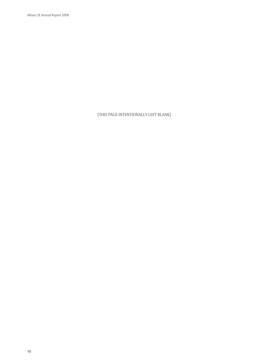[THIS PAGE INTENTIONALLY LEFT BLANK]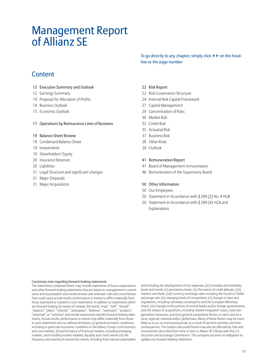## <span id="page-12-0"></span>Management Report of Allianz SE

To go directly to any chapter, simply click  $\triangleright$   $\triangleright$  on the headline or the page number

### **Content**

- [12 Executive Summary and Outlook](#page-13-0)
- 12 Earnings Summary
- [14 Proposal for Allocation of Profits](#page-15-0)
- 14 Business Outlook
- [15 Economic Outlook](#page-16-0)

#### [17 Operations by Reinsurance Lines of Business](#page-18-0)

#### 19 Balance Sheet Review

- [19 Condensed Balance Sheet](#page-20-0)
- 19 Investments
- 19 Shareholders' Equity
- [20 Insurance Reserves](#page-21-0)
- 20 Liabilities
- [21 Legal Structure and significant changes](#page-22-0)
- 21 Major Disposals
- 21 Major Acquisitions

#### 22 Risk Report

- [22 Risk Governance Structure](#page-23-0)
- [24 Internal Risk Capital Framework](#page-25-0)
- [27 Capital Management](#page-28-0)
- [29 Concentration of Risks](#page-30-0)
- [30 Market Risk](#page-31-0)
- [32 Credit Risk](#page-33-0)
- [35 Actuarial Risk](#page-36-0)
- [37 Business Risk](#page-38-0)
- [38 Other Risks](#page-39-0)
- [39 Outlook](#page-40-0)

#### 41 Remuneration Report

- [41 Board of Management remuneration](#page-42-0)
- [46 Remuneration of the Supervisory Board](#page-47-0)

#### 50 Other Information

- 50 Our Employees
- [50 Statement in Accordance with § 289 \(2\) No. 4 HGB](#page-51-0)
- 50 Statement in Accordance with § 289 (4) HGB and Explanations

#### Cautionary note regarding forward-looking statements

The statements contained herein may include statements of future expectations and other forward-looking statements that are based on management's current views and assumptions and involve known and unknown risks and uncertainties that could cause actual results, performance or events to differ materially from those expressed or implied in such statements. In addition to statements which are forward-looking by reason of context, the words "may", "will", "should", "expects", "plans", "intends", "anticipates", "believes", "estimates", "predicts", "potential", or "continue" and similar expressions identify forward-looking statements. Actual results, performance or events may differ materially from those in such statements due to, without limitation, (i) general economic conditions, including in particular economic conditions in the Allianz Group's core business and core markets, (ii) performance of financial markets, including emerging markets, and including market volatility, liquidity and credit events (iii) the frequency and severity of insured loss events, including from natural catastrophes

and including the development of loss expenses, (iv) mortality and morbidity levels and trends, (v) persistency levels, (vi) the extent of credit defaults, (vii) interest rate levels, (viii) currency exchange rates including the Euro/U.S. Dollar exchange rate, (ix) changing levels of competition, (x) changes in laws and regulations, including monetary convergence and the European Monetary Union, (xi) changes in the policies of central banks and/or foreign governments, (xii) the impact of acquisitions, including related integration issues, (xiii) reorganization measures, and (xiv) general competitive factors, in each case on a local, regional, national and/or global basis. Many of these factors may be more likely to occur, or more pronounced, as a result of terrorist activities and their consequences. The matters discussed herein may also be affected by risks and uncertainties described from time to time in Allianz SE's filings with the U.S. Securities and Exchange Commission. The company assumes no obligation to update any forward-looking statement.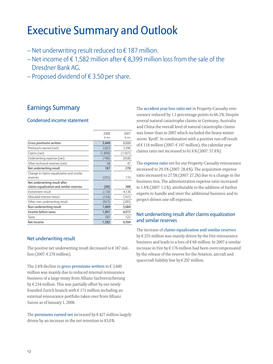## <span id="page-13-0"></span>Executive Summary and Outlook

- Net underwriting result reduced to  $\in$  187 million.
- Net income of  $\in$  1,582 million after  $\in$  8,399 million loss from the sale of the Dresdner Bank AG.
- $-$  Proposed dividend of  $\in$  3.50 per share.

## Earnings Summary

### Condensed income statement

|                                                                           | 2008<br>€ mn | 2007<br>€ mn |
|---------------------------------------------------------------------------|--------------|--------------|
| Gross premiums written                                                    | 3,449        | 3,533        |
| Premiums earned (net)                                                     | 2,823        | 2,396        |
| Claims (net)                                                              | (1,898)      | (1, 507)     |
| Underwriting expense (net)                                                | (796)        | (658)        |
| Other technical reserves (net)                                            | 58           | 47           |
| Net underwriting result                                                   | 187          | 278          |
| Change in claims equalization and similar<br>reserves                     | (255)        | 110          |
| Net underwriting result after<br>claims equalization and similar reserves | (68)         | 388          |
| Investment result                                                         | 2,130        | 4,136        |
| Allocated interest return                                                 | (134)        | (167)        |
| Other non-underwriting result                                             | (927)        | (285)        |
| Non-underwriting result                                                   | 1,069        | 3,684        |
| Income before taxes                                                       | 1,001        | 4,072        |
| Taxes                                                                     | 581          | 522          |
| Net income                                                                | 1,582        | 4,594        |

### Net underwriting result

The positive net underwriting result decreased to  $\rm \epsilon$  187 million (2007: € 278 million).

The 2.4% decline in gross premiums written to  $\in$  3,449 million was mainly due to reduced internal reinsurance business of a large treaty from Allianz Sachversicherung by  $\epsilon$  234 million. This was partially offset by our newly founded Zurich branch with  $\in$  171 million including an external reinsurance portfolio taken over from Allianz Suisse as of January 1, 2008.

The  $\bold{preminus\,}$  carned net increased by  $\in$  427 million largely driven by an increase in the net retention to 83.0 %.

The accident year loss ratio net in Property-Casualty reinsurance reduced by 1.1 percentage points to 66.3 %. Despite several natural catastrophe claims in Germany, Australia and China the overall level of natural catastrophe claims was lower than in 2007 which included the heavy winter storm 'Kyrill'. In combination with a positive run-off result of € 118 million (2007: € 197 million), the calendar year claims ratio net increased to 61.6 % (2007: 57.8 %).

The expense ratio net for our Property-Casualty reinsurance increased to 29.3 % (2007: 28.4 %). The acquisition expense ratio increased to 27.5% (2007: 27.2%) due to a change in the business mix. The administration expense ratio increased to 1.8 % (2007: 1.2 %), attributable to the addition of further experts to handle and steer the additional business and to project-driven one-off expenses.

### Net underwriting result after claims equalization and similar reserves

The increase of claims equalization and similar reserves by  $\rm \epsilon$  255 million was mainly driven by the Fire reinsurance business and leads to a loss of  $\epsilon$  68 million. In 2007 a similar increase in Fire by  $\epsilon$  176 million had been overcompensated by the release of the reserve for the Aviation, aircraft and spacecraft liability line by  $\in$  297 million.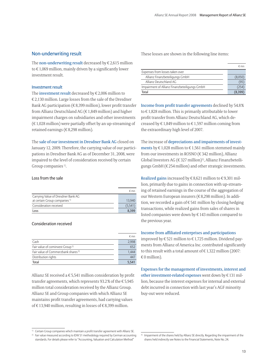### <span id="page-14-0"></span>Non-underwriting result

The  $\mathop{\mathsf{non-} \text{underwriting}}$  result decreased by  $\in$  2,615 million to  $\rm \epsilon$  1,069 million, mainly driven by a significantly lower investment result.

### Investment result

The investment result decreased by  $\in$  2,006 million to  $\rm \epsilon$  2,130 million. Large losses from the sale of the Dresdner Bank AG participation (€ 8,399 million), lower profit transfer from Allianz Deutschland AG (€ 1,849 million) and higher impairment charges on subsidiaries and other investments  $(\in$  1,028 million) were partially offset by an up-streaming of retained earnings ( $\in$  8,298 million).

The sale of our investment in Dresdner Bank AG closed on January 12, 2009. Therefore, the carrying value of our participations in Dresdner Bank AG as of December 31, 2008, were impaired to the level of consideration received by certain Group companies<sup>1)</sup>.

### Loss from the sale

|                                          | € mn    |
|------------------------------------------|---------|
| Carrying Value of Dresdner Bank AG       |         |
| at certain Group companies <sup>1)</sup> | 13.940  |
| Consideration received                   | (5,541) |
| Loss                                     | 8.399   |

### Consideration received

|                                                | € mn  |
|------------------------------------------------|-------|
| Cash                                           | 2.998 |
| Fair value of cominvest Group <sup>2)</sup>    | 652   |
| Fair value of Commerzbank shares <sup>2)</sup> | 1444  |
| Distribution rights                            | 447   |
| <b>Total</b>                                   | 5.541 |

Allianz SE received a  $\in$  5,541 million consideration by profit transfer agreements, which represents 93.2% of the  $\epsilon$  5,945 million total consideration received by the Allianz Group. Allianz SE and Group companies with which Allianz SE maintains profit transfer agreements, had carrying values of  $\in$  13,940 million, resulting in losses of  $\in$  8,399 million.

These losses are shown in the following line items:

| Expenses from losses taken over               |         |
|-----------------------------------------------|---------|
| Allianz Finanzbeteiligungs GmbH               | (8,050) |
| Allianz Deutschland AG                        | (95     |
| Impairment of Allianz Finanzbeteiligungs GmbH | 254     |
| Total                                         | 8.399   |

Income from profit transfer agreements declined by 54.8 % to  $\epsilon$  1,828 million. This is primarily attributable to lower profit transfer from Allianz Deutschland AG, which decreased by  $\epsilon$  1,849 million to  $\epsilon$  1,597 million coming from the extraordinary high level of 2007.

The increase of depreciations and impairments of investments by  $\epsilon$  1,028 million to  $\epsilon$  1,561 million stemmed mainly from our investments in ROSNO ( $\epsilon$  342 million), Allianz Global Investors AG ( $\epsilon$  327 million)<sup>3)</sup>, Allianz Finanzbeteiligungs GmbH ( $\rm \in$  254 million) and other strategic investments.

Realized gains increased by  $\epsilon$  8,621 million to  $\epsilon$  9,301 million, primarily due to gains in connection with up-streaming of retained earnings in the course of the aggregation of our Western European insurers ( $\epsilon$  8,298 million). In addition, we recorded a gain of  $\epsilon$  541 million by closing hedging transactions, while realized gains from sales of shares in listed companies were down by  $\epsilon$  143 million compared to the previous year.

### Income from affiliated enterprises and participations

improved by  $\epsilon$  521 million to  $\epsilon$  1,725 million. Dividend payments from Allianz of America Inc. contributed significantly to this result with a total amount of  $\epsilon$  1,322 million (2007:  $\mathop{\mathrm{\epsilon}}$  0 million).

Expenses for the management of investments, interest and other investment-related expenses went down by  $\epsilon$  131 million, because the interest expenses for internal and external debt incurred in connection with last year's AGF minority buy-out were reduced.

<sup>&</sup>lt;sup>1)</sup> Certain Group companies which maintain a profit transfer agreement with Allianz SE.

<sup>&</sup>lt;sup>2)</sup> Fair value measured according to IDW S1 methodology required by German accounting standards. For details please refer to "Accounting, Valuation and Calculation Method"

<sup>&</sup>lt;sup>3)</sup> Impairment of the shares held by Allianz SE directly. Regarding the impairment of the shares held indirectly see Notes to the Financial Statements, Note No. 24.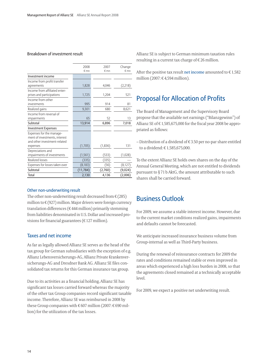### <span id="page-15-0"></span>Breakdown of investment result

|                                                                                                       | 2008<br>€ mn | 2007<br>€ mn | Change<br>€ mn |
|-------------------------------------------------------------------------------------------------------|--------------|--------------|----------------|
| Investment income                                                                                     |              |              |                |
| Income from profit transfer<br>agreements                                                             | 1,828        | 4,046        | (2,218)        |
| Income from affiliated enter-<br>prises and participations                                            | 1,725        | 1,204        | 521            |
| Income from other<br>investments                                                                      | 995          | 914          | 81             |
| Realized gains                                                                                        | 9,301        | 680          | 8,621          |
| Income from reversal of<br>impairments                                                                | 65           | 52           | 13             |
| Subtotal                                                                                              | 13,914       | 6,896        | 7,018          |
| <b>Investment Expenses</b>                                                                            |              |              |                |
| Expenses for the manage-<br>ment of investments, interest<br>and other investment-related<br>expenses | (1,705)      | (1,836)      | 131            |
| Depreciations and                                                                                     |              |              |                |
| impairments of investments                                                                            | (1, 561)     | (533)        | (1,028)        |
| Realized losses                                                                                       | (335)        | (335)        |                |
| Expenses for losses taken over                                                                        | (8, 183)     | (56)         | (8, 127)       |
| Subtotal                                                                                              | (11, 784)    | (2,760)      | (9,024)        |
| Total                                                                                                 | 2,130        | 4,136        | (2,006)        |

#### Other non-underwriting result

The other non-underwriting result decreased from  $\epsilon$  (285) million to  $\in$  (927) million. Major drivers were foreign currency translation differences ( $\rm \epsilon$  444 million) primarily stemming from liabilities denominated in U.S. Dollar and increased provisions for financial guarantees (€ 127 million).

### Taxes and net income

As far as legally allowed Allianz SE serves as the head of the tax group for German subsidiaries with the exception of e.g. Allianz Lebensversicherungs-AG, Allianz Private Krankenversicherungs-AG and Dresdner Bank AG. Allianz SE files consolidated tax returns for this German insurance tax group.

Due to its activities as a financial holding, Allianz SE has significant tax losses carried forward whereas the majority of the other tax Group companies record significant taxable income. Therefore, Allianz SE was reimbursed in 2008 by these Group companies with  $\rm \epsilon$  607 million (2007:  $\rm \epsilon$  690 million) for the utilization of the tax losses.

Allianz SE is subject to German minimum taxation rules resulting in a current tax charge of  $\epsilon$  26 million.

After the positive tax result net income amounted to  $\in$  1,582 million (2007: € 4,594 million).

## Proposal for Allocation of Profits

The Board of Management and the Supervisory Board propose that the available net earnings ("Bilanzgewinn") of Allianz SE of  $\in$  1,585,675,000 for the fiscal year 2008 be appropriated as follows:

– Distribution of a dividend of  $\in$  3.50 per no-par share entitled to a dividend: € 1,585,675,000.

To the extent Allianz SE holds own shares on the day of the Annual General Meeting, which are not entitled to dividends pursuant to § 71 b AktG, the amount attributable to such shares shall be carried forward.

### Business Outlook

For 2009, we assume a stable interest income. However, due to the current market conditions realized gains, impairments and defaults cannot be forecasted.

We anticipate increased insurance business volume from Group-internal as well as Third-Party business.

During the renewal of reinsurance contracts for 2009 the rates and conditions remained stable or even improved in areas which experienced a high loss burden in 2008, so that the agreements closed remained at a technically acceptable level.

For 2009, we expect a positive net underwriting result.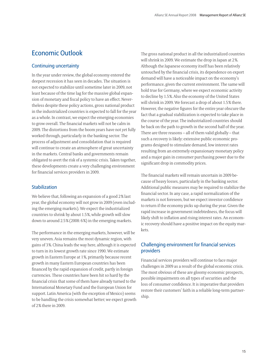## <span id="page-16-0"></span>Economic Outlook

### Continuing uncertainty

In the year under review, the global economy entered the deepest recession it has seen in decades. The situation is not expected to stabilize until sometime later in 2009, not least because of the time lag for the massive global expansion of monetary and fiscal policy to have an effect. Nevertheless despite these policy actions, gross national product in the industrialized countries is expected to fall for the year as a whole. In contrast, we expect the emerging economies to grow overall. The financial markets will not be calm in 2009. The distortions from the boom years have not yet fully worked through, particularly in the banking sector. The process of adjustment and consolidation that is required will continue to create an atmosphere of great uncertainty in the markets. Central banks and governments remain obligated to avert the risk of a systemic crisis. Taken together, these developments create a very challenging environment for financial services providers in 2009.

### Stabilization

We believe that, following an expansion of a good 2% last year, the global economy will not grow in 2009 (even including the emerging markets). We expect the industrialized countries to shrink by about 1.5 %, while growth will slow down to around 2.5 % (2008: 6 %) in the emerging markets.

The performance in the emerging markets, however, will be very uneven. Asia remains the most dynamic region, with gains of 3 %. China leads the way here, although it is expected to turn in its lowest growth rate since 1990. We estimate growth in Eastern Europe at 1 %, primarily because recent growth in many Eastern European countries has been financed by the rapid expansion of credit, partly in foreign currencies. These countries have been hit so hard by the financial crisis that some of them have already turned to the International Monetary Fund and the European Union for support. Latin America (with the exception of Mexico) seems to be handling the crisis somewhat better; we expect growth of 2 % there in 2009.

The gross national product in all the industrialized countries will shrink in 2009. We estimate the drop in Japan at 2 %. Although the Japanese economy itself has been relatively untouched by the financial crisis, its dependence on export demand will have a noticeable impact on the economy's performance, given the current environment. The same will hold true for Germany, where we expect economic activity to decline by 1.5 %. Also the economy of the United States will shrink in 2009. We forecast a drop of about 1.5 % there. However, the negative figures for the entire year obscure the fact that a gradual stabilization is expected to take place in the course of the year. The industrialized countries should be back on the path to growth in the second half of the year. There are three reasons – all of them valid globally – that such a recovery is likely: extensive public economic programs designed to stimulate demand, low interest rates resulting from an extremely expansionary monetary policy and a major gain in consumer purchasing power due to the significant drop in commodity prices.

The financial markets will remain uncertain in 2009 because of heavy losses, particularly in the banking sector. Additional public measures may be required to stabilize the financial sector. In any case, a rapid normalization of the markets is not foreseen, but we expect investor confidence to return if the economy picks up during the year. Given the rapid increase in government indebtedness, the focus will likely shift to inflation and rising interest rates. An economic recovery should have a positive impact on the equity markets.

### Challenging environment for financial services providers

Financial services providers will continue to face major challenges in 2009 as a result of the global economic crisis. The most obvious of these are gloomy economic prospects, possible impairments on all types of securities and the loss of consumer confidence. It is imperative that providers restore their customers' faith in a reliable long-term partnership.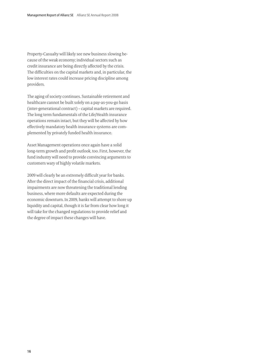Property-Casualty will likely see new business slowing because of the weak economy; individual sectors such as credit insurance are being directly affected by the crisis. The difficulties on the capital markets and, in particular, the low interest rates could increase pricing discipline among providers.

The aging of society continues. Sustainable retirement and healthcare cannot be built solely on a pay-as-you-go basis (inter-generational contract) – capital markets are required. The long term fundamentals of the Life/Health insurance operations remain intact, but they will be affected by how effectively mandatory health insurance systems are complemented by privately funded health insurance.

Asset Management operations once again have a solid long-term growth and profit outlook, too. First, however, the fund industry will need to provide convincing arguments to customers wary of highly volatile markets.

2009 will clearly be an extremely difficult year for banks. After the direct impact of the financial crisis, additional impairments are now threatening the traditional lending business, where more defaults are expected during the economic downturn. In 2009, banks will attempt to shore up liquidity and capital, though it is far from clear how long it will take for the changed regulations to provide relief and the degree of impact these changes will have.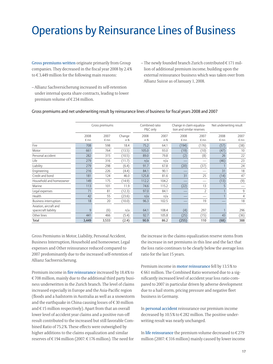## <span id="page-18-0"></span>Operations by Reinsurance Lines of Business

Gross premiums written originate primarily from Group companies. They decreased in the fiscal year 2008 by 2.4 % to  $\rm \epsilon$  3,449 million for the following main reasons:

- Allianz Sachversicherung increased its self-retention under internal quota share contracts, leading to lower premium volume of  $\epsilon$  234 million.
- $-$  The newly founded branch Zurich contributed  $\in$  171 million of additional premium income, building upon the external reinsurance business which was taken over from Allianz Suisse as of January 1, 2008.

|                                                |                | Gross premiums     |                |              | Combined ratio<br>P&C only |              | Change in claim equaliza-<br>tion and similar reserves |              | Net underwriting result |  |
|------------------------------------------------|----------------|--------------------|----------------|--------------|----------------------------|--------------|--------------------------------------------------------|--------------|-------------------------|--|
|                                                | 2008<br>€mn    | 2007<br>$\n  mn\n$ | Change<br>in % | 2008<br>in % | 2007<br>in%                | 2008<br>€ mn | 2007<br>€mn                                            | 2008<br>€ mn | 2007<br>€ mn            |  |
| Fire                                           | 708            | 598                | 18.4           | 75.2         | 64.1                       | (194)        | (176)                                                  | (57)         | (38)                    |  |
| Motor                                          | 661            | 764                | (13.5)         | 105.0        | 93.0                       | (19)         | (10)                                                   | (47)         | 10                      |  |
| Personal accident                              | 282            | 315                | (10.5)         | 89.0         | 79.8                       | (2)          | (8)                                                    | 26           | 22                      |  |
| Life                                           | 279            | 316                | (11.7)         | n/a          | n/a                        |              |                                                        | (46)         | 23                      |  |
| Liability                                      | 279            | 298                | (6.4)          | 91.7         | 67.8                       | (20)         | (37)                                                   |              | 24                      |  |
| Engineering                                    | 216            | 226                | (4.4)          | 84.1         | 90.1                       |              | --                                                     | 31           | 18                      |  |
| Credit and bond                                | 181            | 124                | 46.0           | 125.8        | 81.6                       | 31           | 25                                                     | (14)         | 47                      |  |
| Household and homeowner                        | 149            | 175                | (14.9)         | 112.2        | 104.2                      |              | --                                                     | (13)         | (9)                     |  |
| Marine                                         | 113            | 101                | 11.9           | 74.6         | 115.2                      | (22)         | 13                                                     |              |                         |  |
| Legal expenses                                 | 71             | 81                 | (12.3)         | 97.0         | 84.1                       |              | $\overline{2}$                                         |              | 9                       |  |
| Health                                         | 42             | 55                 | (23.6)         | n/a          | n/a                        |              | _                                                      |              | 4                       |  |
| <b>Business interruption</b>                   | 18             | 20                 | (10.0)         | 96.3         | 102.5                      |              | 19                                                     |              | 18                      |  |
| Aviation, aircraft and<br>spacecraft liability | $\overline{9}$ | (6)                | n/a            | 64.1         | 108.4                      | (4)          | 297                                                    |              | 296                     |  |
| Other lines                                    | 441            | 466                | (5.4)          | 92.7         | 105.8                      | (25)         | (15)                                                   | 43           | (36)                    |  |
| <b>Total</b>                                   | 3,449          | 3,533              | (2.4)          | 90.9         | 86.2                       | (255)        | 110                                                    | (68)         | 388                     |  |

### Gross premiums and net underwriting result by reinsurance lines of business for fiscal years 2008 and 2007

Gross Premiums in Motor, Liability, Personal Accident, Business Interruption, Household and homeowner, Legal expenses and Other reinsurance reduced compared to 2007 predominantly due to the increased self-retention of Allianz Sachversicherung.

Premium income in fire reinsurance increased by 18.4% to  $\epsilon$  708 million, mainly due to the additional third party business underwritten in the Zurich branch. The level of claims increased especially in Europe and the Asia-Pacific region (floods and a hailstorm in Australia as well as a snowstorm and the earthquake in China causing losses of  $\epsilon$  30 million and  $\epsilon$  15 million respectively). Apart from that an overall lower level of accident year claims and a positive run-off result contributed to the increased but still favorable Combined Ratio of 75.2 %. These effects were outweighed by higher additions to the claims equalization and similar reserves of € 194 million (2007: € 176 million). The need for

the increase in the claims equalization reserve stems from the increase in net premiums in this line and the fact that the loss ratio continues to be clearly below the average loss ratio for the last 15 years.

Premium income in motor reinsurance fell by 13.5 % to  $\rm \epsilon$  661 million. The Combined Ratio worsened due to a significantly increased level of accident year loss ratio compared to 2007 in particular driven by adverse development due to a hail storm, pricing pressure and negative fleet business in Germany.

In personal accident reinsurance our premium income decreased by 10.5% to  $\epsilon$  282 million. The positive underwriting result was nearly unchanged.

In life reinsurance the premium volume decreased to  $\epsilon$  279 million (2007:  $\epsilon$  316 million) mainly caused by lower income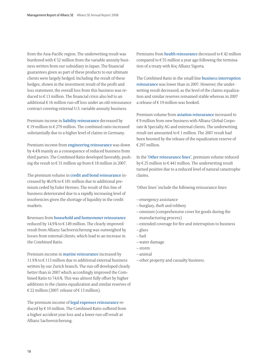from the Asia-Pacific region. The underwriting result was burdened with  $\epsilon$  52 million from the variable annuity business written from our subsidiary in Japan. The financial guarantees given as part of these products to our ultimate clients were largely hedged. Including the result of these hedges, shown in the investment result of the profit and loss statement, the overall loss from this business was re $duced to  $\epsilon$  13 million. The financial crisis also led to an$ additional  $\epsilon$  16 million run-off loss under an old reinsurance contract covering external U.S. variable annuity business.

Premium income in liability reinsurance decreased by  $\rm \epsilon$  19 million to  $\rm \epsilon$  279 million. The combined ratio increased substantially due to a higher level of claims in Germany.

Premium income from engineering reinsurance was down by 4.4 % mainly as a consequence of reduced business from third parties. The Combined Ratio developed favorably, pushing the result to  $\in$  31 million up from  $\in$  18 million in 2007.

The premium volume in credit and bond reinsurance increased by 46.0% to  $\epsilon$  181 million due to additional premium ceded by Euler Hermes. The result of this line of business deteriorated due to a rapidly increasing level of insolvencies given the shortage of liquidity in the credit markets.

Revenues from household and homeowner reinsurance reduced by 14.9% to  $\epsilon$  149 million. The clearly improved result from Allianz Sachversicherung was outweighed by losses from external clients, which lead to an increase in the Combined Ratio.

Premium income in marine reinsurance increased by  $11.9\%$  to  $\epsilon$  113 million due to additional external business written by our Zurich branch. The run-off developed clearly better than in 2007 which accordingly improved the Combined Ratio to 74.6 %. This was almost fully offset by higher additions to the claims equalization and similar reserves of  $\mathop{\varepsilon}$  22 million (2007: release of  $\mathop{\varepsilon}$  13 million).

The premium income of legal expenses reinsurance reduced by  $\epsilon$  10 million. The Combined Ratio suffered from a higher accident year loss and a lower run-off result at Allianz Sachversicherung.

Premiums from  $\bm{\mathrm{health}}$  reinsurance decreased to  $\bm{\varepsilon}$  42 million compared to  $\epsilon$  55 million a year ago following the termination of a treaty with Koç Allianz Sigorta.

The Combined Ratio in the small line business interruption reinsurance was lower than in 2007. However, the underwriting result decreased, as the level of the claims equalization and similar reserves remained stable whereas in 2007 a release of  $\epsilon$  19 million was booked.

Premium volume from aviation reinsurance increased to  $\mathop{\varepsilon}\nolimits$ 9 million from new business with Allianz Global Corporate & Specialty AG and external clients. The underwriting result net amounted to  $\epsilon$  1 million. The 2007 result had been boosted by the release of the equalization reserve of  $\mathop{\varepsilon}\nolimits$ 297 million.

In the 'Other reinsurance lines', premium volume reduced by  $\epsilon$  25 million to  $\epsilon$  441 million. The underwriting result turned positive due to a reduced level of natural catastrophe claims.

'Other lines' include the following reinsurance lines:

- emergency assistance
- burglary, theft and robbery
- omnium (comprehensive cover for goods during the manufacturing process)
- extended coverage for fire and interruption to business
- glass
- hail
- water damage
- storm
- animal
- other property and casualty business.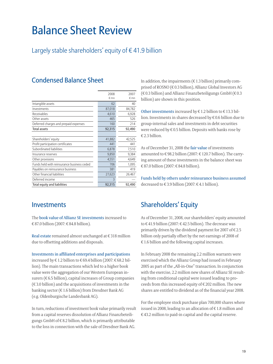## <span id="page-20-0"></span>Balance Sheet Review

## Largely stable shareholders' equity of  $\in$  41.9 billion

## Condensed Balance Sheet

|                                            | 2008<br>€ mn | 2007<br>€ mn |
|--------------------------------------------|--------------|--------------|
| Intangible assets                          | 62           | 40           |
| Investments                                | 87,018       | 84,782       |
| Receivables                                | 4,610        | 6,928        |
| Other assets                               | 465          | 526          |
| Deferred charges and prepaid expenses      | 160          | 214          |
| <b>Total assets</b>                        | 92,315       | 92,490       |
|                                            |              |              |
| Shareholders' equity                       | 41,882       | 42,525       |
| Profit participation certificates          | 441          | 441          |
| Subordinated liabilities                   | 6,878        | 7,510        |
| Insurance reserves                         | 9,850        | 9,384        |
| Other provisions                           | 4,551        | 4,649        |
| Funds held with reinsurance business ceded | 706          | 1,095        |
| Payables on reinsurance business           | 381          | 419          |
| Other financial liabilities                | 27,623       | 26.467       |
| Deferred income                            | 3            |              |
| <b>Total equity and liabilities</b>        | 92,315       | 92,490       |

In addition, the impairments ( $\in$  1.3 billion) primarily com $p$ rised of ROSNO ( $\in$  0.3 billion), Allianz Global Investors AG  $(\epsilon$  0.3 billion) and Allianz Finanzbeteiligungs GmbH  $(\epsilon$  0.3 billion) are shown in this position.

Other investments increased by  $\epsilon$  1.2 billion to  $\epsilon$  13.3 billion. Investments in shares decreased by  $\epsilon$  0.6 billion due to group-internal sales and investments in debt securities were reduced by  $\epsilon$  0.5 billion. Deposits with banks rose by  $\epsilon$  2.3 billion.

As of December 31, 2008 the fair value of investments amounted to  $\epsilon$  98.2 billion (2007:  $\epsilon$  120.7 billion). The carrying amount of these investments in the balance sheet was € 87.0 billion (2007: € 84.8 billion).

Funds held by others under reinsurance business assumed decreased to  $\epsilon$  3.9 billion (2007:  $\epsilon$  4.1 billion).

### **Investments**

The book value of Allianz SE investments increased to € 87.0 billion (2007: € 84.8 billion).

**Real estate** remained almost unchanged at  $\epsilon$  318 million due to offsetting additions and disposals.

Investments in affiliated enterprises and participations increased by  $\in$  1.2 billion to  $\in$  69.4 billion (2007:  $\in$  68.2 billion). The main transactions which led to a higher book value were the aggregation of our Western European insurers (€ 6.5 billion), capital increases of Group companies  $(\epsilon$  3.0 billion) and the acquisitions of investments in the banking sector (€ 1.6 billion) from Dresdner Bank AG (e.g. Oldenburgische Landesbank AG).

In turn, reductions of investment book value primarily result from a capital reserves dissolution of Allianz Finanzbeteiligungs GmbH of  $\in$  8.2 billion, which is primarily attributable to the loss in connection with the sale of Dresdner Bank AG.

## Shareholders' Equity

As of December 31, 2008, our shareholders' equity amounted to  $\epsilon$  41.9 billion (2007:  $\epsilon$  42.5 billion). The decrease was primarily driven by the dividend payment for 2007 of  $\epsilon$  2.5 billion only partially offset by the net earnings of 2008 of  $\epsilon$  1.6 billion and the following capital increases.

In February 2008 the remaining 2.2 million warrants were exercised which the Allianz Group had issued in February 2005 as part of the "All-in-One" transaction. In conjunction with the exercise, 2.2 million new shares of Allianz SE resulting from conditional capital were issued leading to proceeds from this increased equity of  $\epsilon$  202 million. The new shares are entitled to dividend as of the financial year 2008.

For the employee stock purchase plan 700,000 shares where issued in 2008, leading to an allocation of  $\epsilon$  1.8 million and  $\in$  43.2 million to paid-in capital and the capital reserve.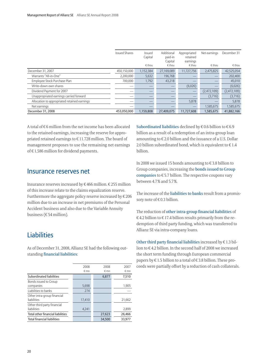<span id="page-21-0"></span>

|                                              | <b>Issued Shares</b> | Issued<br>Capital<br>€ thou | Additional<br>paid-in<br>Capital<br>$∈$ thou | Appropriated<br>retained<br>earnings<br>€ thou | Net earnings<br>$\epsilon$ thou | December 31<br>€ thou |
|----------------------------------------------|----------------------|-----------------------------|----------------------------------------------|------------------------------------------------|---------------------------------|-----------------------|
| December 31, 2007                            | 450,150,000          | 1,152,384                   | 27,169,089                                   | 11,727,756                                     | 2,475,825                       | 42,525,054            |
| Warrants "All-in-One"                        | 2.200.000            | 5,632                       | 196.768                                      |                                                |                                 | 202,400               |
| Employee Stock Purchase Plan                 | 700.000              | 1,792                       | 43,218                                       |                                                |                                 | 45,010                |
| Write-down own shares                        |                      |                             |                                              | (6,026)                                        |                                 | (6,026)               |
| Dividend Payment for 2007                    |                      |                             |                                              |                                                | (2,472,109)                     | (2,472,109)           |
| Unappropriated earnings carried forward      |                      |                             |                                              |                                                | (3,716)                         | (3,716)               |
| Allocation to appropriated retained earnings |                      |                             |                                              | 5,878                                          |                                 | 5,878                 |
| Net earnings                                 |                      |                             |                                              | –                                              | 1,585,675                       | 1,585,675             |
| December 31, 2008                            | 453.050.000          | 1.159.808                   | 27.409.075                                   | 11.727.608                                     | 1.585.675                       | 41.882.166            |

A total of  $\epsilon$  6 million from the net income has been allocated to the retained earnings, increasing the reserve for appropriated retained earnings to  $\in$  11.728 million. The board of man agement proposes to use the remaining net earnings of  $\epsilon$  1,586 million for dividend payments.

### Insurance reserves net

Insurance reserves increased by  $\epsilon$  466 million.  $\epsilon$  255 million of this increase relate to the claims equalization reserve. Furthermore the aggregate policy reserve increased by  $\rm \epsilon$  206 million due to an increase in net premiums of the Personal Accident business and also due to the Variable Annuity business (€ 54 million).

### **Liabilities**

As of December 31, 2008, Allianz SE had the following outstanding financial liabilities:

| 2008<br>$\n  Emn\n$ | 2008<br>€ mn | 2007<br>€mn |
|---------------------|--------------|-------------|
|                     | 6,877        | 7,510       |
| 5,698               |              | 1,905       |
| 274                 |              |             |
| 17.410              |              | 21,662      |
| 4,241               |              | 2,899       |
|                     | 27,623       | 26,466      |
|                     | 34,500       | 33,977      |
|                     |              |             |

Subordinated liabilities declined by  $\epsilon$  0.6 billion to  $\epsilon$  6.9 billion as a result of a redemption of an intra-group loan amounting to  $\epsilon$  2.0 billion and the issuance of a U.S. Dollar 2.0 billion subordinated bond, which is equivalent to  $\in$  1.4 billion.

In 2008 we issued 15 bonds amounting to  $\epsilon$  3.8 billion to Group companies, increasing the bonds issued to Group companies to  $\epsilon$  5.7 billion. The respective coupons vary between 4.7 % and 5.7 %.

The increase of the liabilities to banks result from a promissory note of  $\epsilon$  0.3 billion.

The reduction of other intra-group financial liabilities of € 4.2 billion to € 17.4 billion results primarily from the redemption of third party funding, which was transferred to Allianz SE via intra-company loans.

Other third party financial liabilities increased by  $\epsilon$  1.3 billion to  $\epsilon$  4.2 billion. In the second half of 2008 we increased the short term funding through European commercial papers by  $\in$  1.5 billion to a total of  $\in$  3.8 billion. These proceeds were partially offset by a reduction of cash collaterals.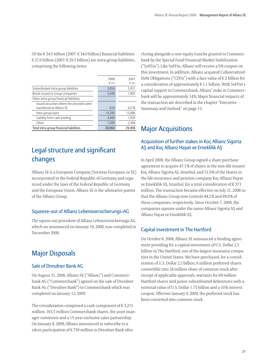<span id="page-22-0"></span>Of the € 34.5 billion (2007: € 34.0 billion) financial liabilities € 27.0 billion (2007: € 29.5 billion) are intra-group liabilities, comprising the following items:

|                                                                        | 2008<br>$\n  Emn\n$ | 2007<br>€ mn |
|------------------------------------------------------------------------|---------------------|--------------|
| Subordinated intra-group liabilities                                   | 3,856               | 5,931        |
| Bonds issued to Group companies                                        | 5,698               | 1,905        |
| Other intra-group financial liabilities                                |                     |              |
| Issued securities where the proceeds were<br>transferred to Allianz SE | 624                 | 4,278        |
| Intra-group loans                                                      | 10,289              | 13,086       |
| Liability from cash pooling                                            | 4,498               | 1,930        |
| Other                                                                  | 1,999               | 2,368        |
| Total intra-group financial liabilities                                | 26,964              | 29,498       |

## Legal structure and significant changes

Allianz SE is a European Company (Societas Europaea, or SE) incorporated in the Federal Republic of Germany and organized under the laws of the Federal Republic of Germany and the European Union. Allianz SE is the ultimative parent of the Allianz Group.

### Squeeze-out of Allianz Lebensversicherungs-AG

The sqeeze-out procedure of Allianz Lebensversicherungs-AG, which we announced on January 18, 2008, was completed in December 2008.

### Major Disposals

### Sale of Dresdner Bank AG

On August 31, 2008, Allianz SE ("Allianz") and Commerzbank AG ("Commerzbank") agreed on the sale of Dresdner Bank AG ("Dresdner Bank") to Commerzbank which was completed on January 12, 2009.

The consideration comprised a cash component of  $\in$  3,215 million, 163.5 million Commerzbank shares, the asset manager cominvest and a 15-year exclusive sales partnership. On January 8, 2009, Allianz announced to subscribe to a silent participation of  $\in$  750 million in Dresdner Bank after

closing alongside a new equity tranche granted to Commerzbank by the Special Fund Financial Market Stabilization ("SoFFin"). Like SoFFin, Allianz will receive a 9 % coupon on this investment. In addition, Allianz acquired Collateralized Debt Obligations ("CDOs") with a face value of  $\epsilon$  2 billion for a consideration of approximately  $\epsilon$  1.1 billion. With SoFFin's capital support to Commerzbank, Allianz' stake in Commerzbank will be approximately 14 %. Major financial impacts of the transaction are described in the chapter "Executive Summary and Outlook" on page 13.

## Major Acquisitions

### Acquisition of further stakes in Koç Allianz Sigorta AŞ and Koç Allianz Hayat ve Emeklilik AŞ

In April 2008, the Allianz Group signed a share purchase agreement to acquire 47.1 % of shares in the non-life insurer Koç Allianz Sigorta AŞ, Istanbul, and 51.0 % of the shares in the life-insurance and pension company Koç Allianz Hayat ve Emeklilik AŞ, Istanbul, for a total consideration of  $\epsilon$  373 million. The transaction became effective on July 21, 2008 so that the Allianz Group now controls 84.2 % and 89.0 % of these companies, respectively. Since October 7, 2008, the companies operate under the name Allianz Sigorta AŞ and Allianz Hayat ve Emeklilik AŞ.

### Capital investment in The Hartford

On October 6, 2008, Allianz SE announced a binding agreement providing for a capital investment of U.S. Dollar 2.5 billion in The Hartford, one of the largest insurance companies in the United States. We have purchased, for a consideration of U.S. Dollar 2.5 billion, 6 million preferred shares convertible into 24 million share of common stock after receipt of applicable approvals, warrants for 69 million Hartford shares and junior subordinated debentures with a nominal value of U.S. Dollar 1.75 billion and a 10 % interest coupon. Effective January 9, 2009, the preferred stock has been converted into common stock.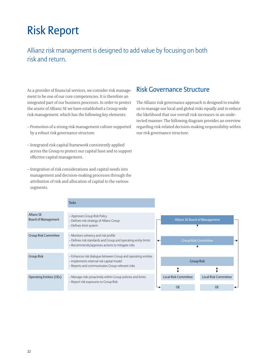## <span id="page-23-0"></span>Risk Report

## Allianz risk management is designed to add value by focusing on both risk and return.

As a provider of financial services, we consider risk management to be one of our core competencies. It is therefore an integrated part of our business processes. In order to protect the assets of Allianz SE we have established a Group-wide risk management, which has the following key elements:

- Promotion of a strong risk management culture supported by a robust risk governance structure.
- Integrated risk capital framework consistently applied across the Group to protect our capital base and to support effective capital management.
- Integration of risk considerations and capital needs into management and decision-making processes through the attribution of risk and allocation of capital to the various segments.

### Risk Governance Structure

The Allianz risk governance approach is designed to enable us to manage our local and global risks equally and to reduce the likelihood that our overall risk increases in an undetected manner. The following diagram provides an overview regarding risk-related decision-making responsibility within our risk governance structure.

|                                                 | <b>Tasks</b>                                                                                                                                                 |                                       |                             |
|-------------------------------------------------|--------------------------------------------------------------------------------------------------------------------------------------------------------------|---------------------------------------|-----------------------------|
| <b>Allianz SE</b><br><b>Board of Management</b> | - Approves Group Risk Policy<br>- Defines risk strategy of Allianz Group<br>- Defines limit system                                                           | <b>Allianz SE Board of Management</b> |                             |
| <b>Group Risk Committee</b>                     | - Monitors solvency and risk profile<br>- Defines risk standards and Group and operating entity limits<br>- Recommends/approves actions to mitigate risks    | <b>Group Risk Committee</b>           |                             |
| <b>Group Risk</b>                               | - Enhances risk dialogue between Group and operating entities<br>- Implements internal risk capital model<br>- Reports and communicates Group-relevant risks | <b>Group Risk</b>                     |                             |
| <b>Operating Entities (OEs)</b>                 | - Manage risks proactively within Group policies and limits                                                                                                  | <b>Local Risk Committee</b>           | <b>Local Risk Committee</b> |
|                                                 | - Report risk exposures to Group Risk                                                                                                                        | OF                                    |                             |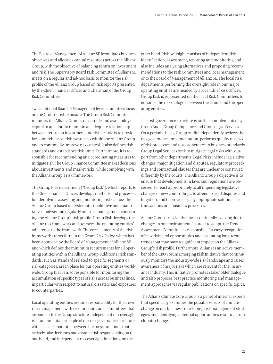The Board of Management of Allianz SE formulates business objectives and allocates capital resources across the Allianz Group, with the objective of balancing return on investment and risk. The Supervisory Board Risk Committee of Allianz SE meets on a regular and ad-hoc basis to monitor the risk profile of the Allianz Group based on risk reports presented by the Chief Financial Officer and Chairman of the Group Risk Committee.

Two additional Board of Management level committees focus on the Group's risk exposure. The Group Risk Committee monitors the Allianz Group's risk profile and availability of capital in an effort to maintain an adequate relationship between return on investment and risk. Its role is to provide for comprehensive risk awareness within the Allianz Group and to continually improve risk control. It also defines risk standards and establishes risk limits. Furthermore, it is responsible for recommending and coordinating measures to mitigate risk. The Group Finance Committee makes decisions about investments and market risks, while complying with the Allianz Group's risk framework.

The Group Risk department ("Group Risk"), which reports to the Chief Financial Officer, develops methods and processes for identifying, assessing and monitoring risks across the Allianz Group based on systematic qualitative and quantitative analysis and regularly informs management concerning the Allianz Group's risk profile. Group Risk develops the Allianz risk framework and oversees the operating entities' adherence to the framework. The core elements of the risk framework are set forth in the Group Risk Policy, which has been approved by the Board of Management of Allianz SE and which defines the minimum requirements for all operating entities within the Allianz Group. Additional risk standards, such as standards related to specific segments or risk categories, are in place for our operating entities worldwide. Group Risk is also responsible for monitoring the accumulation of specific types of risks across business lines, in particular with respect to natural disasters and exposures to counterparties.

Local operating entities assume responsibility for their own risk management, with risk functions and committees that are similar to the Group structure. Independent risk oversight is a fundamental principle of our risk governance structure, with a clear separation between business functions that actively take decisions and assume risk responsibility, on the one hand, and independent risk oversight functions, on the

other hand. Risk oversight consists of independent risk identification, assessment, reporting and monitoring and also includes analyzing alternatives and proposing recommendations to the Risk Committees and local management or to the Board of Management of Allianz SE. The local risk departments performing the oversight role in our major operating entities are headed by a local Chief Risk Officer. Group Risk is represented on the local Risk Committees to enhance the risk dialogue between the Group and the operating entities.

The risk governance structure is further complemented by Group Audit, Group Compliance and Group Legal Services. On a periodic basis, Group Audit independently reviews the risk governance implementation, performs quality reviews of risk processes and tests adherence to business standards. Group Legal Services seek to mitigate legal risks with support from other departments. Legal risks include legislative changes, major litigation and disputes, regulatory proceedings and contractual clauses that are unclear or construed differently by the courts. The Allianz Group's objective is to ensure that developments in laws and regulations are observed, to react appropriately to all impending legislative changes or new court rulings, to attend to legal disputes and litigation, and to provide legally appropriate solutions for transactions and business processes.

Allianz Group's risk landscape is continually evolving due to changes in our environment. In order to adapt, the Trend Assessment Committee is responsible for early recognition of new risks and opportunities and evaluating long-term trends that may have a significant impact on the Allianz Group's risk profile. Furthermore, Allianz is an active member of the CRO Forum Emerging Risk Initiative that continuously monitors the industry-wide risk landscape and raises awareness of major risks which are relevant for the insurance industry. This initiative promotes stakeholder dialogue and also proposes best practice monitoring and management approaches via regular publications on specific topics.

The Allianz Climate Core Group is a panel of internal experts that specifically examines the possible effects of climate change on our business, developing risk management strategies and identifying potential opportunities resulting from climate change.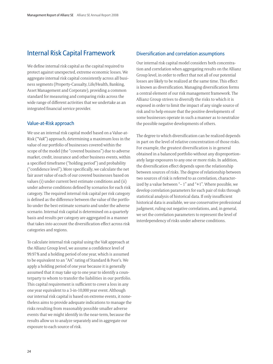## <span id="page-25-0"></span>Internal Risk Capital Framework

We define internal risk capital as the capital required to protect against unexpected, extreme economic losses. We aggregate internal risk capital consistently across all business segments (Property-Casualty, Life/Health, Banking, Asset Management and Corporate), providing a common standard for measuring and comparing risks across the wide range of different activities that we undertake as an integrated financial service provider.

### Value-at-Risk approach

We use an internal risk capital model based on a Value-at-Risk ("VaR") approach, determining a maximum loss in the value of our portfolio of businesses covered within the scope of the model (the "covered business") due to adverse market, credit, insurance and other business events, within a specified timeframe ("holding period") and probability ("confidence level"). More specifically, we calculate the net fair asset value of each of our covered businesses based on values (i) under current best estimate conditions and (ii) under adverse conditions defined by scenarios for each risk category. The required internal risk capital per risk category is defined as the difference between the value of the portfolio under the best estimate scenario and under the adverse scenario. Internal risk capital is determined on a quarterly basis and results per category are aggregated in a manner that takes into account the diversification effect across risk categories and regions.

To calculate internal risk capital using the VaR approach at the Allianz Group level, we assume a confidence level of 99.97 % and a holding period of one year, which is assumed to be equivalent to an "AA" rating of Standard & Poor's. We apply a holding period of one year because it is generally assumed that it may take up to one year to identify a counterparty to whom to transfer the liabilities in our portfolio. This capital requirement is sufficient to cover a loss in any one year equivalent to a 3-in-10,000 year event. Although our internal risk capital is based on extreme events, it nonetheless aims to provide adequate indications to manage the risks resulting from reasonably possible smaller adverse events that we might identify in the near-term, because the results allow us to analyze separately and in aggregate our exposure to each source of risk.

### Diversification and correlation assumptions

Our internal risk capital model considers both concentration and correlation when aggregating results on the Allianz Group level, in order to reflect that not all of our potential losses are likely to be realized at the same time. This effect is known as diversification. Managing diversification forms a central element of our risk management framework. The Allianz Group strives to diversify the risks to which it is exposed in order to limit the impact of any single source of risk and to help ensure that the positive developments of some businesses operate in such a manner as to neutralize the possible negative developments of others.

The degree to which diversification can be realized depends in part on the level of relative concentration of those risks. For example, the greatest diversification is in general obtained in a balanced portfolio without any disproportionately large exposures to any one or more risks. In addition, the diversification effect depends upon the relationship between sources of risks. The degree of relationship between two sources of risk is referred to as correlation, characterized by a value between "– 1" and "+1". Where possible, we develop correlation parameters for each pair of risks through statistical analysis of historical data. If only insufficient historical data is available, we use conservative professional judgment, ruling out negative correlations, and, in general, we set the correlation parameters to represent the level of interdependency of risks under adverse conditions.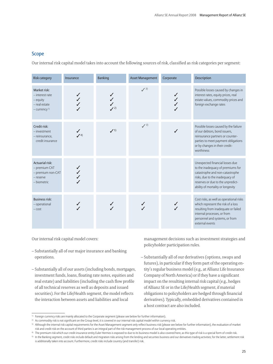### Scope

Our internal risk capital model takes into account the following sources of risk, classified as risk categories per segment:

| <b>Risk category</b>                                                                           | Insurance   | <b>Banking</b> | <b>Asset Management</b> | Corporate | Description                                                                                                                                                                                                          |
|------------------------------------------------------------------------------------------------|-------------|----------------|-------------------------|-----------|----------------------------------------------------------------------------------------------------------------------------------------------------------------------------------------------------------------------|
| Market risk:<br>$-$ interest rate<br>- equity<br>$-$ real estate<br>$-$ currency <sup>1)</sup> | ✓           |                | $\mathcal{J}^{(3)}$     | ✓         | Possible losses caused by changes in<br>interest rates, equity prices, real<br>estate values, commodity prices and<br>foreign exchange rates                                                                         |
| Credit risk:<br>$-$ investment<br>- reinsurance,<br>credit insurance                           | $\angle$ 4) | $J^{(5)}$      | $\mathcal{J}^{(3)}$     |           | Possible losses caused by the failure<br>of our debtors, bond issuers,<br>reinsurance partners or counter-<br>parties to meet payment obligations<br>or by changes in their credit-<br>worthiness                    |
| <b>Actuarial risk:</b><br>- premium CAT<br>- premium non-CAT<br>- reserve<br>- biometric       |             |                |                         |           | Unexpected financial losses due<br>to the inadequacy of premiums for<br>catastrophe and non-catastrophe<br>risks, due to the inadequacy of<br>reserves or due to the unpredict-<br>ability of mortality or longevity |
| <b>Business risk:</b><br>$-$ operational<br>$-cost$                                            |             |                |                         |           | Cost risks, as well as operational risks<br>which represent the risk of a loss<br>resulting from inadequate or failed<br>internal processes, or from<br>personnel and systems, or from<br>external events            |

Our internal risk capital model covers:

- Substantially all of our major insurance and banking operations.
- Substantially all of our assets (including bonds, mortgages, investment funds, loans, floating rate notes, equities and real estate) and liabilities (including the cash flow profile of all technical reserves as well as deposits and issued securities). For the Life/Health segment, the model reflects the interaction between assets and liabilities and local

management decisions such as investment strategies and policyholder participation rules.

– Substantially all of our derivatives (options, swaps and futures), in particular if they form part of the operating entity's regular business model (e.g., at Allianz Life Insurance Company of North America) or if they have a significant impact on the resulting internal risk capital (e.g., hedges of Allianz SE or in the Life/Health segment, if material obligations to policyholders are hedged through financial derivatives). Typically, embedded derivatives contained in a host contract are also included.

<sup>&</sup>lt;sup>1)</sup> Foreign currency risks are mainly allocated to the Corporate segment (please see below for further information).

<sup>&</sup>lt;sup>2)</sup> As commodity risk is not significant on the Group level, it is covered in our internal risk capital model within currency risk.

<sup>3)</sup> Although the internal risk capital requirements for the Asset Management segment only reflect business risk (please see below for further information), the evaluation of market risk and credit risk on the account of third parties is an integral part of the risk management process of our local operating entities.

<sup>4)</sup> The premium risk which our credit insurance entity Euler Hermes is exposed to due to its business model is also covered here, as this type of risk is a special form of credit risk.

<sup>5)</sup> In the Banking segment, credit risks include default and migration risks arising from the lending and securities business and our derivatives trading activities; for the latter, settlement risk is additionally taken into account. Furthermore, credit risks include country (and transfer) risk.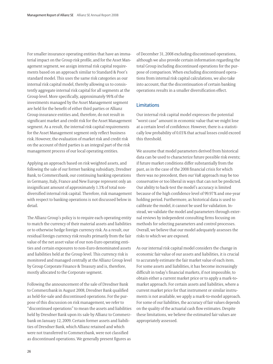For smaller insurance operating entities that have an immaterial impact on the Group risk profile, and for the Asset Management segment, we assign internal risk capital requirements based on an approach similar to Standard & Poor's standard model. This uses the same risk categories as our internal risk capital model, thereby allowing us to consistently aggregate internal risk capital for all segments at the Group level. More specifically, approximately 99 % of the investments managed by the Asset Management segment are held for the benefit of either third parties or Allianz Group insurance entities and, therefore, do not result in significant market and credit risk for the Asset Management segment. As a result, the internal risk capital requirements for the Asset Management segment only reflect business risk. However, the evaluation of market risk and credit risk on the account of third parties is an integral part of the risk management process of our local operating entities.

Applying an approach based on risk weighted assets, and following the sale of our former banking subsidiary, Dresdner Bank, to Commerzbank, our continuing banking operations in Germany, Italy, France and New Europe represent only an insignificant amount of approximately 1.3 % of total nondiversified internal risk capital. Therefore, risk management with respect to banking operations is not discussed below in detail.

The Allianz Group's policy is to require each operating entity to match the currency of their material assets and liabilities or to otherwise hedge foreign currency risk. As a result, our residual foreign currency risk results primarily from the fair value of the net asset value of our non-Euro operating entities and certain exposures to non-Euro denominated assets and liabilities held at the Group level. This currency risk is monitored and managed centrally at the Allianz Group level by Group Corporate Finance & Treasury and is, therefore, mostly allocated to the Corporate segment.

Following the announcement of the sale of Dresdner Bank to Commerzbank in August 2008, Dresdner Bank qualified as held-for-sale and discontinued operations. For the purpose of this discussion on risk management, we refer to "discontinued operations" to mean the assets and liabilities held by Dresdner Bank upon its sale by Allianz to Commerzbank on January 12, 2009. Certain former assets and liabilities of Dresdner Bank, which Allianz retained and which were not transferred to Commerzbank, were not classified as discontinued operations. We generally present figures as

of December 31, 2008 excluding discontinued operations, although we also provide certain information regarding the total Group including discontinued operations for the purpose of comparison. When excluding discontinued operations from internal risk capital calculations, we also take into account, that the discontinuation of certain banking operations results in a smaller diversification effect.

### Limitations

Our internal risk capital model expresses the potential "worst case" amount in economic value that we might lose at a certain level of confidence. However, there is a statistically low probability of 0.03 % that actual losses could exceed this threshold.

We assume that model parameters derived from historical data can be used to characterize future possible risk events; if future market conditions differ substantially from the past, as in the case of the 2008 financial crisis for which there was no precedent, then our VaR approach may be too conservative or too liberal in ways that can not be predicted. Our ability to back-test the model's accuracy is limited because of the high confidence level of 99.97 % and one-year holding period. Furthermore, as historical data is used to calibrate the model, it cannot be used for validation. Instead, we validate the model and parameters through external reviews by independent consulting firms focusing on methods for selecting parameters and control processes. Overall, we believe that our model adequately assesses the risks to which we are exposed.

As our internal risk capital model considers the change in economic fair value of our assets and liabilities, it is crucial to accurately estimate the fair market value of each item. For some assets and liabilities, it has become increasingly difficult in today's financial markets, if not impossible, to obtain either a current market price or to apply a mark-tomarket approach. For certain assets and liabilities, where a current market price for that instrument or similar instruments is not available, we apply a mark-to-model approach. For some of our liabilities, the accuracy of fair values depends on the quality of the actuarial cash flow estimates. Despite these limitations, we believe the estimated fair values are appropriately assessed.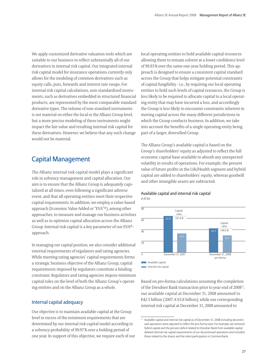<span id="page-28-0"></span>We apply customized derivative valuation tools which are suitable to our business to reflect substantially all of our derivatives in internal risk capital. Our integrated internal risk capital model for insurance operations currently only allows for the modeling of common derivatives such as equity calls, puts, forwards and interest rate swaps. For internal risk capital calculations, non-standardized instruments, such as derivatives embedded in structured financial products, are represented by the most comparable standard derivative types. The volume of non-standard instruments is not material on either the local or the Allianz Group level, but a more precise modeling of these instruments might impact the fair value and resulting internal risk capital for these derivatives. However, we believe that any such change would not be material.

### Capital Management

The Allianz internal risk capital model plays a significant role in solvency management and capital allocation. Our aim is to ensure that the Allianz Group is adequately capitalized at all times, even following a significant adverse event, and that all operating entities meet their respective capital requirements. In addition, we employ a value-based approach (Economic Value Added or "EVA"®), among other approaches, to measure and manage our business activities as well as to optimize capital allocation across the Allianz Group. Internal risk capital is a key parameter of our EVA® approach.

In managing our capital position, we also consider additional external requirements of regulators and rating agencies. While meeting rating agencies' capital requirements forms a strategic business objective of the Allianz Group, capital requirements imposed by regulators constitute a binding constraint. Regulators and rating agencies impose minimum capital rules on the level of both the Allianz Group's operating entities and on the Allianz Group as a whole.

### Internal capital adequacy

Our objective is to maintain available capital at the Group level in excess of the minimum requirements that are determined by our internal risk capital model according to a solvency probability of 99.97 % over a holding period of one year. In support of this objective, we require each of our

local operating entities to hold available capital resources allowing them to remain solvent at a lower confidence level of 99.93 % over the same one-year holding period. This approach is designed to ensure a consistent capital standard across the Group that helps mitigate potential constraints of capital fungibility - i.e., by requiring our local operating entities to hold such levels of capital resources, the Group is less likely to be required to allocate capital to a local operating entity that may have incurred a loss, and accordingly the Group is less likely to encounter constraints inherent in moving capital across the many different jurisdictions in which the Group conducts business. In addition, we take into account the benefits of a single operating entity being part of a larger, diversified Group.

The Allianz Group's available capital is based on the Group's shareholders' equity as adjusted to reflect the full economic capital base available to absorb any unexpected volatility in results of operations. For example, the present value of future profits in the Life/Health segment and hybrid capital are added to shareholders' equity, whereas goodwill and other intangible assets are subtracted.





Based on pro-forma calculations assuming the completion of the Dresdner Bank transaction prior to year end of 20081), our available capital at December 31, 2008 amounted to €42.5 billion (2007: € 63.8 billion), while our corresponding internal risk capital at December 31, 2008 amounted to

<sup>1)</sup> Available capital and internal risk capital as of December 31, 2008 including discontinued operations were adjusted to reflect the pro-forma view. For example, we removed hybrid capital and the pension deficit related to Dresdner Bank from available capital, deleted internal risk capital requirements of our discontinued operations and included those related to the shares and the silent participation in Commerzbank.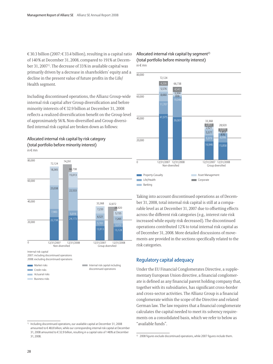€ 30.3 billion (2007: € 33.4 billion), resulting in a capital ratio of 140% at December 31, 2008, compared to 191% at December 31, 2007<sup>1</sup>). The decrease of 33% in available capital was primarily driven by a decrease in shareholders' equity and a decline in the present value of future profits in the Life/ Health segment.

Including discontinued operations, the Allianz Group-wide internal risk capital after Group diversification and before minority interests of  $\in$  32.9 billion at December 31, 2008 reflects a realized diversification benefit on the Group level of approximately 56 %. Non-diversified and Group diversified internal risk capital are broken down as follows:

### Allocated internal risk capital by risk category (total portfolio before minority interest) in  $\epsilon$  mn



 $\blacksquare$  Actuarial risks  $\overline{\phantom{a}}$  Rusiness risks

### Allocated internal risk capital by segment<sup>2)</sup> (total portfolio before minority interest)  $in \in \mathsf{mn}$



Taking into account discontinued operations as of December 31, 2008, total internal risk capital is still at a comparable level as at December 31, 2007 due to offsetting effects across the different risk categories (e.g., interest rate risk increased while equity risk decreased). The discontinued operations contributed 12 % to total internal risk capital as of December 31, 2008. More detailed discussions of movements are provided in the sections specifically related to the risk categories.

### Regulatory capital adequacy

Under the EU Financial Conglomerates Directive, a supplementary European Union directive, a financial conglomerate is defined as any financial parent holding company that, together with its subsidiaries, has significant cross-border and cross-sector activities. The Allianz Group is a financial conglomerate within the scope of the Directive and related German law. The law requires that a financial conglomerate calculates the capital needed to meet its solvency requirements on a consolidated basis, which we refer to below as "available funds".

<sup>1)</sup> Including discontinued operations, our available capital at December 31, 2008 amounted to  $\in$  48.8 billion, while our corresponding internal risk capital at December 31, 2008 amounted to € 32.9 billion, resulting in a capital ratio of 148% at December 31, 2008.

<sup>&</sup>lt;sup>2)</sup> 2008 figures exclude discontinued operations, while 2007 figures include them.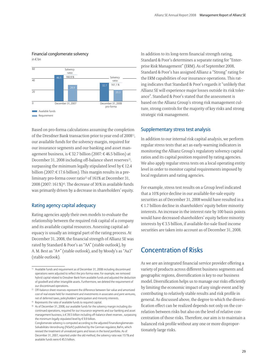### <span id="page-30-0"></span>Financial conglomerate solvency in  $\in$  bn



Based on pro-forma calculations assuming the completion of the Dresdner Bank transaction prior to year end of 20081), our available funds for the solvency margin, required for our insurance segments and our banking and asset management business, is € 32.7 billion (2007: € 46.5 billion) at December 31, 2008 including off-balance sheet reserves<sup>2)</sup>, surpassing the minimum legally stipulated level by  $\in$  12.4 billion (2007:  $\in$  17.6 billion). This margin results in a preliminary pro-forma cover ratio<sup>3</sup> of 161% at December 31, 2008 (2007: 161%)<sup>4)</sup>. The decrease of 30% in available funds was primarily driven by a decrease in shareholders' equity.

### Rating agency capital adequacy

Rating agencies apply their own models to evaluate the relationship between the required risk capital of a company and its available capital resources. Assessing capital adequacy is usually an integral part of the rating process. At December 31, 2008, the financial strength of Allianz SE was rated by Standard & Poor's as "AA" (stable outlook), by A. M. Best as "A+" (stable outlook), and by Moody's as "Aa3" (stable outlook).

<sup>3)</sup> Represents the ratio of available funds to required capital.

In addition to its long-term financial strength rating, Standard & Poor's determines a separate rating for "Enterprise Risk Management" (ERM). As of September 2008, Standard & Poor's has assigned Allianz a "Strong" rating for the ERM capabilities of our insurance operations. This rating indicates that Standard & Poor's regards it "unlikely that Allianz SE will experience major losses outside its risk tolerance". Standard & Poor's stated that the assessment is based on the Allianz Group's strong risk management culture, strong controls for the majority of key risks and strong strategic risk management.

### Supplementary stress test analysis

In addition to our internal risk capital analysis, we perform regular stress tests that act as early-warning indicators in monitoring the Allianz Group's regulatory solvency capital ratios and its capital position required by rating agencies. We also apply regular stress tests on a local operating entity level in order to monitor capital requirements imposed by local regulators and rating agencies.

For example, stress test results on a Group level indicated that a 10 % price decline in our available-for-sale equity securities as of December 31, 2008 would have resulted in a  $\in$  1.7 billion decline in shareholders' equity before minority interests. An increase in the interest rate by 100 basis points would have decreased shareholders' equity before minority interests by  $\epsilon$  3.5 billion, if available-for-sale fixed income securities are taken into account as of December 31, 2008.

### Concentration of Risks

As we are an integrated financial service provider offering a variety of products across different business segments and geographic regions, diversification is key to our business model. Diversification helps us to manage our risks efficiently by limiting the economic impact of any single event and by contributing to relatively stable results and risk profile in general. As discussed above, the degree to which the diversification effect can be realized depends not only on the correlation between risks but also on the level of relative concentration of those risks. Therefore, our aim is to maintain a balanced risk profile without any one or more disproportionately large risks.

<sup>&</sup>lt;sup>1)</sup> Available funds and requirement as of December 31, 2008 including discontinued operations were adjusted to reflect the pro-forma view. For example, we removed hybrid capital related to Dresdner Bank from available funds and adjusted the deduction of goodwill and other intangible assets. Furthermore, we deleted the requirement of our discontinued operations.

<sup>&</sup>lt;sup>2)</sup> Off-balance sheet reserves represent the difference between fair value and amortized cost of real estate held for investment and investments in associates and joint ventures, net of deferred taxes, policyholders' participation and minority interests.

<sup>4)</sup> As of December 31, 2008, our available funds for the solvency margin including discontinued operations, required for our insurance segments and our banking and asset management business, is  $\epsilon$  39.5 billion including off-balance sheet reserves, surpassing the minimum legally stipulated level by  $\epsilon$  9.9 billion.

Conglomerate solvency is computed according to the adjusted Finanzkonglomerate-Solvabilitäts-Verordnung (FkSolV) published by the German regulator, BaFin, which revised the treatment of unrealized gains and losses in the bond portfolio. As of December 31, 2007, reported under the old method, the solvency ratio was 157 % and available funds were  $\epsilon$  45.5 billion.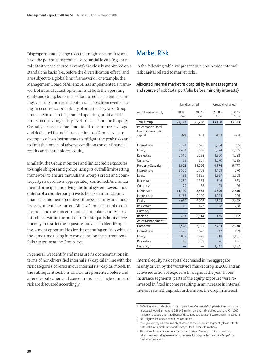<span id="page-31-0"></span>Disproportionately large risks that might accumulate and have the potential to produce substantial losses (e.g., natural catastrophes or credit events) are closely monitored on a standalone basis (i.e., before the diversification effect) and are subject to a global limit framework. For example, the Management Board of Allianz SE has implemented a framework of natural catastrophe limits at both the operating entity and Group levels in an effort to reduce potential earnings volatility and restrict potential losses from events having an occurrence probability of once in 250 years. Group limits are linked to the planned operating profit and the limits on operating entity level are based on the Property-Casualty net asset value. Traditional reinsurance coverage and dedicated financial transactions on Group level are examples of two instruments to mitigate the peak risks and to limit the impact of adverse conditions on our financial results and shareholders' equity.

Similarly, the Group monitors and limits credit exposures to single obligors and groups using its overall limit-setting framework to ensure that Allianz Group's credit and counterparty risk profile is appropriately controlled. As a fundamental principle underlying the limit system, several risk criteria of a counterparty have to be taken into account: financial statements, creditworthiness, country and industry assignment, the current Allianz Group's portfolio composition and the concentration a particular counterparty introduces within the portfolio. Counterparty limits serve not only to restrict the exposure, but also to identify open investment opportunities for the operating entities while at the same time taking into consideration the current portfolio structure at the Group level.

In general, we identify and measure risk concentrations in terms of non-diversified internal risk capital in line with the risk categories covered in our internal risk capital model. In the subsequent sections all risks are presented before and after diversification and concentrations of single sources of risk are discussed accordingly.

### Market Risk

In the following table, we present our Group-wide internal risk capital related to market risks.

### Allocated internal market risk capital by business segment and source of risk (total portfolio before minority interests)

|                                | Non-diversified |                   | Group diversified |                   |  |  |
|--------------------------------|-----------------|-------------------|-------------------|-------------------|--|--|
| As of December 31,             | 20081)          | 2007 <sup>2</sup> | 20081)            | 2007 <sup>2</sup> |  |  |
|                                | € mn            | € mn              | € mn              | € mn              |  |  |
| <b>Total Group</b>             | 24,173          | 22,738            | 13,128            | 13,913            |  |  |
| Percentage of total            |                 |                   |                   |                   |  |  |
| Group internal risk            |                 |                   |                   |                   |  |  |
| capital                        | 36%             | 32%               | 45%               | 42%               |  |  |
|                                |                 |                   |                   |                   |  |  |
| Interest rate                  | 12,124          | 6,691             | 3,784             | 655               |  |  |
| Equity                         | 9,454           | 13,508            | 6,774             | 10,885            |  |  |
| Real estate                    | 2,516           | 2,238             | 1,300             | 1,088             |  |  |
| Currency <sup>3)</sup>         | 79              | 301               | 1,270             | 1,285             |  |  |
| Property-Casualty              | 9,062           | 11,066            | 4,774             | 6,477             |  |  |
| Interest rate                  | 3,550           | 2,758             | 1,108             | 270               |  |  |
| Equity                         | 4,183           | 6,835             | 2,997             | 5,508             |  |  |
| Real estate                    | 1,250           | 1,385             | 646               | 673               |  |  |
| Currency <sup>3)</sup>         | 79              | 88                | 23                | 26                |  |  |
| Life/Health                    | 11,320          | 5,533             | 5,396             | 2,836             |  |  |
| Interest rate                  | 6,163           | 2,100             | 1,924             | 206               |  |  |
| Equity                         | 4,039           | 3,006             | 2,894             | 2,422             |  |  |
| Real estate                    | 1,118           | 427               | 578               | 208               |  |  |
| Currency <sup>3)</sup>         |                 |                   |                   |                   |  |  |
| Banking                        | 263             | 2,814             | 175               | 1,962             |  |  |
| Asset Management <sup>4)</sup> |                 |                   |                   |                   |  |  |
| Corporate                      | 3,528           | 3,325             | 2,783             | 2,638             |  |  |
| Interest rate                  | 2,378           | 1,628             | 742               | 159               |  |  |
| Equity                         | 1,002           | 1,428             | 718               | 1,151             |  |  |
| Real estate                    | 148             | 269               | 76                | 131               |  |  |
| Currency <sup>3)</sup>         |                 |                   | 1,247             | 1,197             |  |  |

Internal equity risk capital decreased in the aggregate mainly driven by the worldwide market drop in 2008 and an active reduction of exposure throughout the year. In our insurance segments, parts of the equity exposure were reinvested in fixed income resulting in an increase in internal interest rate risk capital. Furthermore, the drop in interest

<sup>1)</sup> 2008 figures exclude discontinued operations. On a total Group basis, internal market risk capital would amount to  $\epsilon$  26,043 million on a non-diversified basis and  $\epsilon$  14,009 million on a Group diversified basis, if discontinued operations were taken into account.

<sup>2)</sup> 2007 figures include discontinued operations.

<sup>&</sup>lt;sup>3)</sup> Foreign currency risks are mainly allocated to the Corporate segment (please refer to "Internal Risk Capital Framework – Scope" for further information).

<sup>4)</sup> The internal risk capital requirements for the Asset Management segment only reflect business risk (please refer to "Internal Risk Capital Framework – Scope" for further information).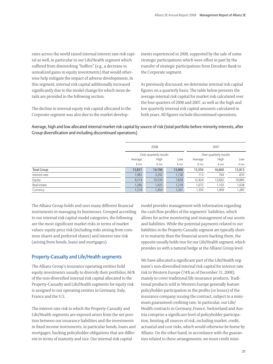rates across the world raised internal interest rate risk capital as well, in particular in our Life/Health segment which suffered from diminishing "buffers" (e.g., a decrease in unrealized gains in equity investments) that would otherwise help mitigate the impact of adverse developments. In this segment, internal risk capital additionally increased significantly due to the model change for which more details are provided in the following section.

The decline in internal equity risk capital allocated to the Corporate segment was also due to the market developments experienced in 2008, supported by the sale of some strategic participations which were offset in part by the transfer of strategic participations from Dresdner Bank to the Corporate segment.

As previously discussed, we determine internal risk capital figures on a quarterly basis. The table below presents the average internal risk capital for market risk calculated over the four quarters of 2008 and 2007, as well as the high and low quarterly internal risk capital amounts calculated in both years. All figures include discontinued operations.

Average, high and low allocated internal market risk capital by source of risk (total portfolio before minority interests, after Group diversification and including discontinued operations)

|                    | 2008<br>Over quarterly results |             |            | 2007<br>Over quarterly results |             |        |
|--------------------|--------------------------------|-------------|------------|--------------------------------|-------------|--------|
|                    |                                |             |            |                                |             |        |
|                    | Average                        | High        | Low        | Average                        | High        | Low    |
|                    | € mn                           | $\n  Emn\n$ | $\n  mn\n$ | $\n  mn\n$                     | $\n  Emn\n$ | € mn   |
| <b>Total Group</b> | 13,857                         | 14,196      | 13,466     | 15,559                         | 16,800      | 13,913 |
| Interest rate      | 1,983                          | 3,292       | 1,138      | 713                            | 764         | 655    |
| Equity             | 9,214                          | 10,539      | 7,838      | 12,424                         | 13,662      | 10,885 |
| Real estate        | 1,286                          | 1,425       | 1,218      | 1,072                          | 1,103       | 1,038  |
| Currency           | 1,374                          | 1,454       | 1,301      | 1,350                          | 1,409       | 1,285  |

The Allianz Group holds and uses many different financial instruments in managing its businesses. Grouped according to our internal risk capital model categories, the following are the most significant market risks in terms of market values: equity price risk (including risks arising from common shares and preferred shares) and interest rate risk (arising from bonds, loans and mortgages).

### Property-Casualty and Life/Health segments

The Allianz Group's insurance operating entities hold equity investments usually to diversify their portfolios. 66 % of the non-diversified internal risk capital allocated to the Property-Casualty and Life/Health segments for equity risk is assigned to our operating entities in Germany, Italy, France and the U.S.

The interest rate risk to which the Property-Casualty and Life/Health segments are exposed arises from the net position between our insurance liabilities and the investments in fixed income instruments, in particular bonds, loans and mortgages, backing policyholder obligations that are different in terms of maturity and size. Our internal risk capital

model provides management with information regarding the cash flow profiles of the segments' liabilities, which allows for active monitoring and management of our assets and liabilities. While the potential payments related to our liabilities in the Property-Casualty segment are typically shorter in maturity than the financial assets backing them, the opposite usually holds true for our Life/Health segment, which provides us with a natural hedge at the Allianz Group level.

We have allocated a significant part of the Life/Health segment's non-diversified internal risk capital for interest rate risk to Western Europe (74 % as of December 31, 2008), mainly to cover traditional life insurance products. Traditional products sold in Western Europe generally feature policyholder participation in the profits (or losses) of the insurance company issuing the contract, subject to a minimum guaranteed crediting rate. In particular, our Life/ Health contracts in Germany, France, Switzerland and Austria comprise a significant level of policyholder participation, limiting all sources of risk, including market, credit, actuarial and cost risks, which would otherwise be borne by Allianz. On the other hand, in accordance with the guarantees related to these arrangements, we must credit mini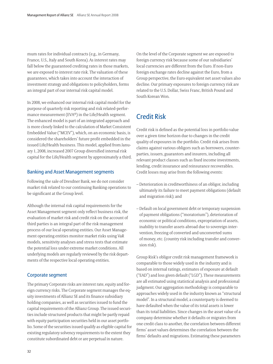<span id="page-33-0"></span>mum rates for individual contracts (e.g., in Germany, France, U.S., Italy and South Korea). As interest rates may fall below the guaranteed crediting rates in those markets, we are exposed to interest rate risk. The valuation of these guarantees, which takes into account the interaction of investment strategy and obligations to policyholders, forms an integral part of our internal risk capital model.

In 2008, we enhanced our internal risk capital model for the purpose of quarterly risk reporting and risk related-performance measurement (EVA®) in the Life/Health segment. The enhanced model is part of an integrated approach and is more closely linked to the calculation of Market Consistent Embedded Value ("MCEV"), which, on an economic basis, is considered the shareholders' future profit embedded in the issued Life/Health business. This model, applied from January 1, 2008, increased 2007 Group diversified internal risk capital for the Life/Health segment by approximately a third.

### Banking and Asset Management segments

Following the sale of Dresdner Bank, we do not consider market risk related to our continuing Banking operations to be significant at the Group level.

Although the internal risk capital requirements for the Asset Management segment only reflect business risk, the evaluation of market risk and credit risk on the account of third parties is an integral part of the risk management process of our local operating entities. Our Asset Management operating entities monitor market risks using VaR models, sensitivity analyses and stress tests that estimate the potential loss under extreme market conditions. All underlying models are regularly reviewed by the risk departments of the respective local operating entities.

### Corporate segment

The primary Corporate risks are interest rate, equity and foreign currency risks. The Corporate segment manages the equity investments of Allianz SE and its finance subsidiary holding companies, as well as securities issued to fund the capital requirements of the Allianz Group. The issued securities include structured products that might be partly repaid with equity participation securities held in our asset portfolio. Some of the securities issued qualify as eligible capital for existing regulatory solvency requirements to the extent they constitute subordinated debt or are perpetual in nature.

On the level of the Corporate segment we are exposed to foreign currency risk because some of our subsidiaries' local currencies are different from the Euro. If non-Euro foreign exchange rates decline against the Euro, from a Group perspective, the Euro equivalent net asset values also decline. Our primary exposures to foreign currency risk are related to the U.S. Dollar, Swiss Franc, British Pound and South Korean Won.

### Credit Risk

Credit risk is defined as the potential loss in portfolio value over a given time horizon due to changes in the credit quality of exposures in the portfolio. Credit risk arises from claims against various obligors such as borrowers, counterparties, issuers, guarantors and insurers, including all relevant product classes such as fixed income investments, lending, credit insurance and reinsurance recoverables. Credit losses may arise from the following events:

- Deterioration in creditworthiness of an obligor, including ultimately its failure to meet payment obligations (default and migration risk); and
- Default on local government debt or temporary suspension of payment obligations ("moratorium"), deterioration of economic or political conditions, expropriation of assets, inability to transfer assets abroad due to sovereign intervention, freezing of converted and unconverted sums of money, etc. (country risk including transfer and conversion risk).

Group Risk's obligor credit risk management framework is comparable to those widely used in the industry and is based on internal ratings, estimates of exposure at default ("EAD") and loss given default ("LGD"). These measurements are all estimated using statistical analysis and professional judgment. Our aggregation methodology is comparable to approaches widely used in the industry known as "structural model". In a structural model, a counterparty is deemed to have defaulted when the value of its total assets is lower than its total liabilities. Since changes in the asset value of a company determine whether it defaults or migrates from one credit class to another, the correlation between different firms' asset values determines the correlation between the firms' defaults and migrations. Estimating these parameters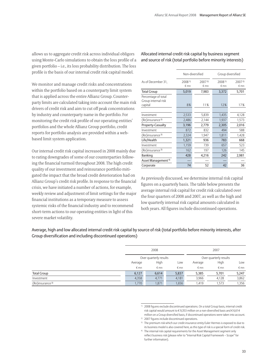allows us to aggregate credit risk across individual obligors using Monte-Carlo simulations to obtain the loss profile of a given portfolio – i.e., its loss probability distribution. The loss profile is the basis of our internal credit risk capital model.

We monitor and manage credit risks and concentrations within the portfolio based on a counterparty limit system that is applied across the entire Allianz Group. Counterparty limits are calculated taking into account the main risk drivers of credit risk and aim to cut off peak concentrations by industry and counterparty name in the portfolio. For monitoring the credit risk profile of our operating entities' portfolios and the whole Allianz Group portfolio, credit reports for portfolio analysis are provided within a webbased limit system application.

Our internal credit risk capital increased in 2008 mainly due to rating downgrades of some of our counterparties following the financial turmoil throughout 2008. The high credit quality of our investment and reinsurance portfolio mitigated the impact that the broad credit deterioration had on Allianz Group's credit risk profile. In response to the financial crisis, we have initiated a number of actions, for example, weekly review and adjustment of limit settings for the major financial institutions as a temporary measure to assess systemic risks of the financial industry and to recommend short-term actions to our operating entities in light of this severe market volatility.

Allocated internal credit risk capital by business segment and source of risk (total portfolio before minority interests)

|                                |                           | Non-diversified                 | Group diversified         |                           |  |
|--------------------------------|---------------------------|---------------------------------|---------------------------|---------------------------|--|
| As of December 31,             | 2008 <sup>1</sup><br>€ mn | 2007 <sup>2</sup><br>$\n  mn\n$ | 2008 <sup>1</sup><br>€ mn | 2007 <sup>2</sup><br>€ mn |  |
|                                |                           |                                 |                           |                           |  |
| <b>Total Group</b>             | 5,019                     | 7,983                           | 3,372                     | 5,701                     |  |
| Percentage of total            |                           |                                 |                           |                           |  |
| Group internal risk            |                           |                                 |                           |                           |  |
| capital                        | 8%                        | 11%                             | 12%                       | 17%                       |  |
|                                |                           |                                 |                           |                           |  |
| Investment                     | 2,533                     | 5,839                           | 1,435                     | 4,128                     |  |
| (Re)insurance <sup>3)</sup>    | 2,486                     | 2,144                           | 1,937                     | 1,573                     |  |
| Property-Casualty              | 3,196                     | 2,779                           | 2,305                     | 2,016                     |  |
| Investment                     | 872                       | 832                             | 494                       | 588                       |  |
| (Re)insurance <sup>3)</sup>    | 2,324                     | 1,947                           | 1,811                     | 1,428                     |  |
| Life/Health                    | 1,321                     | 936                             | 783                       | 668                       |  |
| Investment                     | 1,159                     | 739                             | 657                       | 523                       |  |
| (Re)insurance <sup>3)</sup>    | 162                       | 197                             | 126                       | 145                       |  |
| Banking                        | 428                       | 4,216                           | 242                       | 2,981                     |  |
| Asset Management <sup>4)</sup> |                           |                                 |                           |                           |  |
| Corporate                      | 74                        | 52                              | 42                        | 36                        |  |

As previously discussed, we determine internal risk capital figures on a quarterly basis. The table below presents the average internal risk capital for credit risk calculated over the four quarters of 2008 and 2007, as well as the high and low quarterly internal risk capital amounts calculated in both years. All figures include discontinued operations.

Average, high and low allocated internal credit risk capital by source of risk (total portfolio before minority interests, after Group diversification and including discontinued operations)

|                             | 2008<br>Over quarterly results |             |             |             | 2007<br>Over quarterly results |       |  |
|-----------------------------|--------------------------------|-------------|-------------|-------------|--------------------------------|-------|--|
|                             |                                |             |             |             |                                |       |  |
|                             | Average                        | High        | Low         | Average     | High                           | Low   |  |
|                             | $\n  Emn\n$                    | $\n  Emn\n$ | $\n  Emn\n$ | $\n  Emn\n$ | €mn                            | € mn  |  |
| <b>Total Group</b>          | 6,127                          | 6,614       | 5,837       | 5,385       | 5,701                          | 5,247 |  |
| Investment                  | 4,358                          | 4,771       | 4,181       | 3,966       | 4,128                          | 3,862 |  |
| (Re)insurance <sup>3)</sup> | 1,770                          | 1,871       | 1,656       | 1,419       | 1,573                          | 1,356 |  |

<sup>1)</sup> 2008 figures exclude discontinued operations. On a total Group basis, internal credit risk capital would amount to  $\epsilon$  9,353 million on a non-diversified basis and  $\epsilon$  6,614 million on a Group diversified basis, if discontinued operations were taken into account.

<sup>&</sup>lt;sup>2)</sup> 2007 figures include discontinued operations.

<sup>&</sup>lt;sup>3)</sup> The premium risk which our credit insurance entity Euler Hermes is exposed to due to its business model is also covered here, as this type of risk is a special form of credit risk.

<sup>4)</sup> The internal risk capital requirements for the Asset Management segment only reflect business risk (please refer to "Internal Risk Capital Framework – Scope" for further information).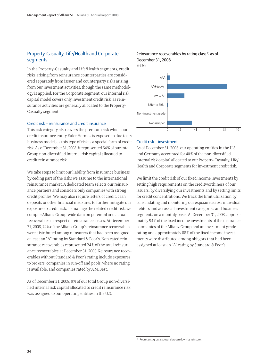### Property-Casualty, Life/Health and Corporate segments

In the Property-Casualty and Life/Health segments, credit risks arising from reinsurance counterparties are considered separately from issuer and counterparty risks arising from our investment activities, though the same methodology is applied. For the Corporate segment, our internal risk capital model covers only investment credit risk, as reinsurance activities are generally allocated to the Property-Casualty segment.

### Credit risk – reinsurance and credit insurance

This risk category also covers the premium risk which our credit insurance entity Euler Hermes is exposed to due to its business model, as this type of risk is a special form of credit risk. As of December 31, 2008, it represented 64 % of our total Group non-diversified internal risk capital allocated to credit reinsurance risk.

We take steps to limit our liability from insurance business by ceding part of the risks we assume to the international reinsurance market. A dedicated team selects our reinsurance partners and considers only companies with strong credit profiles. We may also require letters of credit, cash deposits or other financial measures to further mitigate our exposure to credit risk. To manage the related credit risk, we compile Allianz Group-wide data on potential and actual recoverables in respect of reinsurance losses. At December 31, 2008, 74 % of the Allianz Group's reinsurance recoverables were distributed among reinsurers that had been assigned at least an "A" rating by Standard & Poor's. Non-rated reinsurance recoverables represented 24 % of the total reinsurance recoverables at December 31, 2008. Reinsurance recoverables without Standard & Poor's rating include exposures to brokers, companies in run-off and pools, where no rating is available, and companies rated by A.M. Best.

As of December 31, 2008, 9% of our total Group non-diversified internal risk capital allocated to credit reinsurance risk was assigned to our operating entities in the U.S.



#### Credit risk – investment

As of December 31, 2008, our operating entities in the U.S. and Germany accounted for 40 % of the non-diversified internal risk capital allocated to our Property-Casualty, Life/ Health and Corporate segments for investment credit risk.

We limit the credit risk of our fixed income investments by setting high requirements on the creditworthiness of our issuers, by diversifying our investments and by setting limits for credit concentrations. We track the limit utilization by consolidating and monitoring our exposure across individual debtors and across all investment categories and business segments on a monthly basis. At December 31, 2008, approximately 94 % of the fixed income investments of the insurance companies of the Allianz Group had an investment grade rating and approximately 88 % of the fixed income investments were distributed among obligors that had been assigned at least an "A" rating by Standard & Poor's.

<sup>&</sup>lt;sup>1)</sup> Represents gross exposure broken down by reinsurer.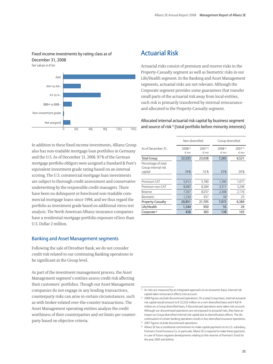# Fixed income investments by rating class as of December 31, 2008



# Actuarial Risk

Actuarial risks consist of premium and reserve risks in the Property-Casualty segment as well as biometric risks in our Life/Health segment. In the Banking and Asset Management segments, actuarial risks are not relevant. Although the Corporate segment provides some guarantees that transfer small parts of the actuarial risk away from local entities, such risk is primarily transferred by internal reinsurance and allocated to the Property-Casualty segment.

Allocated internal actuarial risk capital by business segment and source of risk<sup>1)</sup> (total portfolio before minority interests)

In addition to these fixed income investments, Allianz Group also has non-tradable mortgage loan portfolios in Germany and the U.S. As of December 31, 2008, 97 % of the German mortgage portfolio obligors were assigned a Standard & Poor's equivalent investment grade rating based on an internal scoring. The U.S. commercial mortgage loan investments are subject to thorough credit assessment and conservative underwriting by the responsible credit managers. There have been no delinquent or foreclosed non-tradable commercial mortgage loans since 1994, and we thus regard the portfolio as investment grade based on additional stress test analysis. The North American Allianz insurance companies have a residential mortgage portfolio exposure of less than U.S. Dollar 2 million.

# Banking and Asset Management segments

Following the sale of Dresdner Bank, we do not consider credit risk related to our continuing Banking operations to be significant at the Group level.

As part of the investment management process, the Asset Management segment's entities assess credit risk affecting their customers' portfolios. Though our Asset Management companies do not engage in any lending transactions, counterparty risks can arise in certain circumstances, such as with broker-related over-the-counter transactions. The Asset Management operating entities analyze the credit worthiness of their counterparties and set limits per counterparty based on objective criteria.

|                                            |                                  | Non-diversified           | Group diversified  |                           |  |
|--------------------------------------------|----------------------------------|---------------------------|--------------------|---------------------------|--|
| As of December 31,                         | 2008 <sup>2</sup><br>$\n  Emn\n$ | 2007 <sup>3</sup><br>€ mn | $2008^{2}$<br>€ mn | 2007 <sup>3</sup><br>€ mn |  |
| <b>Total Group</b>                         | 22,533                           | 23,038                    | 7,265              | 6,521                     |  |
| Percentage of total<br>Group internal risk |                                  |                           |                    |                           |  |
| capital                                    | 34%                              | 32%                       | 25%                | 20%                       |  |
| Premium CAT                                | 5,913                            | 5,780                     | 1,390              | 1,077                     |  |
| Premium non-CAT                            | 8,083                            | 8,284                     | 3,517              | 3,249                     |  |
| Reserve                                    | 7,307                            | 8,037                     | 2,308              | 2,170                     |  |
| Biometric                                  | 1,230                            | 937                       | 50                 | 25                        |  |
| Property-Casualty                          | 20,851                           | 21,705                    | 7,072              | 6,389                     |  |
| Life/Health                                | 1,244                            | 950                       | 55                 | 29                        |  |
| Corporate <sup>4)</sup>                    | 438                              | 383                       | 138                | 103                       |  |

<sup>&</sup>lt;sup>1)</sup> As risks are measured by an integrated approach on an economic basis, internal risk capital takes reinsurance effects into account.

<sup>&</sup>lt;sup>2)</sup> 2008 figures exclude discontinued operations. On a total Group basis, internal actuarial risk capital would amount to  $\epsilon$  22,533 million on a non-diversified basis and  $\epsilon$  6,614 million on a Group diversified basis, if discontinued operations were taken into account. Although our discontinued operations are not exposed to actuarial risks, they have an impact on Group diversified internal risk capital due to diversification effects. The discontinuation of certain banking operations results in less diversified insurance operations.

<sup>3)</sup> 2007 figures include discontinued operations.

<sup>4)</sup> Allianz SE has a conditional commitment to make capital payments to its U.S. subsidiary, Fireman's Fund Insurance Co. In particular, Allianz SE is required to make these payments in case of future negative developments relating to the reserves of Fireman's Fund for the year 2003 and before.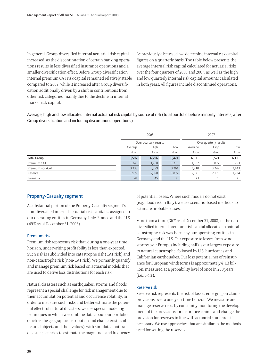In general, Group-diversified internal actuarial risk capital increased, as the discontinuation of certain banking operations results in less diversified insurance operations and a smaller diversification effect. Before Group diversification, internal premium CAT risk capital remained relatively stable compared to 2007, while it increased after Group diversification additionally driven by a shift in contributions from other risk categories, mainly due to the decline in internal market risk capital.

As previously discussed, we determine internal risk capital figures on a quarterly basis. The table below presents the average internal risk capital calculated for actuarial risks over the four quarters of 2008 and 2007, as well as the high and low quarterly internal risk capital amounts calculated in both years. All figures include discontinued operations.

Average, high and low allocated internal actuarial risk capital by source of risk (total portfolio before minority interests, after Group diversification and including discontinued operations)

|                    |                        | 2008  |       | 2007    |                        |       |  |
|--------------------|------------------------|-------|-------|---------|------------------------|-------|--|
|                    | Over quarterly results |       |       |         | Over quarterly results |       |  |
|                    | Average                | High  | Low   | Average | High                   | Low   |  |
|                    | €mn                    | € mn  | €mn   | €mn     | € mn                   | €mn   |  |
| <b>Total Group</b> | 6,597                  | 6,796 | 6,421 | 6,311   | 6,521                  | 6,111 |  |
| Premium CAT        | 1,245                  | 1,258 | 1,218 | 1,007   | 1,077                  | 953   |  |
| Premium non-CAT    | 3,333                  | 3,399 | 3,264 | 3,210   | 3,249                  | 3,143 |  |
| Reserve            | 1,979                  | 2,098 | 1,872 | 2,071   | 2,170                  | 1,984 |  |
| Biometric          | 41                     | 45    | 35    | 23      | 25                     | 21    |  |

# Property-Casualty segment

A substantial portion of the Property-Casualty segment's non-diversified internal actuarial risk capital is assigned to our operating entities in Germany, Italy, France and the U.S. (49 % as of December 31, 2008).

### Premium risk

Premium risk represents risk that, during a one-year time horizon, underwriting profitability is less than expected. Such risk is subdivided into catastrophe risk (CAT risk) and non-catastrophe risk (non-CAT risk). We primarily quantify and manage premium risk based on actuarial models that are used to derive loss distributions for each risk.

Natural disasters such as earthquakes, storms and floods represent a special challenge for risk management due to their accumulation potential and occurrence volatility. In order to measure such risks and better estimate the potential effects of natural disasters, we use special modeling techniques in which we combine data about our portfolio (such as the geographic distribution and characteristics of insured objects and their values), with simulated natural disaster scenarios to estimate the magnitude and frequency of potential losses. Where such models do not exist (e.g., flood risk in Italy), we use scenario-based methods to estimate probable losses.

More than a third (36% as of December 31, 2008) of the nondiversified internal premium risk capital allocated to natural catastrophe risk was borne by our operating entities in Germany and the U.S. Our exposure to losses from windstorms over Europe (including hail) is our largest exposure to natural catastrophe, followed by U.S. hurricanes and Californian earthquakes. Our loss potential net of reinsurance for European windstorms is approximately  $\epsilon$  1.3 billion, measured at a probability level of once in 250 years  $(i.e., 0.4\%)$ .

### Reserve risk

Reserve risk represents the risk of losses emerging on claims provisions over a one-year time horizon. We measure and manage reserve risks by constantly monitoring the development of the provisions for insurance claims and change the provision for reserves in line with actuarial standards if necessary. We use approaches that are similar to the methods used for setting the reserves.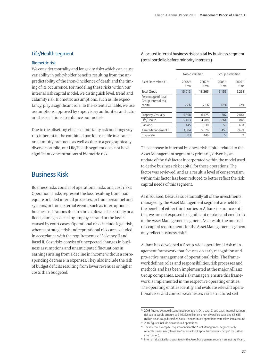# Life/Health segment

### Biometric risk

We consider mortality and longevity risks which can cause variability in policyholder benefits resulting from the unpredictability of the (non-)incidence of death and the timing of its occurrence. For modeling these risks within our internal risk capital model, we distinguish level, trend and calamity risk. Biometric assumptions, such as life expectancy, play a significant role. To the extent available, we use assumptions approved by supervisory authorities and actuarial associations to enhance our models.

Due to the offsetting effects of mortality risk and longevity risk inherent in the combined portfolios of life insurance and annuity products, as well as due to a geographically diverse portfolio, our Life/Health segment does not have significant concentrations of biometric risk.

# Business Risk

Business risks consist of operational risks and cost risks. Operational risks represent the loss resulting from inadequate or failed internal processes, or from personnel and systems, or from external events, such as interruption of business operations due to a break-down of electricity or a flood, damage caused by employee fraud or the losses caused by court cases. Operational risks include legal risk, whereas strategic risk and reputational risks are excluded in accordance with the requirements of Solvency II and Basel II. Cost risks consist of unexpected changes in business assumptions and unanticipated fluctuations in earnings arising from a decline in income without a corresponding decrease in expenses. They also include the risk of budget deficits resulting from lower revenues or higher costs than budgeted.

Allocated internal business risk capital by business segment (total portfolio before minority interests)

|                                                       |                           | Non-diversified                  | Group diversified               |                           |  |
|-------------------------------------------------------|---------------------------|----------------------------------|---------------------------------|---------------------------|--|
| As of December 31,                                    | 2008 <sup>1</sup><br>€ mn | 2007 <sup>2</sup><br>$\n  Emn\n$ | 2008 <sup>1</sup><br>$\n  mn\n$ | 2007 <sup>2</sup><br>€ mn |  |
| <b>Total Group</b>                                    | 15,013                    | 18,365                           | 5,155                           | 7,233                     |  |
| Percentage of total<br>Group internal risk<br>capital | 22%                       | 25%                              | 18%                             | 22%                       |  |
| Property-Casualty                                     | 5,898                     | 6,425                            | 1,707                           | 2,064                     |  |
| Life/Health                                           | 5,163                     | 4,288                            | 1,864                           | 1,840                     |  |
| Banking                                               | 145                       | 1,630                            | 59                              | 634                       |  |
| Asset Management <sup>3)</sup>                        | 3,304                     | 5,576                            | 1,453                           | 2,621                     |  |
| Corporate                                             | 503                       | 446                              | 72                              | 74                        |  |

The decrease in internal business risk capital related to the Asset Management segment is primarily driven by an update of the risk factor incorporated within the model used to derive business risk capital for these operations. The factor was reviewed, and as a result, a level of conservatism within this factor has been reduced to better reflect the risk capital needs of this segment.

As discussed, because substantially all of the investments managed by the Asset Management segment are held for the benefit of either third parties or Allianz insurance entities, we are not exposed to significant market and credit risk in the Asset Management segment. As a result, the internal risk capital requirements for the Asset Management segment only reflect business risk.4)

Allianz has developed a Group-wide operational risk management framework that focuses on early recognition and pro-active management of operational risks. The framework defines roles and responsibilities, risk processes and methods and has been implemented at the major Allianz Group companies. Local risk managers ensure this framework is implemented in the respective operating entities. The operating entities identify and evaluate relevant operational risks and control weaknesses via a structured self

<sup>&</sup>lt;sup>1)</sup> 2008 figures exclude discontinued operations. On a total Group basis, internal business risk capital would amount to  $\epsilon$  16,362 million on a non-diversified basis and  $\epsilon$  5,635 million on a Group diversified basis, if discontinued operations were taken into account.

<sup>&</sup>lt;sup>2)</sup> 2007 figures include discontinued operations.

<sup>&</sup>lt;sup>3)</sup> The internal risk capital requirements for the Asset Management segment only reflect business risk (please see "Internal Risk Capital Framework – Scope" for further information).

<sup>4)</sup> Internal risk capital for guarantees in the Asset Management segment are not significant.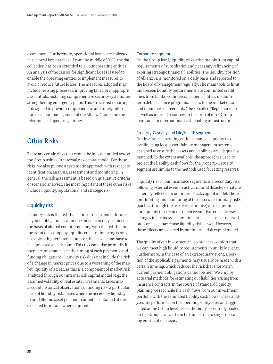assessment. Furthermore, operational losses are collected in a central loss database. From the middle of 2008, the data collection has been extended to all our operating entities. An analysis of the causes for significant losses is used to enable the operating entities to implement measures to avoid or reduce future losses. The measures adopted may include revising processes, improving failed or inappropriate controls, installing comprehensive security systems and strengthening emergency plans. This structured reporting is designed to provide comprehensive and timely information to senior management of the Allianz Group and the relevant local operating entities.

# Other Risks

There are certain risks that cannot be fully quantified across the Group using our internal risk capital model. For these risks, we also pursue a systematic approach with respect to identification, analysis, assessment and monitoring. In general, the risk assessment is based on qualitative criteria or scenario analyses. The most important of these other risks include liquidity, reputational and strategic risk.

# Liquidity risk

Liquidity risk is the risk that short-term current or future payment obligations cannot be met or can only be met on the basis of altered conditions, along with the risk that in the event of a company liquidity crisis, refinancing is only possible at higher interest rates or that assets may have to be liquidated at a discount. This risk can arise primarily if there are mismatches in the timing of cash payments and funding obligations. Liquidity risk does not include the risk of a change in market prices due to a worsening of the market liquidity of assets, as this is a component of market risk analyzed through our internal risk capital model (e.g., the assumed volatility of real estate investments takes into account historical observations). Funding risk, a particular form of liquidity risk, arises when the necessary liquidity to fund illiquid asset positions cannot be obtained at the expected terms and when required.

### Corporate segment

On the Group level, liquidity risks arise mainly from capital requirements of subsidiaries and necessary refinancing of expiring strategic financial liabilities. The liquidity position of Allianz SE is monitored on a daily basis and reported to the Board of Management regularly. The main tools to limit unforeseen liquidity requirements are committed credit lines from banks, commercial paper facilities, mediumterm debt issuance programs, access to the market of sale and repurchase agreements (the so-called "Repo market") as well as internal resources in the form of intra-Group loans and an international cash pooling infrastructure.

### Property-Casualty and Life/Health segments

Our insurance operating entities manage liquidity risk locally, using local asset-liability management systems designed to ensure that assets and liabilities are adequately matched. To the extent available, the approaches used to project the liability cash flows for the Property-Casualty segment are similar to the methods used for setting reserves.

Liquidity risk in our insurance segments is a secondary risk following external events, such as natural disasters, that are generally reflected in our internal risk capital model. Therefore, limiting and monitoring of the associated primary risks (such as through the use of reinsurance) also helps limit our liquidity risk related to such events. Extreme adverse changes in business assumptions such as lapse or renewal rates or costs may cause liquidity risk as well. However, these effects are covered by our internal risk capital model.

The quality of our investments also provides comfort that we can meet high liquidity requirements in unlikely events. Furthermore, in the case of an extraordinary event, a portion of the applicable payments may usually be made with a certain time lag, which reduces the risk that short-term current payment obligations cannot be met. We employ actuarial methods for estimating our liabilities arising from insurance contracts. In the course of standard liquidity planning we reconcile the cash flows from our investment portfolio with the estimated liability cash flows. These analyses are performed on the operating entity level and aggregated at the Group level. Excess liquidity is centrally pooled on the Group level and can be transferred to single operating entities if necessary.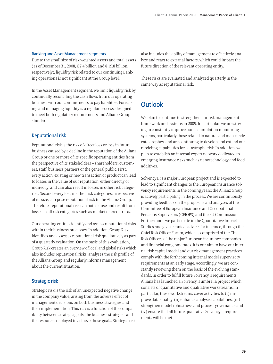### Banking and Asset Management segments

Due to the small size of risk weighted assets and total assets (as of December 31, 2008, € 7.4 billion and € 19.8 billion, respectively), liquidity risk related to our continuing Banking operations is not significant at the Group level.

In the Asset Management segment, we limit liquidity risk by continually reconciling the cash flows from our operating business with our commitments to pay liabilities. Forecasting and managing liquidity is a regular process, designed to meet both regulatory requirements and Allianz Group standards.

# Reputational risk

Reputational risk is the risk of direct loss or loss in future business caused by a decline in the reputation of the Allianz Group or one or more of its specific operating entities from the perspective of its stakeholders – shareholders, customers, staff, business partners or the general public. First, every action, existing or new transaction or product can lead to losses in the value of our reputation, either directly or indirectly, and can also result in losses in other risk categories. Second, every loss in other risk categories, irrespective of its size, can pose reputational risk to the Allianz Group. Therefore, reputational risk can both cause and result from losses in all risk categories such as market or credit risks.

Our operating entities identify and assess reputational risks within their business processes. In addition, Group Risk identifies and assesses reputational risk qualitatively as part of a quarterly evaluation. On the basis of this evaluation, Group Risk creates an overview of local and global risks which also includes reputational risks, analyses the risk profile of the Allianz Group and regularly informs management about the current situation.

# Strategic risk

Strategic risk is the risk of an unexpected negative change in the company value, arising from the adverse effect of management decisions on both business strategies and their implementation. This risk is a function of the compatibility between strategic goals, the business strategies and the resources deployed to achieve those goals. Strategic risk

also includes the ability of management to effectively analyze and react to external factors, which could impact the future direction of the relevant operating entity.

These risks are evaluated and analyzed quarterly in the same way as reputational risk.

# **Outlook**

We plan to continue to strengthen our risk management framework and systems in 2009. In particular, we are striving to constantly improve our accumulation monitoring systems, particularly those related to natural and man-made catastrophes, and are continuing to develop and extend our modeling capabilities for catastrophe risk. In addition, we plan to establish an internal expert network dedicated to emerging insurance risks such as nanotechnology and food additives.

Solvency II is a major European project and is expected to lead to significant changes to the European insurance solvency requirements in the coming years; the Allianz Group is actively participating in the process. We are continuously providing feedback on the proposals and analyses of the Committee of European Insurance and Occupational Pensions Supervisors (CEIOPS) and the EU Commission. Furthermore, we participate in the Quantitative Impact Studies and give technical advice, for instance, through the Chief Risk Officer Forum, which is comprised of the Chief Risk Officers of the major European insurance companies and financial conglomerates. It is our aim to have our internal risk capital model and our risk management practices comply with the forthcoming internal model supervisory requirements at an early stage. Accordingly, we are constantly reviewing them on the basis of the evolving standards. In order to fulfill future Solvency II requirements, Allianz has launched a Solvency II umbrella project which consists of quantitative and qualitative workstreams. In particular, these workstreams cover activities to (i) improve data quality, (ii) enhance analysis capabilities, (iii) strengthen model robustness and process governance and (iv) ensure that all future qualitative Solvency II requirements will be met.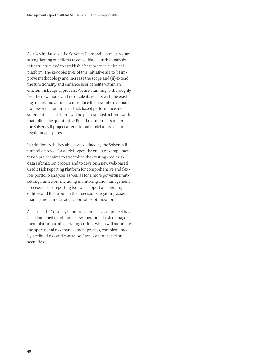As a key initiative of the Solvency II umbrella project, we are strengthening our efforts to consolidate our risk analysis infrastructure and to establish a best practice technical platform. The key objectives of this initiative are to (i) improve methodology and increase the scope and (ii) extend the functionality and enhance user benefits within an efficient risk capital process. We are planning to thoroughly test the new model and reconcile its results with the existing model, and aiming to introduce the new internal model framework for our internal risk based performance measurement. This platform will help us establish a framework that fulfills the quantitative Pillar I requirements under the Solvency II project after internal model approval for regulatory purposes.

In addition to the key objectives defined by the Solvency II umbrella project for all risk types, the credit risk implementation project aims to streamline the existing credit risk data submission process and to develop a new web-based Credit Risk Reporting Platform for comprehensive and flexible portfolio analyses as well as for a more powerful limitsetting framework including monitoring and management processes. This reporting tool will support all operating entities and the Group in their decisions regarding asset management and strategic portfolio optimization.

As part of the Solvency II umbrella project, a subproject has been launched to roll-out a new operational risk management platform to all operating entities which will automate the operational risk management process, complemented by a refined risk and control self-assessment based on scenarios.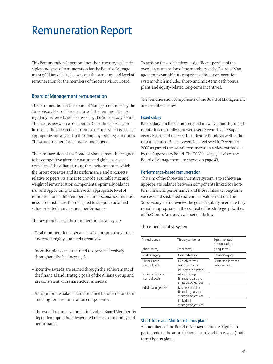# Remuneration Report

This Remuneration Report outlines the structure, basic principles and level of remuneration for the Board of Management of Allianz SE. It also sets out the structure and level of remuneration for the members of the Supervisory Board.

# Board of Management remuneration

The remuneration of the Board of Management is set by the Supervisory Board. The structure of the remuneration is regularly reviewed and discussed by the Supervisory Board. The last review was carried out in December 2008. It confirmed confidence in the current structure, which is seen as appropriate and aligned to the Company's strategic priorities. The structure therefore remains unchanged.

The remuneration of the Board of Management is designed to be competitive given the nature and global scope of activities of the Allianz Group, the environment in which the Group operates and its performance and prospects relative to peers. Its aim is to provide a suitable mix and weight of remuneration components, optimally balance risk and opportunity to achieve an appropriate level of remuneration in different performance scenarios and business circumstances. It is designed to support sustained value-oriented management performance.

The key principles of the remuneration strategy are:

- Total remuneration is set at a level appropriate to attract and retain highly qualified executives.
- Incentive plans are structured to operate effectively throughout the business cycle.
- Incentive awards are earned through the achievement of the financial and strategic goals of the Allianz Group and are consistent with shareholder interests.
- An appropriate balance is maintained between short-term and long-term remuneration components.
- The overall remuneration for individual Board Members is dependent upon their designated role, accountability and performance.

To achieve these objectives, a significant portion of the overall remuneration of the members of the Board of Management is variable. It comprises a three-tier incentive system which includes short- and mid-term cash bonus plans and equity-related long-term incentives.

The remuneration components of the Board of Management are described below:

### Fixed salary

Base salary is a fixed amount, paid in twelve monthly instalments. It is normally reviewed every 3 years by the Supervisory Board and reflects the individual's role as well as the market context. Salaries were last reviewed in December 2008 as part of the overall remuneration review carried out by the Supervisory Board. The 2008 base pay levels of the Board of Management are shown on page 43.

### Performance-based remuneration

The aim of the three-tier incentive system is to achieve an appropriate balance between components linked to shortterm financial performance and those linked to long-term success and sustained shareholder value creation. The Supervisory Board reviews the goals regularly to ensure they remain appropriate in the context of the strategic priorities of the Group. An overview is set out below:

### Three-tier incentive system

| Annual bonus                                | Three-year bonus                                                        | Equity-related<br>remuneration       |
|---------------------------------------------|-------------------------------------------------------------------------|--------------------------------------|
| (short-term)                                | (mid-term)                                                              | (long-term)                          |
| Goal category                               | Goal category                                                           | Goal category                        |
| Allianz Group<br>financial goals            | EVA-objectives<br>over three-year<br>performance period                 | Sustained increase<br>in share price |
| <b>Business division</b><br>financial goals | Allianz Group<br>financial goals and<br>strategic objectives            |                                      |
| Individual objectives                       | <b>Business division</b><br>financial goals and<br>strategic objectives |                                      |
|                                             | Individual<br>strategic objectives                                      |                                      |

### Short-term and Mid-term bonus plans

All members of the Board of Management are eligible to participate in the annual (short-term) and three-year (midterm) bonus plans.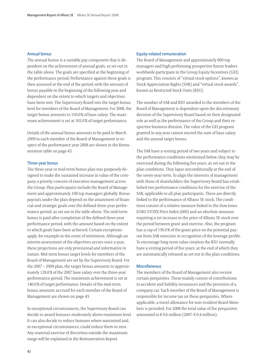### Annual bonus

The annual bonus is a variable pay component that is dependent on the achievement of annual goals, as set out in the table above. The goals are specified at the beginning of the performance period. Performance against these goals is then assessed at the end of the period, with the amount of bonus payable in the beginning of the following year and dependent on the extent to which targets and objectives have been met. The Supervisory Board sets the target bonus level for members of the Board of Management. For 2008, the target bonus amounts to 150.0 % of base salary. The maximum achievement is set at 165.0 % of target performance.

Details of the annual bonus amounts to be paid in March 2009 to each member of the Board of Management in respect of the performance year 2008 are shown in the Remuneration table on page 43.

### Three-year bonus

The three-year or mid-term bonus plan was purposely designed to make the sustained increase in value of the company a priority concern of executive management across the Group. Plan participants include the Board of Management and approximately 100 top managers globally. Bonus payouts under the plan depend on the attainment of financial and strategic goals over the defined three-year performance period, as set out in the table above. The mid-term bonus is paid after completion of the defined three-year performance period, with the amount based on the extent to which goals have been achieved. Certain exceptions apply, for example in the event of retirement. Although an interim assessment of the objectives occurs once a year, these projections are only provisional and informative in nature. Mid-term bonus target levels for members of the Board of Management are set by the Supervisory Board. For the 2007 – 2009 plan, the target bonus amounts to approximately 128.0 % of the 2007 base salary over the three-year performance period. The maximum achievement is set at 140.0 % of target performance. Details of the mid-term bonus amounts accrued for each member of the Board of Management are shown on page 43.

In exceptional circumstances, the Supervisory Board can decide to award bonuses moderately above maximum level. It can also decide to reduce bonuses where warranted and, in exceptional circumstances, could reduce them to zero. Any material exercise of discretion outside the maximum range will be explained in the Remuneration Report.

#### Equity-related remuneration

The Board of Management and approximately 800 top managers and high performing prospective future leaders worldwide participate in the Group Equity Incentives (GEI) program. This consists of "virtual stock options", known as Stock Appreciation Rights (SAR) and "virtual stock awards", known as Restricted Stock Units (RSU).

The number of SAR and RSU awarded to the members of the Board of Management is dependent upon the discretionary decision of the Supervisory Board based on their designated role as well as the performance of the Group and their respective business division. The value of the GEI program granted in any year cannot exceed the sum of base salary and the annual target bonus.

The SAR have a vesting period of two years and subject to the performance conditions mentioned below, they may be exercised during the following five years, as set out in the plan conditions. They lapse unconditionally at the end of the seven-year term. To align the interests of management with those of shareholders the Supervisory Board has established two performance conditions for the exercise of the SAR, applicable to all plan participants. These are directly linked to the performance of Allianz SE stock. The conditions consist of a relative measure linked to the Dow Jones EURO STOXX Price Index (600) and an absolute measure requiring a set increase in the price of Allianz SE stock over the period between grant and exercise. Also, the program has a cap of 150.0% of the grant price on the potential payout from SAR exercises in recognition of the leverage profile. To encourage long-term value creation the RSU normally have a vesting period of five years, at the end of which they are automatically released as set out in the plan conditions.

### Miscellaneous

The members of the Board of Management also receive certain perquisites. These mainly consist of contributions to accident and liability insurances and the provision of a company car. Each member of the Board of Management is responsible for income tax on these perquisites. Where applicable, a travel allowance for non-resident Board Members is provided. For 2008 the total value of the perquisites amounted to  $\epsilon$  0.6 million (2007:  $\epsilon$  0.4 million).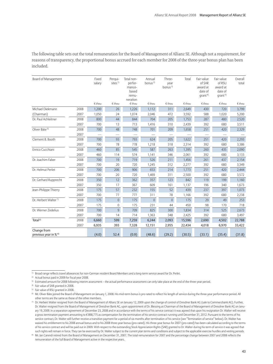The following table sets out the total remuneration for the Board of Management of Allianz SE. Although not a requirement, for reasons of transparency, the proportional bonus accrued for each member for 2008 of the three-year bonus plan has been included.

| Board of Management                           |      | Fixed<br>salary | Perqui-<br>$sites$ <sup>1)</sup> | Total non-<br>perfor-<br>mance-<br>based<br>remu-<br>neration | Annual<br>bonus <sup>2)</sup> | Three-<br>year<br>bonus $3$ ) | Total  | Fair value<br>of SAR<br>award at<br>date of<br>$4$ | Fair value<br>of RSU<br>award at<br>date of<br>qrant <sup>5)</sup> | Overall<br>total |
|-----------------------------------------------|------|-----------------|----------------------------------|---------------------------------------------------------------|-------------------------------|-------------------------------|--------|----------------------------------------------------|--------------------------------------------------------------------|------------------|
|                                               |      | € thou          | € thou                           | € thou                                                        | € thou                        | € thou                        | € thou | € thou                                             | € thou                                                             | € thou           |
| Michael Diekmann                              | 2008 | 1,200           | 26                               | 1,226                                                         | 1,112                         | 311                           | 2,649  | 430                                                | 720                                                                | 3,799            |
| (Chairman)                                    | 2007 | 1,050           | 24                               | 1,074                                                         | 2,046                         | 472                           | 3,592  | 588                                                | 1,020                                                              | 5,200            |
| Dr. Paul Achleitner                           | 2008 | 800             | 44                               | 844                                                           | 704                           | 205                           | 1,753  | 287                                                | 480                                                                | 2,520            |
|                                               | 2007 | 700             | 13                               | 713                                                           | 1,416                         | 310                           | 2,439  | 392                                                | 680                                                                | 3,511            |
| Oliver Bäte <sup>6)</sup>                     | 2008 | 700             | 48                               | 748                                                           | 701                           | 209                           | 1,658  | 251                                                | 420                                                                | 2,329            |
|                                               | 2007 |                 |                                  |                                                               |                               |                               |        |                                                    |                                                                    |                  |
| Clement B. Booth                              | 2008 | 700             | 93                               | 793                                                           | 624                           | 205                           | 1,622  | 251                                                | 420                                                                | 2,293            |
|                                               | 2007 | 700             | 78                               | 778                                                           | 1,218                         | 318                           | 2,314  | 392                                                | 680                                                                | 3,386            |
| Enrico Cucchiani                              | 2008 | 460             | 85                               | 545                                                           | 587                           | 263                           | 1,395  | 260                                                | 435                                                                | 2,090            |
|                                               | 2007 | 460             | 114                              | 574                                                           | 1,141                         | 346                           | 2,061  | 392                                                | 680                                                                | 3,133            |
| Dr. Joachim Faber                             | 2008 | 700             | 19                               | 719                                                           | 526                           | 211                           | 1,456  | 261                                                | 437                                                                | 2,154            |
|                                               | 2007 | 700             | 20                               | 720                                                           | 1,245                         | 312                           | 2,277  | 392                                                | 680                                                                | 3,349            |
| Dr. Helmut Perlet                             | 2008 | 700             | 206                              | 906                                                           | 653                           | 214                           | 1,773  | 251                                                | 420                                                                | 2,444            |
|                                               | 2007 | 700             | 20                               | 720                                                           | 1,469                         | 311                           | 2,500  | 392                                                | 680                                                                | 3,572            |
| Dr. Gerhard Rupprecht                         | 2008 | 350             | 12                               | 362                                                           | 357                           | 123                           | 842    | 119                                                | 199                                                                | 1,160            |
|                                               | 2007 | 350             | 17                               | 367                                                           | 609                           | 161                           | 1,137  | 196                                                | 340                                                                | 1,673            |
| Jean-Philippe Thierry                         | 2008 | 175             | 57                               | 232                                                           | 155                           | 52                            | 439    | 237                                                | 397                                                                | 1,073            |
|                                               | 2007 | 700             | 77                               | 777                                                           | 311                           | 78                            | 1,166  | 392                                                | 680                                                                | 2,238            |
| Dr. Herbert Walter <sup>7)</sup>              | 2008 | 175             | $\mathbf 0$                      | 175                                                           | $\overline{0}$                | $\overline{0}$                | 175    | 29                                                 | 49                                                                 | 253              |
|                                               | 2007 | 175             | 0                                | 175                                                           | 231                           | 44                            | 450    | 98                                                 | 170                                                                | 718              |
| Dr. Werner Zedelius                           | 2008 | 700             | 9                                | 709                                                           | 825                           | 300                           | 1,834  | 314                                                | 525                                                                | 2,673            |
|                                               | 2007 | 700             | 14                               | 714                                                           | 1,363                         | 348                           | 2,425  | 392                                                | 680                                                                | 3,497            |
| Total <sup>8)</sup>                           | 2008 | 6,660           | 599                              | 7,259                                                         | 6,244                         | 2,093                         | 15,596 | 2,690                                              | 4,502                                                              | 22,788           |
|                                               | 2007 | 6,935           | 393                              | 7,328                                                         | 12,151                        | 2,955                         | 22,434 | 4,018                                              | 6,970                                                              | 33,422           |
| Change from<br>previous year in $\frac{8}{3}$ |      | (4.0)           | 52.4                             | (0.9)                                                         | (48.6)                        | (29.2)                        | (30.5) | (33.1)                                             | (35.4)                                                             | (31.8)           |

<sup>1)</sup> Broad range reflects travel allowances for non-German resident Board Members and a long-term service award for Dr. Perlet.

<sup>2)</sup> Actual bonus paid in 2009 for fiscal year 2008.

<sup>3)</sup> Estimated amount for 2008 following interim assessment – the actual performance assessment can only take place at the end of the three-year period.

<sup>4)</sup> Fair value of SAR granted in 2008.

<sup>5)</sup> Fair value of RSU granted in 2008.

<sup>6)</sup> Mr. Oliver Bäte joined the Board of Management on January 1, 2008. His mid-term bonus is pro rated to reflect his length of service during the three-year performance period. All other terms are the same as those of the other members.

<sup>7)</sup> Dr. Herbert Walter resigned from the Board of Management of Allianz SE on January 12, 2009 upon the change of control of Dresdner Bank AG (sale to Commerzbank AG). Further, Dr. Walter resigned from the Board of Management of Dresdner Bank AG, upon appointment of Dr. Blessing as Chairman of the Board of Management of Dresdner Bank AG on January 19, 2009. In a separation agreement of December 23, 2008 and in accordance with the terms of his service contract it was agreed that upon his resignation Dr. Walter will receive a gross termination payment amounting to € 898,775 as compensation for the termination of his service contract running until December 31, 2012. Pursuant to the terms of his service contract, Dr. Walter will further receive a transition payment for a period of six months after termination of his service (see "Termination of service" below). Dr. Walter has waived his entitlement to his 2008 annual bonus and to his 2008 three-year bonus (pro-rated). His three-year bonus for 2007 (pro-rated) has been calculated according to the terms of his service contract and will be paid out in 2009. With respect to the outstanding Stock Appreciation Rights (SAR) granted to Dr. Walter during his term of service it was agreed that such rights will remain in force. They can be exercised by Dr. Walter subject to the current plan terms and conditions and subject to the applicable exercise hurdles and vesting periods.

<sup>8)</sup> Mr. Jan Carendi retired from the Board of Management on December 31, 2007. The total remuneration for 2007 and the percentage change between 2007 and 2008 reflects the remuneration of the full Board of Management active in the respective years.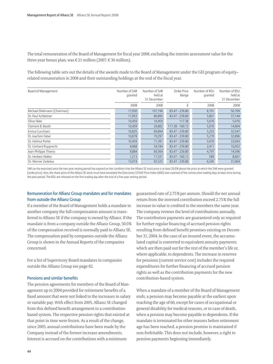The total remuneration of the Board of Management for fiscal year 2008, excluding the interim assessment value for the three-year bonus plan, was € 21 million (2007: € 30 million).

The following table sets out the details of the awards made to the Board of Management under the GEI program of equity– related remuneration in 2008 and their outstanding holdings at the end of the fiscal year.

| Board of Management         | Number of SAR<br>granted | Number of SAR<br>held at<br>31 December | <b>Strike Price</b><br>Range | Number of RSU<br>granted | Number of RSU<br>held at<br>31 December |
|-----------------------------|--------------------------|-----------------------------------------|------------------------------|--------------------------|-----------------------------------------|
|                             | 2008                     | 2008                                    | €                            | 2008                     | 2008                                    |
| Michael Diekmann (Chairman) | 17,930                   | 107,196                                 | 83.47 - 239.80               | 8,701                    | 50,799                                  |
| Dr. Paul Achleitner         | 11,953                   | 80,895                                  | 83.47 - 239.80               | 5,801                    | 37,144                                  |
| Oliver Bäte                 | 10,459                   | 10,459                                  | 117.38                       | 5,076                    | 5,076                                   |
| Clement B. Booth            | 10,459                   | 29,882                                  | 117.38 - 160.13              | 5,076                    | 14,904                                  |
| Enrico Cucchiani            | 10,825                   | 69,894                                  | 83.47 - 239.80               | 5,253                    | 32,547                                  |
| Dr. Joachim Faber           | 10,878                   | 70,297                                  | 83.47 - 239.80               | 5,279                    | 32,896                                  |
| Dr. Helmut Perlet           | 10,459                   | 71,391                                  | 83.47 - 239.80               | 5,076                    | 33,043                                  |
| Dr. Gerhard Rupprecht       | 4,968                    | 34,184                                  | 83.47 - 239.80               | 2,411                    | 16,052                                  |
| Jean-Philippe Thierry       | 9,884                    | 69,364                                  | 83.47 - 239.80               | 4,797                    | 14,596                                  |
| Dr. Herbert Walter          | 1,213                    | 17,331                                  | 83.47 - 160.13               | 589                      | 8,661                                   |
| Dr. Werner Zedelius         | 13,074                   | 65,525                                  | 83.47 - 239.80               | 6,345                    | 31,064                                  |

SAR can be exercised once the two-year vesting period has expired on the condition that the Allianz SE stock price is at least 20.0 % above the price at which the SAR were granted (strike price). Also, the share price of the Allianz SE stock must have exceeded the Dow Jones STOXX Price Index (600) over a period of five consecutive trading days at least once during the plan period. The RSU are released on the first trading day after the end of a five-year vesting period.

# Remuneration for Allianz Group mandates and for mandates from outside the Allianz Group

If a member of the Board of Management holds a mandate in another company the full compensation amount is transferred to Allianz SE if the company is owned by Allianz. If the mandate is from a company outside the Allianz Group, 50.0 % of the compensation received is normally paid to Allianz SE. The compensation paid by companies outside the Allianz Group is shown in the Annual Reports of the companies concerned.

For a list of Supervisory Board mandates in companies outside the Allianz Group see page 82.

### Pensions and similar benefits

The pension agreements for members of the Board of Management up to 2004 provided for retirement benefits of a fixed amount that were not linked to the increases in salary or variable pay. With effect from 2005, Allianz SE changed from this defined benefit arrangement to a contributionbased system. The respective pension rights that existed at that point in time were frozen. As a result of the change, since 2005, annual contributions have been made by the Company instead of the former increase amendments. Interest is accrued on the contributions with a minimum

guaranteed rate of 2.75 % per annum. Should the net annual return from the invested contribution exceed 2.75 % the full increase in value is credited to the members the same year. The company reviews the level of contributions annually. The contribution payments are guaranteed only as required for further regular financing of accrued pension rights resulting from defined benefit promises existing on December 31, 2004. In the case of an insured event, the accumulated capital is converted to equivalent annuity payments which are then paid out for the rest of the member's life or, where applicable, to dependents. The increase in reserves for pensions (current service cost) includes the required expenditures for further financing of accrued pension rights as well as the contribution payments for the new contribution-based system.

When a mandate of a member of the Board of Management ends, a pension may become payable at the earliest upon reaching the age of 60, except for cases of occupational or general disability for medical reasons, or in case of death, when a pension may become payable to dependents. If the mandate is terminated for other reasons before retirement age has been reached, a pension promise is maintained if non-forfeitable. This does not include, however, a right to pension payments beginning immediately.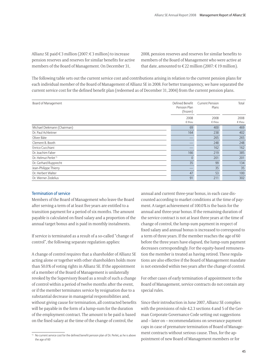Allianz SE paid € 3 million (2007: € 3 million) to increase pension reserves and reserves for similar benefits for active members of the Board of Management. On December 31,

2008, pension reserves and reserves for similar benefits to members of the Board of Management who were active at that date, amounted to  $\epsilon$  22 million (2007:  $\epsilon$  19 million).

The following table sets out the current service cost and contributions arising in relation to the current pension plans for each individual member of the Board of Management of Allianz SE in 2008. For better transparency, we have separated the current service cost for the defined benefit plan (redeemed as of December 31, 2004) from the current pension plans.

| Board of Management             | Defined Benefit<br>Pension Plan<br>(frozen) | <b>Current Pension</b><br>Plans | Total                   |
|---------------------------------|---------------------------------------------|---------------------------------|-------------------------|
|                                 | 2008<br>€ thou                              | 2008<br>€ thou                  | 2008<br>$\epsilon$ thou |
| Michael Diekmann (Chairman)     | 69                                          | 400                             | 469                     |
| Dr. Paul Achleitner             | 164                                         | 238                             | 402                     |
| Oliver Bäte                     |                                             | 265                             | 265                     |
| Clement B. Booth                |                                             | 248                             | 248                     |
| Enrico Cucchiani                |                                             | 162                             | 162                     |
| Dr. Joachim Faber               | 166                                         | 219                             | 385                     |
| Dr. Helmut Perlet <sup>1)</sup> | $\overline{0}$                              | 201                             | 201                     |
| Dr. Gerhard Rupprecht           | 35                                          | 99                              | 134                     |
| Jean-Philippe Thierry           |                                             | 35                              | 35                      |
| Dr. Herbert Walter              | 47                                          | 53                              | 100                     |
| Dr. Werner Zedelius             | 91                                          | 211                             | 302                     |

## Termination of service

Members of the Board of Management who leave the Board after serving a term of at least five years are entitled to a transition payment for a period of six months. The amount payable is calculated on fixed salary and a proportion of the annual target bonus and is paid in monthly instalments.

If service is terminated as a result of a so-called "change of control", the following separate regulation applies:

A change of control requires that a shareholder of Allianz SE acting alone or together with other shareholders holds more than 50.0 % of voting rights in Allianz SE. If the appointment of a member of the Board of Management is unilaterally revoked by the Supervisory Board as a result of such a change of control within a period of twelve months after the event, or if the member terminates service by resignation due to a substantial decrease in managerial responsibilities and, without giving cause for termination, all contracted benefits will be payable in the form of a lump-sum for the duration of the employment contract. The amount to be paid is based on the fixed salary at the time of the change of control, the

annual and current three-year bonus, in each case discounted according to market conditions at the time of payment. A target achievement of 100.0 % is the basis for the annual and three-year bonus. If the remaining duration of the service contract is not at least three years at the time of change of control, the lump-sum payment in respect of fixed salary and annual bonus is increased to correspond to a term of three years. If the member reaches the age of 60 before the three years have elapsed, the lump-sum payment decreases correspondingly. For the equity-based remuneration the member is treated as having retired. These regulations are also effective if the Board of Management mandate is not extended within two years after the change of control.

For other cases of early termination of appointment to the Board of Management, service contracts do not contain any special rules.

Since their introduction in June 2007, Allianz SE complies with the provisions of rule 4.2.3 sections 4 and 5 of the German Corporate Governance Code setting out suggestions and – later on – recommendations on severance payment caps in case of premature termination of Board of Management contracts without serious cause. Thus, for the appointment of new Board of Management members or for

<sup>&</sup>lt;sup>1)</sup> No current service cost for the defined benefit pension plan of Dr. Perlet, as he is above the age of 60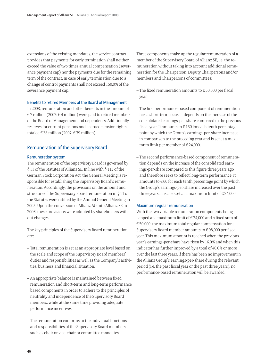extensions of the existing mandates, the service contract provides that payments for early termination shall neither exceed the value of two times annual compensation (severance payment cap) nor the payments due for the remaining term of the contract. In case of early termination due to a change of control payments shall not exceed 150.0 % of the severance payment cap.

#### Benefits to retired Members of the Board of Management

In 2008, remuneration and other benefits in the amount of € 7 million (2007: € 4 million) were paid to retired members of the Board of Management and dependents. Additionally, reserves for current pensions and accrued pension rights totaled € 38 million (2007: € 39 million).

### Remuneration of the Supervisory Board

#### Remuneration system

The remuneration of the Supervisory Board is governed by § 11 of the Statutes of Allianz SE. In line with § 113 of the German Stock Corporation Act, the General Meeting is responsible for establishing the Supervisory Board's remuneration. Accordingly, the provisions on the amount and structure of the Supervisory Board remuneration in § 11 of the Statutes were ratified by the Annual General Meeting in 2005. Upon the conversion of Allianz AG into Allianz SE in 2006, these provisions were adopted by shareholders without changes.

The key principles of the Supervisory Board remuneration are:

- Total remuneration is set at an appropriate level based on the scale and scope of the Supervisory Board members' duties and responsibilities as well as the Company's activities, business and financial situation.
- An appropriate balance is maintained between fixed remuneration and short-term and long-term performance based components in order to adhere to the principles of neutrality and independence of the Supervisory Board members, while at the same time providing adequate performance incentives.
- The remuneration conforms to the individual functions and responsibilities of the Supervisory Board members, such as chair or vice-chair or committee mandates.

Three components make up the regular remuneration of a member of the Supervisory Board of Allianz SE, i.e. the remuneration without taking into account additional remuneration for the Chairperson, Deputy Chairpersons and/or members and Chairpersons of committees:

- The fixed remuneration amounts to  $\rm \epsilon$  50,000 per fiscal year.
- The first performance-based component of remuneration has a short-term focus. It depends on the increase of the consolidated earnings-per-share compared to the previous fiscal year. It amounts to  $\epsilon$  150 for each tenth percentage point by which the Group's earnings-per-share increased in comparison to the preceding year and is set at a maximum limit per member of  $\epsilon$  24,000.
- The second performance-based component of remuneration depends on the increase of the consolidated earnings-per-share compared to this figure three years ago and therefore seeks to reflect long-term performance. It amounts to  $\epsilon$  60 for each tenth percentage point by which the Group's earnings-per-share increased over the past three years. It is also set at a maximum limit of  $\epsilon$  24,000.

#### Maximum regular remuneration

With the two variable remuneration components being capped at a maximum limit of  $\epsilon$  24,000 and a fixed sum of  $\epsilon$  50,000, the maximum total regular compensation for a Supervisory Board member amounts to  $\in$  98,000 per fiscal year. This maximum amount is reached when the previous year's earnings-per-share have risen by 16.0 % and when this indicator has further improved by a total of 40.0 % or more over the last three years. If there has been no improvement in the Allianz Group's earnings-per-share during the relevant period (i.e. the past fiscal year or the past three years), no performance-based remuneration will be awarded.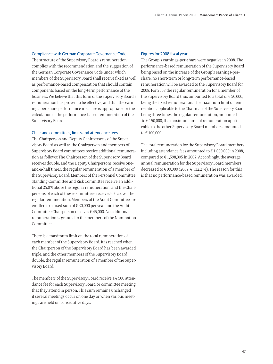### Compliance with German Corporate Governance Code

The structure of the Supervisory Board's remuneration complies with the recommendation and the suggestion of the German Corporate Governance Code under which members of the Supervisory Board shall receive fixed as well as performance-based compensation that should contain components based on the long-term performance of the business. We believe that this form of the Supervisory Board's remuneration has proven to be effective, and that the earnings-per-share performance measure is appropriate for the calculation of the performance-based remuneration of the Supervisory Board.

### Chair and committees, limits and attendance fees

The Chairperson and Deputy Chairpersons of the Supervisory Board as well as the Chairperson and members of Supervisory Board committees receive additional remuneration as follows: The Chairperson of the Supervisory Board receives double, and the Deputy Chairpersons receive oneand-a-half times, the regular remuneration of a member of the Supervisory Board. Members of the Personnel Committee, Standing Committee and Risk Committee receive an additional 25.0 % above the regular remuneration, and the Chairpersons of each of these committees receive 50.0 % over the regular remuneration. Members of the Audit Committee are entitled to a fixed sum of  $\epsilon$  30,000 per year and the Audit Committee Chairperson receives  $\in$  45,000. No additional remuneration is granted to the members of the Nomination Committee.

There is a maximum limit on the total remuneration of each member of the Supervisory Board. It is reached when the Chairperson of the Supervisory Board has been awarded triple, and the other members of the Supervisory Board double, the regular remuneration of a member of the Supervisory Board.

The members of the Supervisory Board receive a  $\rm \epsilon$  500 attendance fee for each Supervisory Board or committee meeting that they attend in person. This sum remains unchanged if several meetings occur on one day or when various meetings are held on consecutive days.

### Figures for 2008 fiscal year

The Group's earnings-per-share were negative in 2008. The performance-based remuneration of the Supervisory Board being based on the increase of the Group's earnings-pershare, no short-term or long-term performance-based remuneration will be awarded to the Supervisory Board for 2008. For 2008 the regular remuneration for a member of the Supervisory Board thus amounted to a total of  $\epsilon$  50,000, being the fixed remuneration. The maximum limit of remuneration applicable to the Chairman of the Supervisory Board, being three times the regular remuneration, amounted to  $\epsilon$  150,000, the maximum limit of remuneration applicable to the other Supervisory Board members amounted to € 100,000.

The total remuneration for the Supervisory Board members including attendance fees amounted to  $\epsilon$  1,080,000 in 2008, compared to  $\epsilon$  1,598,305 in 2007. Accordingly, the average annual remuneration for the Supervisory Board members decreased to  $\epsilon$  90,000 (2007:  $\epsilon$  132,274). The reason for this is that no performance-based remuneration was awarded.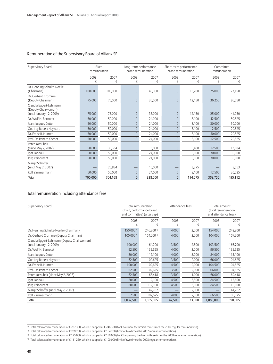### Remuneration of the Supervisory Board of Allianz SE

| Supervisory Board                                                         |           | Fixed<br>remuneration | Long-term performance<br>based remuneration |           |                  | Short-term performance<br>based remuneration | Committee<br>remuneration |           |
|---------------------------------------------------------------------------|-----------|-----------------------|---------------------------------------------|-----------|------------------|----------------------------------------------|---------------------------|-----------|
|                                                                           | 2008<br>€ | 2007<br>€             | 2008<br>€                                   | 2007<br>€ | 2008<br>€        | 2007<br>€                                    | 2008<br>€                 | 2007<br>€ |
| Dr. Henning Schulte-Noelle<br>(Chairman)                                  | 100,000   | 100,000               | 0                                           | 48,000    | $\mathbf{0}$     | 16,200                                       | 75,000                    | 123,150   |
| Dr. Gerhard Cromme<br>(Deputy Chairman)                                   | 75,000    | 75,000                | $\overline{0}$                              | 36,000    | $\mathbf{0}$     | 12,150                                       | 36,250                    | 86,050    |
| Claudia Eggert-Lehmann<br>(Deputy Chairwoman)<br>(until January 12, 2009) | 75,000    | 75,000                | $\mathbf 0$                                 | 36,000    | $\boldsymbol{0}$ | 12,150                                       | 25,000                    | 41,050    |
| Dr. Wulf H. Bernotat                                                      | 50,000    | 50,000                | $\overline{0}$                              | 24,000    | $\overline{0}$   | 8,100                                        | 42,500                    | 50,525    |
| Jean-Jacques Cette                                                        | 50,000    | 50,000                | $\overline{0}$                              | 24,000    | $\boldsymbol{0}$ | 8.100                                        | 30,000                    | 30,000    |
| Godfrey Robert Hayward                                                    | 50,000    | 50,000                | $\overline{0}$                              | 24,000    | $\boldsymbol{0}$ | 8,100                                        | 12,500                    | 20,525    |
| Dr. Franz B. Humer                                                        | 50,000    | 50,000                | $\overline{0}$                              | 24,000    | $\overline{0}$   | 8,100                                        | 50,000                    | 20,525    |
| Prof. Dr. Renate Köcher                                                   | 50,000    | 50,000                | $\overline{0}$                              | 24,000    | $\overline{0}$   | 8,100                                        | 12,500                    | 20,525    |
| Peter Kossubek<br>(since May 2, 2007)                                     | 50,000    | 33,334                | 0                                           | 16,000    | $\mathbf 0$      | 5,400                                        | 12,500                    | 13,684    |
| Igor Landau                                                               | 50,000    | 50,000                | $\mathbf 0$                                 | 24,000    | $\boldsymbol{0}$ | 8,100                                        | 30,000                    | 30,000    |
| Jörg Reinbrecht                                                           | 50,000    | 50,000                | $\overline{0}$                              | 24,000    | $\overline{0}$   | 8,100                                        | 30,000                    | 30,000    |
| Margit Schoffer<br>(until May 2, 2007)                                    |           | 20,834                |                                             | 10,000    |                  | 3,375                                        |                           | 8,553     |
| Rolf Zimmermann                                                           | 50,000    | 50,000                | $\overline{0}$                              | 24,000    | $\overline{0}$   | 8,100                                        | 12,500                    | 20,525    |
| Total                                                                     | 700,000   | 704,168               | $\mathbf{0}$                                | 338,000   | $\mathbf{0}$     | 114,075                                      | 368,750                   | 495,112   |

# Total remuneration including attendance fees

| Supervisory Board                          | Total remuneration<br>(fixed, performance based<br>and committee) (after cap) |                       | Attendance fees |        | Total amount<br>(total remuneration<br>and attendance fees) |           |
|--------------------------------------------|-------------------------------------------------------------------------------|-----------------------|-----------------|--------|-------------------------------------------------------------|-----------|
|                                            | 2008                                                                          | 2007                  | 2008            | 2007   | 2008                                                        | 2007      |
|                                            | €                                                                             | €                     | €               | €      | €                                                           | €         |
| Dr. Henning Schulte-Noelle (Chairman)      | 150,0003)                                                                     | 246,300 <sup>1)</sup> | 4,000           | 2,500  | 154,000                                                     | 248,800   |
| Dr. Gerhard Cromme (Deputy Chairman)       | 100,0004)                                                                     | 164,200 <sup>2)</sup> | 4,000           | 3,500  | 104,000                                                     | 167,700   |
| Claudia Eggert-Lehmann (Deputy Chairwoman) |                                                                               |                       |                 |        |                                                             |           |
| (until January 12, 2009)                   | 100,000                                                                       | 164,200               | 3,500           | 2,500  | 103,500                                                     | 166,700   |
| Dr. Wulf H. Bernotat                       | 92,500                                                                        | 132,625               | 4,000           | 3,000  | 96,500                                                      | 135,625   |
| Jean-Jacques Cette                         | 80,000                                                                        | 112,100               | 4,000           | 3,000  | 84,000                                                      | 115,100   |
| Godfrey Robert Hayward                     | 62,500                                                                        | 102,625               | 3,500           | 2,000  | 66,000                                                      | 104,625   |
| Dr. Franz B. Humer                         | 100,000                                                                       | 102,625               | 4,500           | 2,000  | 104,500                                                     | 104,625   |
| Prof. Dr. Renate Köcher                    | 62,500                                                                        | 102,625               | 3,500           | 2,000  | 66,000                                                      | 104,625   |
| Peter Kossubek (since May 2, 2007)         | 62,500                                                                        | 68,418                | 3,500           | 1,000  | 66,000                                                      | 69,418    |
| Igor Landau                                | 80,000                                                                        | 112,100               | 4,500           | 3,500  | 84,500                                                      | 115,600   |
| Jörg Reinbrecht                            | 80,000                                                                        | 112,100               | 4,500           | 3,500  | 84,500                                                      | 115,600   |
| Margit Schoffer (until May 2, 2007)        |                                                                               | 42,762                |                 | 2,000  |                                                             | 44,762    |
| Rolf Zimmermann                            | 62,500                                                                        | 102,625               | 4,000           | 2,500  | 66,500                                                      | 105,125   |
| Total                                      | 1,032,500                                                                     | 1,565,305             | 47,500          | 33,000 | 1,080,000                                                   | 1,598,305 |

 $^{\text{\tiny{1)}}}$  Total calculated remuneration of € 287,350, which is capped at € 246,300 (for Chairman, the limit is three times the 2007 regular remuneration).

 $^{2)}$  Total calculated remuneration of € 209,200, which is capped at € 164,200 (limit of two times the 2007 regular remuneration).

 $^{\text{3)}}$  Total calculated remuneration of € 175,000, which is capped at € 150,000 (for Chairperson, the limit is three times the 2008 regular remuneration).

 $^{4)}~$  Total calculated remuneration of € 111,250, which is capped at € 100,000 (limit of two times the 2008 regular remuneration).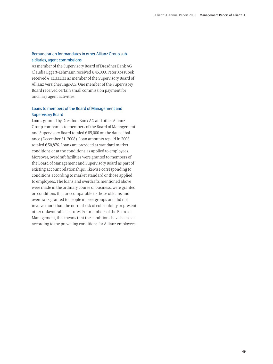# Remuneration for mandates in other Allianz Group subsidiaries, agent commissions

As member of the Supervisory Board of Dresdner Bank AG Claudia Eggert-Lehmann received  $\in$  45,000. Peter Kossubek received  $\in$  13,333.33 as member of the Supervisory Board of Allianz Versicherungs-AG. One member of the Supervisory Board received certain small commission payment for ancillary agent activities.

# Loans to members of the Board of Management and Supervisory Board

Loans granted by Dresdner Bank AG and other Allianz Group companies to members of the Board of Management and Supervisory Board totaled  $\in$  85,000 on the date of balance (December 31, 2008). Loan amounts repaid in 2008 totaled € 50,876. Loans are provided at standard market conditions or at the conditions as applied to employees. Moreover, overdraft facilities were granted to members of the Board of Management and Supervisory Board as part of existing account relationships, likewise corresponding to conditions according to market standard or those applied to employees. The loans and overdrafts mentioned above were made in the ordinary course of business, were granted on conditions that are comparable to those of loans and overdrafts granted to people in peer groups and did not involve more than the normal risk of collectibility or present other unfavourable features. For members of the Board of Management, this means that the conditions have been set according to the prevailing conditions for Allianz employees.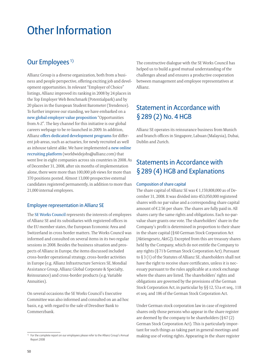# Other Information

# Our Employees<sup>1)</sup>

Allianz Group is a diverse organization, both from a business and people perspective, offering exciting job and development opportunities. In relevant "Employer of Choice" listings, Allianz improved its ranking in 2008 by 24 places in the Top Employer Web Benchmark (Potentialpark) and by 20 places in the European Student Barometer (Trendence). To further improve our standing, we have embarked on a new global employer value proposition "Opportunities from A-Z". The key channel for this initiative is our global careers webpage to be re-launched in 2009. In addition, Allianz offers dedicated development programs for different job areas, such as actuaries, for newly recruited as well as inhouse talent alike. We have implemented a new online recruiting platform (worldwidejobs@allianz.com) that went live in eight companies across six countries in 2008. As of December 31, 2008, after six months of implementation alone, there were more than 100,000 job views for more than 370 positions posted. Almost 13,000 prospective external candidates registered permanently, in addition to more than 21,000 internal employees.

# Employee representation in Allianz SE

The SE Works Council represents the interests of employees of Allianz SE and its subsidiaries with registered offices in the EU member states, the European Economic Area and Switzerland in cross border matters. The Works Council was informed and consulted on several items in its two regular sessions in 2008. Besides the business situation and prospects of Allianz in Europe, the items discussed included cross-border operational strategy, cross-border activities in Europe (e.g. Allianz Infrastructure Services SE, Mondial Assistance Group, Allianz Global Corporate & Specialty, Reinsurance) and cross-border products (e.g. Variable Annuities).

On several occasions the SE Works Council's Executive Committee was also informed and consulted on an ad hoc basis, e.g. with regard to the sale of Dresdner Bank to Commerzbank.

The constructive dialogue with the SE Works Council has helped us to build a good mutual understanding of the challenges ahead and ensures a productive cooperation between management and employee representatives at Allianz.

# Statement in Accordance with § 289 (2) No. 4 HGB

Allianz SE operates its reinsurance business from Munich and branch offices in Singapore, Labuan (Malaysia), Dubai, Dublin and Zurich.

# Statements in Accordance with § 289 (4) HGB and Explanations

#### Composition of share capital

The share capital of Allianz SE was  $\in$  1,159,808,000 as of December 31, 2008. It was divided into 453,050,000 registered shares with no par value and a corresponding share capital amount of  $\epsilon$  2.56 per share. The shares are fully paid in. All shares carry the same rights and obligations. Each no-parvalue share grants one vote. The shareholders' share in the Company's profit is determined in proportion to their share in the share capital (§ 60 German Stock Corporation Act [Aktiengesetz, AktG]). Excepted from this are treasury shares held by the Company, which do not entitle the Company to any rights (§ 71 b German Stock Corporation Act). Pursuant to § 3 (1) of the Statutes of Allianz SE, shareholders shall not have the right to receive share certificates, unless it is necessary pursuant to the rules applicable at a stock exchange where the shares are listed. The shareholders' rights and obligations are governed by the provisions of the German Stock Corporation Act, in particular by §§ 12, 53 a et seq., 118 et seq. and 186 of the German Stock Corporation Act.

Under German stock corporation law in case of registered shares only those persons who appear in the share register are deemed by the company to be shareholders  $(§ 67(2)$ German Stock Corporation Act). This is particularly important for such things as taking part in general meetings and making use of voting rights. Appearing in the share register

<sup>&</sup>lt;sup>1)</sup> For the complete report on our employees please refer to the Allianz Group's Annual Report 2008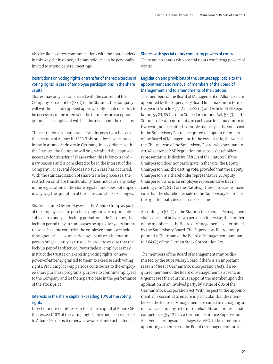also facilitates direct communications with the shareholders. In this way, for instance, all shareholders can be personally invited to attend general meetings.

# Restrictions on voting rights or transfer of shares; exercise of voting rights in case of employee participations in the share capital

Shares may only be transferred with the consent of the Company. Pursuant to  $\S 2(2)$  of the Statutes, the Company will withhold a duly applied approval only, if it deems this to be necessary in the interest of the Company on exceptional grounds. The applicant will be informed about the reasons.

The restriction on share transferability goes right back to the creation of Allianz in 1890. This practice is widespread in the insurance industry in Germany. In accordance with the Statutes, the Company will only withhold the approval necessary for transfer of shares when this is for extraordinary reasons and is considered to be in the interest of the Company. For several decades no such case has occurred. With the standardization of share transfer processes, the restriction on share transferability does not cause any delay in the registration in the share register and does not impede in any way the quotation of the shares on stock exchanges.

Shares acquired by employees of the Allianz Group as part of the employee share purchase program are in principle subject to a one-year lock-up period; outside Germany, the lock-up period may in some cases be up to five years for tax reasons. In some countries the employee shares are held throughout the lock-up period by a bank or other natural person or legal entity as trustee, in order to ensure that the lock-up period is observed. Nevertheless, employees may instruct the trustee on exercising voting rights, or have power-of-attorney granted to them to exercise such voting rights. Providing lock-up periods contributes to the employee share purchase programs' purpose to commit employees to the Company and let them participate in the performance of the stock price.

# Interests in the share capital exceeding 10 % of the voting rights

Direct or indirect interests in the share capital of Allianz SE that exceed 10 % of the voting rights have not been reported to Allianz SE, nor is it otherwise aware of any such interests. Shares with special rights conferring powers of control There are no shares with special rights conferring powers of control.

# Legislation and provisions of the Statutes applicable to the appointment and removal of members of the Board of Management and to amendments of the Statutes

The members of the Board of Management of Allianz SE are appointed by the Supervisory Board for a maximum term of five years (Article 9 (1), Article 39 (2) and Article 46 SE Regulation, §§ 84, 85 German Stock Corporation Act, § 5 (3) of the Statutes). Re-appointments, in each case for a maximum of five years, are permitted. A simple majority of the votes cast in the Supervisory Board is required to appoint members of the Board of Management. In the case of a tie, the vote of the Chairperson of the Supervisory Board, who pursuant to Art. 42 sentence 2 SE Regulation must be a shareholder representative, is decisive ( $\S 8(3)$  of the Statutes). If the Chairperson does not participate in the vote, the Deputy Chairperson has the casting vote, provided that the Deputy Chairperson is a shareholder representative. A Deputy Chairperson who is an employee representative has no casting vote ( $\S 8(3)$  of the Statutes). These provisions make sure that the shareholder side of the Supervisory Board has the right to finally decide in case of a tie.

According to § 5 (1) of the Statutes the Board of Management shall consist of at least two persons. Otherwise, the number of the members of the Board of Management is determined by the Supervisory Board. The Supervisory Board has appointed a Chairman of the Board of Management pursuant to § 84 (2) of the German Stock Corporation Act.

The members of the Board of Management may be dismissed by the Supervisory Board if there is an important reason (§ 84 (3) German Stock Corporation Act). If a required member of the Board of Management is absent, in urgent cases the court must appoint the member upon the application of an involved party, by virtue of  $\S 85$  of the German Stock Corporation Act. With respect to the appointment, it is essential to ensure in particular that the members of the Board of Management are suited to managing an insurance company in terms of reliability and professional competence (§§ 121 a, 7 a German Insurance Supervision Act [Versicherungsaufsichtsgesetz, VAG]). The intention of appointing a member to the Board of Management must be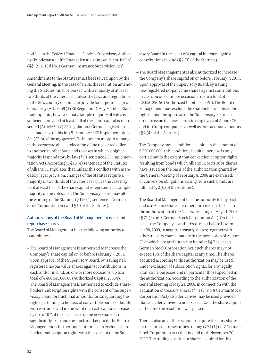notified to the Federal Financial Services Supervisory Authority (Bundesanstalt für Finanzdienstleistungsaufsicht, BaFin) (§§ 121 a, 13 d No. 1 German Insurance Supervision Act).

Amendments to the Statutes must be resolved upon by the General Meeting. In the case of an SE, the resolution amending the Statutes must be passed with a majority of at least two thirds of the votes cast, unless the laws and regulations in the SE's country of domicile provide for or permit a greater majority (Article 59 (1) SE Regulation). Any Member State may stipulate, however, that a simple majority of votes is sufficient, provided at least half of the share capital is represented (Article 59 (2) SE Regulation). German legislation has made use of this in § 51 sentence 1 SE Implementation Act (SE-Ausführungsgesetz). This does not apply to a change in the corporate object, relocation of the registered office to another Member State and to cases in which a higher majority is mandatory by law ( $\S$  51 sentence 2 SE Implementation Act). Accordingly,  $\S$  13 (4) sentence 2 of the Statutes of Allianz SE stipulates that, unless this conflicts with mandatory legal provision, changes of the Statutes require a majority of two thirds of the votes cast, or, as the case may be, if at least half of the share capital is represented, a simple majority of the votes cast. The Supervisory Board may alter the wording of the Statutes ( $\S 179(1)$  sentence 2 German Stock Corporation Act and § 10 of the Statutes).

# Authorizations of the Board of Management to issue and repurchase shares

The Board of Management has the following authority to issue shares:

– The Board of Management is authorized to increase the Company's share capital on or before February 7, 2011, upon approval of the Supervisory Board, by issuing new registered no-par value shares against contributions in cash and/or in kind, on one or more occasions, up to a total of € 406,545,646.08 (Authorized Capital 2006/I). The Board of Management is authorized to exclude shareholders' subscription rights with the consent of the Supervisory Board for fractional amounts, for safeguarding the rights pertaining to holders of convertible bonds or bonds with warrants, and in the event of a cash capital increase by up to 10 %, if the issue price of the new shares is not significantly less than the stock market price. The Board of Management is furthermore authorized to exclude shareholders' subscription rights with the consent of the Supervisory Board in the event of a capital increase against contributions in kind  $(§ 2(3)$  of the Statutes).

- The Board of Management is also authorized to increase the Company's share capital on or before February 7, 2011, upon approval of the Supervisory Board, by issuing new registered no-par value shares against contributions in cash, on one or more occasions, up to a total of - 8,056,296.96 (Authorized Capital 2006/II). The Board of Management may exclude the shareholders' subscription rights, upon the approval of the Supervisory Board, in order to issue the new shares to employees of Allianz SE and its Group companies as well as for fractional amounts  $(§ 2(4)$  of the Statutes).
- The Company has a conditional capital in the amount of  $\epsilon$  250,000,000; this conditional capital increase is only carried out to the extent that conversion or option rights resulting from bonds which Allianz SE or its subsidiaries have issued on the basis of the authorization granted by the General Meeting of February 8, 2006 are exercised, or conversion obligations arising from such bonds are fulfilled ( $\S 2(6)$  of the Statutes).
- The Board of Management has the authority to buy back and use Allianz shares for other purposes on the basis of the authorization of the General Meeting of May 21, 2008 (§ 71 (1) no. 8 German Stock Corporation Act). On that basis, the Company is authorized, on or before November 20, 2009, to acquire treasury shares; together with other treasury shares that are in the possession of Allianz SE or which are attributable to it under §§ 71 a et seq. German Stock Corporation Act, such shares may not exceed 10 % of the share capital at any time. The shares acquired according to this authorization may be used, under exclusion of subscription rights, for any legally admissible purposes and in particular those specified in the authorization. According to the authorization of the General Meeting of May 21, 2008, in connection with the acquisition of treasury shares  $(\S 71(1)$  no. 8 German Stock Corporation Act) also derivatives may be used provided that such derivatives do not exceed 5 % of the share capital at the time the resolution was passed.
- There is also an authorization to acquire treasury shares for the purposes of securities trading  $(\S 71(1)$  no. 7 German Stock Corporation Act) that is valid until November 20, 2009. The trading position in shares acquired for this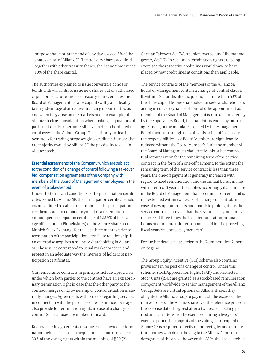purpose shall not, at the end of any day, exceed 5 % of the share capital of Allianz SE. The treasury shares acquired, together with other treasury shares, shall at no time exceed 10% of the share capital.

The authorities explained to issue convertible bonds or bonds with warrants, to issue new shares out of authorized capital or to acquire and use treasury shares enables the Board of Management to raise capital swiftly and flexibly taking advantage of attractive financing opportunities as and when they arise on the markets and, for example, offer Allianz stock as consideration when making acquisitions of participations. Furthermore Allianz stock can be offered to employees of the Allianz Group. The authority to deal in own stock for trading purposes gives credit institutions that are majority owned by Allianz SE the possibility to deal in Allianz stock.

# Essential agreements of the Company which are subject to the condition of a change of control following a takeover bid; compensation agreements of the Company with members of the Board of Management or employees in the event of a takeover bid

Under the terms and conditions of the participation certificates issued by Allianz SE, the participation certificate holders are entitled to call for redemption of the participation certificates and to demand payment of a redemption amount per participation certificate of 122.9 % of the average official price (Einheitskurs) of the Allianz share on the Munich Stock Exchange for the last three months prior to termination of the participation certificate relationship, if an enterprise acquires a majority shareholding in Allianz SE. These rules correspond to usual market practice and protect in an adequate way the interests of holders of participation certificates.

Our reinsurance contracts in principle include a provision under which both parties to the contract have an extraordinary termination right in case that the other party to the contract merges or its ownership or control situation materially changes. Agreements with brokers regarding services in connection with the purchase of re-insurance coverage also provide for termination rights in case of a change of control. Such clauses are market standard.

Bilateral credit agreements in some cases provide for termination rights in case of an acquisition of control of at least 30% of the voting rights within the meaning of  $\S 29(2)$ 

German Takeover Act (Wertpapiererwerbs- und Übernahmegesetz, WpÜG). In case such termination rights are being exercised the respective credit lines would have to be replaced by new credit lines at conditions then applicable.

The service contracts of the members of the Allianz SE Board of Management contain a change-of-control clause. If, within 12 months after acquisition of more than 50 % of the share capital by one shareholder or several shareholders acting in concert (change of control), the appointment as a member of the Board of Management is revoked unilaterally by the Supervisory Board, the mandate is ended by mutual agreement, or the mandate is ended by the Management Board member through resigning his or her office because the responsibilities as a Board Member are significantly reduced without the Board Member's fault, the member of the Board of Management shall receive his or her contractual remuneration for the remaining term of the service contract in the form of a one-off payment. To the extent the remaining term of the service contract is less than three years, the one-off payment is generally increased with regard to fixed remuneration and the annual bonus in line with a term of 3 years. This applies accordingly if a mandate in the Board of Management that is coming to an end and is not extended within two years of a change of control. In case of new appointments and mandate prolongations the service contracts provide that the severance payment may not exceed three times the fixed remuneration, annual bonus and pro rata mid-term-bonus paid for the preceding fiscal year (severance payment cap).

For further details please refer to the Remuneration Report on page 41.

The Group Equity Incentive (GEI) scheme also contains provisions in respect of a change of control. Under this scheme, Stock Appreciation Rights (SAR) and Restricted Stock Units (RSU) are granted as a stock-based remuneration component worldwide to senior management of the Allianz Group. SARs are virtual options on Allianz shares; they obligate the Allianz Group to pay in cash the excess of the market price of the Allianz share over the reference price on the exercise date. They vest after a two years' blocking period and can afterwards be exercised during a five years' exercise period. If a majority of the voting share capital in Allianz SE is acquired, directly or indirectly, by one or more third parties who do not belong to the Allianz Group, in derogation of the above, however, the SARs shall be exercised,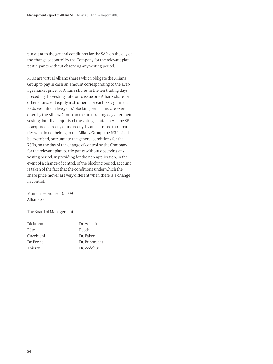pursuant to the general conditions for the SAR, on the day of the change of control by the Company for the relevant plan participants without observing any vesting period.

RSUs are virtual Allianz shares which obligate the Allianz Group to pay in cash an amount corresponding to the average market price for Allianz shares in the ten trading days preceding the vesting date, or to issue one Allianz share, or other equivalent equity instrument, for each RSU granted. RSUs vest after a five years' blocking period and are exercised by the Allianz Group on the first trading day after their vesting date. If a majority of the voting capital in Allianz SE is acquired, directly or indirectly, by one or more third parties who do not belong to the Allianz Group, the RSUs shall be exercised, pursuant to the general conditions for the RSUs, on the day of the change of control by the Company for the relevant plan participants without observing any vesting period. In providing for the non application, in the event of a change of control, of the blocking period, account is taken of the fact that the conditions under which the share price moves are very different when there is a change in control.

Munich, February 13, 2009 Allianz SE

The Board of Management

| Diekmann   | Dr. Achleitner |
|------------|----------------|
| Bäte       | <b>Booth</b>   |
| Cucchiani  | Dr. Faber      |
| Dr. Perlet | Dr. Rupprecht  |
| Thierry    | Dr. Zedelius   |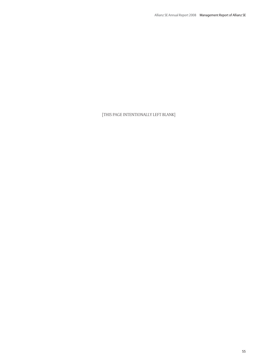# [THIS PAGE INTENTIONALLY LEFT BLANK]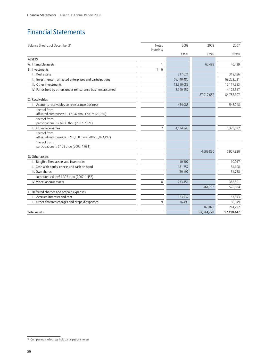# Financial Statements

| Balance Sheet as of December 31                                           | Notes    | 2008       | 2008       | 2007       |
|---------------------------------------------------------------------------|----------|------------|------------|------------|
|                                                                           | Note No. | € thou     | € thou     | € thou     |
| <b>ASSETS</b>                                                             |          |            |            |            |
| A. Intangible assets                                                      | 1        |            | 62,499     | 40,439     |
| <b>B.</b> Investments                                                     | $1 - 6$  |            |            |            |
| I. Real estate                                                            |          | 317,621    |            | 318,486    |
| II. Investments in affiliated enterprises and participations              |          | 69,440,485 |            | 68,223,521 |
| III. Other investments                                                    |          | 13,310,089 |            | 12,117,983 |
| IV. Funds held by others under reinsurance business assumed               |          | 3,949,457  |            | 4,122,317  |
|                                                                           |          |            | 87,017,652 | 84,782,307 |
| C. Receivables                                                            |          |            |            |            |
| I. Accounts receivables on reinsurance business                           |          | 434,985    |            | 548,248    |
| thereof from<br>affiliated enterprises: € 117,042 thou (2007: 120,750)    |          |            |            |            |
| thereof from<br>participations <sup>1)</sup> : € 6,633 thou (2007: 7,021) |          |            |            |            |
| II. Other receivables                                                     | 7        | 4,174,845  |            | 6,379,572  |
| thereof from<br>affiliated enterprises: €3,218,150 thou (2007: 5,093,192) |          |            |            |            |
| thereof from<br>participations <sup>1)</sup> : €108 thou (2007: 1,681)    |          |            |            |            |
|                                                                           |          |            | 4,609,830  | 6,927,820  |
| D. Other assets                                                           |          |            |            |            |
| I. Tangible fixed assets and inventories                                  |          | 10,307     |            | 10,217     |
| II. Cash with banks, checks and cash on hand                              |          | 181,757    |            | 81,108     |
| III. Own shares                                                           |          | 39,197     |            | 51,758     |
| computed value: €1,397 thou (2007: 1,453)                                 |          |            |            |            |
| IV. Miscellaneous assets                                                  | 8        | 233,451    |            | 382,501    |
|                                                                           |          |            | 464,712    | 525,584    |
| E. Deferred charges and prepaid expenses                                  |          |            |            |            |
| I. Accrued interests and rent                                             |          | 123,532    |            | 153,343    |
| II. Other deferred charges and prepaid expenses                           | 9        | 36,495     |            | 60,949     |
|                                                                           |          |            | 160,027    | 214,292    |
| <b>Total Assets</b>                                                       |          |            | 92,314,720 | 92,490,442 |

<sup>1)</sup> Companies in which we hold participation interest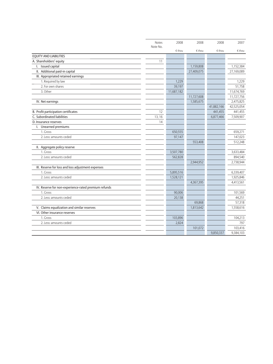|                                                      | <b>Notes</b><br>Note No. | 2008       | 2008       | 2008       | 2007       |
|------------------------------------------------------|--------------------------|------------|------------|------------|------------|
|                                                      |                          | € thou     | € thou     | € thou     | € thou     |
| EQUITY AND LIABILITIES                               |                          |            |            |            |            |
| A. Shareholders' equity                              | 11                       |            |            |            |            |
| I. Issued capital                                    |                          |            | 1,159,808  |            | 1,152,384  |
| II. Additional paid-in capital                       |                          |            | 27,409,075 |            | 27,169,089 |
| III. Appropriated retained earnings                  |                          |            |            |            |            |
| 1. Required by law                                   |                          | 1,229      |            |            | 1,229      |
| 2. For own shares                                    |                          | 39,197     |            |            | 51,758     |
| 3. Other                                             |                          | 11,687,182 |            |            | 11,674,769 |
|                                                      |                          |            | 11,727,608 |            | 11,727,756 |
| IV. Net earnings                                     |                          |            | 1,585,675  |            | 2,475,825  |
|                                                      |                          |            |            | 41,882,166 | 42,525,054 |
| B. Profit participation certificates                 | 12                       |            |            | 441,455    | 441,455    |
| C. Subordinated liabilities                          | 13, 16                   |            |            | 6,877,466  | 7,509,907  |
| D. Insurance reserves                                | 14                       |            |            |            |            |
| I. Unearned premiums                                 |                          |            |            |            |            |
| 1. Gross                                             |                          | 650,555    |            |            | 659,271    |
| 2. Less: amounts ceded                               |                          | 97,147     |            |            | 147,023    |
|                                                      |                          |            | 553,408    |            | 512,248    |
| II. Aggregate policy reserve                         |                          |            |            |            |            |
| 1. Gross                                             |                          | 3,507,780  |            |            | 3,633,484  |
| 2. Less: amounts ceded                               |                          | 562,828    |            |            | 894,540    |
|                                                      |                          |            | 2,944,952  |            | 2,738,944  |
| III. Reserve for loss and loss adjustment expenses   |                          |            |            |            |            |
| 1. Gross                                             |                          | 5,895,516  |            |            | 6,339,407  |
| 2. Less: amounts ceded                               |                          | 1,528,121  |            |            | 1,925,846  |
|                                                      |                          |            | 4,367,395  |            | 4,413,561  |
| IV. Reserve for non-experience-rated premium refunds |                          |            |            |            |            |
| 1. Gross                                             |                          | 90,006     |            |            | 101,569    |
| 2. Less: amounts ceded                               |                          | 20,138     |            |            | 44,251     |
|                                                      |                          |            | 69,868     |            | 57,318     |
| V. Claims equalization and similar reserves          |                          |            | 1,813,642  |            | 1,558,616  |
| VI. Other insurance reserves                         |                          |            |            |            |            |
| 1. Gross                                             |                          | 103,896    |            |            | 104,213    |
| 2. Less: amounts ceded                               |                          | 2,824      |            |            | 797        |
|                                                      |                          |            | 101,072    |            | 103,416    |
|                                                      |                          |            |            | 9,850,337  | 9,384,103  |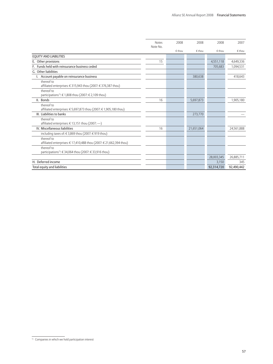|                                                                                        | <b>Notes</b><br>Note No. | 2008   | 2008       | 2008       | 2007            |
|----------------------------------------------------------------------------------------|--------------------------|--------|------------|------------|-----------------|
|                                                                                        |                          | € thou | € thou     | € thou     | $\epsilon$ thou |
| EQUITY AND LIABILITIES                                                                 |                          |        |            |            |                 |
| E. Other provisions                                                                    | 15                       |        |            | 4,551,118  | 4,649,336       |
| F. Funds held with reinsurance business ceded                                          |                          |        |            | 705,683    | 1,094,531       |
| G. Other liabilities                                                                   |                          |        |            |            |                 |
| Account payable on reinsurance business                                                |                          |        | 380,638    |            | 418,643         |
| thereof to<br>affiliated enterprises: €315,943 thou (2007: €376,387 thou)              |                          |        |            |            |                 |
| thereof to<br>participations <sup>1)</sup> : $\in$ 1,808 thou (2007: $\in$ 2,109 thou) |                          |        |            |            |                 |
| II. Bonds                                                                              | 16                       |        | 5,697,873  |            | 1,905,180       |
| thereof to<br>affiliated enterprises: € 5,697,873 thou (2007: € 1,905,180 thou)        |                          |        |            |            |                 |
| III. Liabilities to banks                                                              |                          |        | 273,770    |            |                 |
| thereof to<br>affiliated enterprises: € 13,151 thou (2007: $-$ )                       |                          |        |            |            |                 |
| IV. Miscellaneous liabilities                                                          | 16                       |        | 21,651,064 |            | 24,561,888      |
| including taxes of: €3,869 thou (2007: €919 thou)                                      |                          |        |            |            |                 |
| thereof to<br>affiliated enterprises: € 17,410,488 thou (2007: € 21,662,394 thou)      |                          |        |            |            |                 |
| thereof to<br>participations <sup>1)</sup> : €34,064 thou (2007: €33,916 thou)         |                          |        |            |            |                 |
|                                                                                        |                          |        |            | 28,003,345 | 26,885,711      |
| H. Deferred income                                                                     |                          |        |            | 3,150      | 345             |
| Total equity and liabilities                                                           |                          |        |            | 92,314,720 | 92,490,442      |

 $\overline{1}$ ) Companies in which we hold participation interest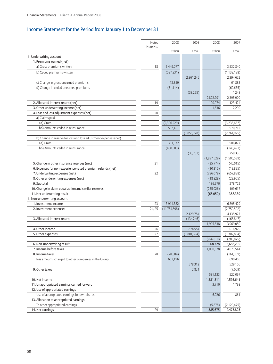# Income Statement for the Period from January 1 to December 31

|                                                                  | Notes<br>Note No. | 2008           | 2008        | 2008        | 2007          |
|------------------------------------------------------------------|-------------------|----------------|-------------|-------------|---------------|
|                                                                  |                   | € thou         | € thou      | € thou      | € thou        |
| I. Underwriting account                                          |                   |                |             |             |               |
| 1. Premiums earned (net)                                         |                   |                |             |             |               |
| a) Gross premiums written                                        | 18                | 3,449,077      |             |             | 3,532,840     |
| b) Ceded premiums written                                        |                   | (587, 831)     |             |             | (1, 138, 188) |
|                                                                  |                   |                | 2,861,246   |             | 2,394,652     |
| c) Change in gross unearned premiums                             |                   | 12,859         |             |             | 61,883        |
| d) Change in ceded unearned premiums                             |                   | (51, 114)      |             |             | (60, 635)     |
|                                                                  |                   |                | (38, 255)   |             | 1,248         |
|                                                                  |                   |                |             | 2,822,991   | 2,395,900     |
| 2. Allocated interest return (net)                               | 19                |                |             | 120,974     | 123,424       |
| 3. Other underwriting income (net)                               |                   |                |             | 1,536       | 2,290         |
| 4. Loss and loss adjustment expenses (net)                       | 20                |                |             |             |               |
| a) Claims paid                                                   |                   |                |             |             |               |
| aa) Gross                                                        |                   | (2,396,229)    |             |             | (3,235,637)   |
| bb) Amounts ceded in reinsurance                                 |                   | 537,451        |             |             | 970,712       |
|                                                                  |                   |                | (1,858,778) |             | (2,264,925)   |
| b) Change in reserve for loss and loss adjustment expenses (net) |                   |                |             |             |               |
| aa) Gross                                                        |                   | 361,332        |             |             | 906,877       |
| bb) Amounts ceded in reinsurance                                 |                   | (400, 083)     |             |             | (148, 491)    |
|                                                                  |                   |                | (38, 751)   |             | 758,386       |
|                                                                  |                   |                |             | (1,897,529) | (1,506,539)   |
| 5. Change in other insurance reserves (net)                      | 21                |                |             | (35, 774)   | (40, 615)     |
| 6. Expenses for non-experience-rated premium refunds (net)       |                   |                |             | (10, 315)   | (13,895)      |
| 7. Underwriting expenses (net)                                   | 22                |                |             | (796, 079)  | (657,888)     |
| 8. Other underwriting expenses (net)                             |                   |                |             | (18, 828)   | (23, 955)     |
| 9. Subtotal                                                      |                   |                |             | 186,976     | 278,722       |
| 10. Change in claim equalization and similar reserves            |                   |                |             | (255, 026)  | 109,617       |
| 11. Net underwriting result                                      |                   |                |             | (68,050)    | 388,339       |
| II. Non-underwriting account                                     |                   |                |             |             |               |
| 1. Investment income                                             | 23                | 13,914,382     |             |             | 6,895,429     |
| 2. Investment expenses                                           | 24, 25            | (11, 784, 598) |             |             | (2,759,502)   |
|                                                                  |                   |                | 2,129,784   |             | 4,135,927     |
| 3. Allocated interest return                                     |                   |                | (134, 246)  |             | (166, 847)    |
|                                                                  |                   |                |             | 1,995,538   | 3,969,080     |
| 4. Other income                                                  | 26                |                | 874,584     |             | 1,016,979     |
| 5. Other expenses                                                | 27                |                | (1,801,394) |             | (1,302,854)   |
|                                                                  |                   |                |             | (926, 810)  | (285, 875)    |
| 6. Non-underwriting result                                       |                   |                |             | 1,068,728   | 3,683,205     |
| 7. Income before taxes                                           |                   |                |             | 1,000,678   | 4,071,544     |
| 8. Income taxes                                                  | 28                | (28, 884)      |             |             | (161, 359)    |
| less amounts charged to other companies in the Group             |                   | 607,196        |             |             | 690,465       |
|                                                                  |                   |                | 578,312     |             | 529,106       |
| 9. Other taxes                                                   |                   |                | 2,821       |             | (7,009)       |
|                                                                  |                   |                |             | 581,133     | 522,097       |
| 10. Net income                                                   |                   |                |             | 1,581,811   | 4,593,641     |
| 11. Unappropriated earnings carried forward                      |                   |                |             | 3,716       | 1,798         |
| 12. Use of appropriated earnings                                 |                   |                |             |             |               |
| Use of appropriated earnings for own shares                      |                   |                |             | 6,026       | 861           |
| 13. Allocation to appropriated earnings                          |                   |                |             |             |               |
| To other appropriated earnings                                   |                   |                |             | (5,878)     | (2,120,475)   |
| 14. Net earnings                                                 | 29                |                |             | 1,585,675   | 2,475,825     |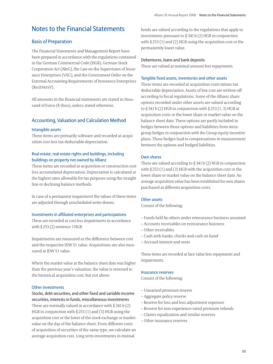# Notes to the Financial Statements

# Basis of Preparation

The Financial Statements and Management Report have been prepared in accordance with the regulations contained in the German Commercial Code (HGB), German Stock Corporation Act (AktG), the Law on the Supervision of Insurance Enterprises (VAG), and the Government Order on the External Accounting Requirements of Insurance Enterprises (RechVersV).

All amounts in the financial statements are stated in thousand of Euros ( $\rm \epsilon$  thou), unless stated otherwise.

### Accounting, Valuation and Calculation Method

#### Intangible assets

These items are primarily software and recorded at acquisition cost less tax deductable depreciation.

# Real estate, real estate rights and buildings, including buildings on property not owned by Allianz

These items are recorded at acquisition or construction cost less accumulated depreciation. Depreciation is calculated at the highest rates allowable for tax purposes using the straight line or declining balance methods.

In case of a permanent impairment the values of these items are adjusted through unscheduled write-downs.

#### Investments in affiliated enterprises and participations

These are recorded at cost less impairments in accordance with  $\S$  253 (2) sentence 3 HGB.

Impairments are measured as the difference between cost and the respective IDW S1 value. Acquisitions are also measured at IDW S1 value.

Where the market value at the balance sheet date was higher than the previous year's valuation, the value is reversed to the historical acquisition cost, but not above.

# Other investments

Stocks, debt securities, and other fixed and variable income securities, interests in funds, miscellaneous investments These are normally valued in accordance with § 341 b (2) HGB in conjunction with  $\S 253(1)$  and (3) HGB using the acquisition cost or the lower of the stock exchange or market value on the day of the balance sheet. From different costs of acquisition of securities of the same type, we calculate an average acquisition cost. Long term investments in mutual

funds are valued according to the regulations that apply to investments pursuant to  $\S 341 b(2)$  HGB in conjunction with  $\S 253$  (1) and (2) HGB using the acquisition cost or the permanently lower value.

### Debentures, loans and bank deposits

These are valued at nominal amount less repayments.

### Tangible fixed assets, inventories and other assets

These items are recorded at acquisition costs minus tax deductable depreciation. Assets of low cost are written-off according to fiscal regulations. Some of the Allianz share options recorded under other assets are valued according to  $\S$  341 b (2) HGB in conjunction with  $\S$  253 (1, 3) HGB at acquisition costs or the lower share or market value on the balance sheet date. These options are partly included in hedges between those options and liabilities from intragroup hedges in conjunction with the Group equity incentive plans. Those hedges lead to compensations in measurement between the options and hedged liabilities.

### Own shares

These are valued according to  $\S 341 b(2)$  HGB in conjunction with  $\S 253$  (1) and (3) HGB with the acquisition cost or the lower share or market value on the balance sheet date. An average acquisition value has been established for own shares purchased at different acquisition costs.

### Other assets

Consist of the following:

- Funds held by others under reinsurance business assumed
- Accounts receivables on reinsurance business
- Other receivables
- Cash with banks, checks and cash on hand
- Accrued interest and rents

These items are recorded at face value less repayments and impairments.

### Insurance reserves

Consist of the following:

- Unearned premium reserve
- Aggregate policy reserve
- Reserve for loss and loss adjustment expenses
- Reserve for non-experience-rated premium refunds
- Claims equalization and similar reserves
- Other insurance reserves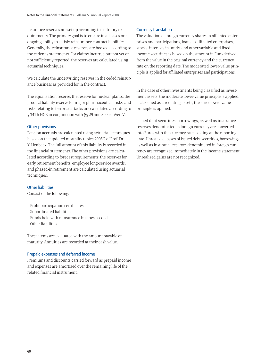Insurance reserves are set up according to statutory requirements. The primary goal is to ensure in all cases our ongoing ability to satisfy reinsurance contract liabilities. Generally, the reinsurance reserves are booked according to the cedent's statements. For claims incurred but not yet or not sufficiently reported, the reserves are calculated using actuarial techniques.

We calculate the underwriting reserves in the ceded reinsurance business as provided for in the contract.

The equalization reserve, the reserve for nuclear plants, the product liability reserve for major pharmaceutical risks, and risks relating to terrorist attacks are calculated according to § 341 h HGB in conjunction with §§ 29 and 30 RechVersV.

### Other provisions

Pension accruals are calculated using actuarial techniques based on the updated mortality tables 2005G of Prof. Dr. K. Heubeck. The full amount of this liability is recorded in the financial statements. The other provisions are calculated according to forecast requirements; the reserves for early retirement benefits, employee long-service awards, and phased-in retirement are calculated using actuarial techniques.

### Other liabilities

Consist of the following:

- Profit participation certificates
- Subordinated liabilities
- Funds held with reinsurance business ceded
- Other liabilities

These items are evaluated with the amount payable on maturity. Annuities are recorded at their cash value.

#### Prepaid expenses and deferred income

Premiums and discounts carried forward as prepaid income and expenses are amortized over the remaining life of the related financial instrument.

#### Currency translation

The valuation of foreign currency shares in affiliated enterprises and participations, loans to affiliated enterprises, stocks, interests in funds, and other variable and fixed income securities is based on the amount in Euro derived from the value in the original currency and the currency rate on the reporting date. The moderated lower-value principle is applied for affiliated enterprises and participations.

In the case of other investments being classified as investment assets, the moderate lower-value principle is applied. If classified as circulating assets, the strict lower-value principle is applied.

Issued debt securities, borrowings, as well as insurance reserves denominated in foreign currency are converted into Euros with the currency rate existing at the reporting date. Unrealized losses of issued debt securities, borrowings, as well as insurance reserves denominated in foreign currency are recognized immediately in the income statement. Unrealized gains are not recognized.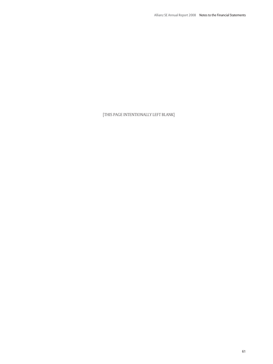# [THIS PAGE INTENTIONALLY LEFT BLANK]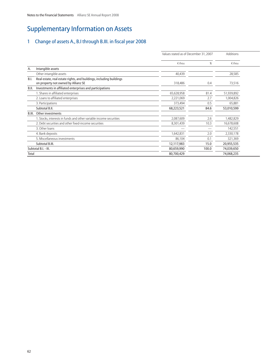# <span id="page-64-0"></span>Supplementary Information on Assets

# 1 Change of assets A., B.I through B.III. in fiscal year 2008

|        |                                                                                                            | Values stated as of December 31, 2007                                                                                                                                                                                                     |       | Additions       |  |
|--------|------------------------------------------------------------------------------------------------------------|-------------------------------------------------------------------------------------------------------------------------------------------------------------------------------------------------------------------------------------------|-------|-----------------|--|
|        |                                                                                                            | $\epsilon$ thou<br>$\%$<br>40,439<br>318,486<br>0.4<br>81.4<br>65,628,958<br>2,221,069<br>2.7<br>373,494<br>0.5<br>84.6<br>68,223,521<br>2,087,609<br>2.6<br>10.3<br>8,301,439<br>2.0<br>1,642,831<br>86,104<br>0.1<br>12,117,983<br>15.0 |       | $\epsilon$ thou |  |
| А.     | Intangible assets                                                                                          |                                                                                                                                                                                                                                           |       |                 |  |
|        | Other intangible assets                                                                                    |                                                                                                                                                                                                                                           |       | 28,585          |  |
| B.I.   | Real estate, real estate rights, and buildings, including buildings<br>on property not owned by Allianz SE |                                                                                                                                                                                                                                           |       | 73,516          |  |
| B.II.  | Investments in affiliated enterprises and participations                                                   |                                                                                                                                                                                                                                           |       |                 |  |
|        | 1. Shares in affiliated enterprises                                                                        |                                                                                                                                                                                                                                           |       | 51,939,892      |  |
|        | 2. Loans to affiliated enterprises                                                                         |                                                                                                                                                                                                                                           |       | 1,004,826       |  |
|        | 3. Participations                                                                                          |                                                                                                                                                                                                                                           |       | 65,881          |  |
|        | Subtotal B.II.                                                                                             |                                                                                                                                                                                                                                           |       | 53,010,599      |  |
| B.III. | Other investments                                                                                          |                                                                                                                                                                                                                                           |       |                 |  |
|        | 1. Stocks, interests in funds and other variable income securities                                         |                                                                                                                                                                                                                                           |       | 1,482,829       |  |
|        | 2. Debt securities and other fixed-income securities                                                       |                                                                                                                                                                                                                                           |       | 16,678,608      |  |
|        | 3. Other loans                                                                                             |                                                                                                                                                                                                                                           |       | 142,551         |  |
|        | 4. Bank deposits                                                                                           |                                                                                                                                                                                                                                           |       | 2,330,178       |  |
|        | 5. Miscellaneous investments                                                                               |                                                                                                                                                                                                                                           |       | 321,369         |  |
|        | Subtotal B.III.                                                                                            |                                                                                                                                                                                                                                           |       | 20,955,535      |  |
|        | Subtotal B.I. - III.                                                                                       | 80,659,990                                                                                                                                                                                                                                | 100.0 | 74,039,650      |  |
| Total  |                                                                                                            | 80,700,429                                                                                                                                                                                                                                |       | 74,068,235      |  |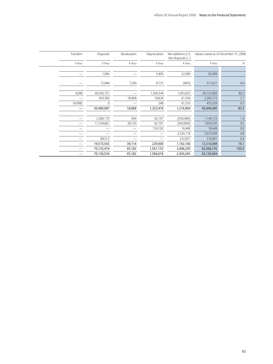| Transfers | <b>Disposals</b> | Revaluation | Depreciation | Net additions $(+)$<br>Net disposals $(-)$ | Values stated as of December 31, 2008 |       |
|-----------|------------------|-------------|--------------|--------------------------------------------|---------------------------------------|-------|
| € thou    | € thou           | € thou      | € thou       | € thou                                     | € thou                                | $\%$  |
|           |                  |             |              |                                            |                                       |       |
|           | 1,060            |             | 5,465        | 22,060                                     | 62,499                                |       |
|           |                  |             |              |                                            |                                       |       |
|           | 72,844           | 7,200       | 8,737        | (865)                                      | 317,621                               | 0.4   |
|           |                  |             |              |                                            |                                       |       |
| 4,098     | 49,545,721       |             | 1,304,344    | 1,093,925                                  | 66,722,883                            | 80.3  |
|           | 943,366          | 18,868      | 18,824       | 61,504                                     | 2,282,573                             | 2.7   |
| (4,098)   | 0                |             | 248          | 61,535                                     | 435,029                               | 0.5   |
|           | 50,489,087       | 18,868      | 1,323,416    | 1,216,964                                  | 69,440,485                            | 83.5  |
|           |                  |             |              |                                            |                                       |       |
|           | 2,380,170        | 964         | 42,107       | (938, 484)                                 | 1,149,125                             | 1.4   |
|           | 17,104,861       | 38,150      | 62,791       | (450, 894)                                 | 7,850,545                             | 9.5   |
|           |                  |             | 124,102      | 18,449                                     | 18,449                                | 0.0   |
|           |                  |             |              | 2,330,178                                  | 3,973,009                             | 4.8   |
|           | 88,512           |             |              | 232,857                                    | 318,961                               | 0.4   |
|           | 19,573,543       | 39,114      | 229,000      | 1,192,106                                  | 13,310,089                            | 16.1  |
|           | 70,135,474       | 65,182      | 1,561,153    | 2,408,205                                  | 83,068,195                            | 100.0 |
|           | 70,136,534       | 65,182      | 1,566,618    | 2,430,265                                  | 83,130,694                            |       |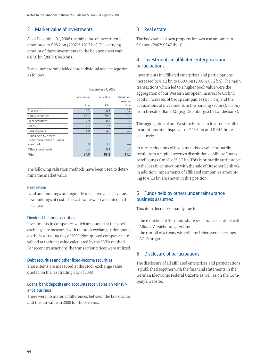# 2 Market value of investments

As of December 31, 2008 the fair value of investments amounted to € 98.2 bn (2007: € 120.7 bn). The carrying amount of these investments in the balance sheet was € 87.0 bn (2007: € 84.8 bn).

The values are subdivided into individual asset categories as follows:

|                                                    | December 31, 2008 |            |                      |  |  |  |  |  |
|----------------------------------------------------|-------------------|------------|----------------------|--|--|--|--|--|
|                                                    | Book value        | Fair value | Valuation<br>reserve |  |  |  |  |  |
|                                                    | € bn              | € bn       | € bn                 |  |  |  |  |  |
| Real estate                                        | 0.3               | 0.5        | 0.2                  |  |  |  |  |  |
| Equity securities                                  | 68.3              | 79.0       | 10.7                 |  |  |  |  |  |
| Debt securities                                    | 7.9               | 8.1        | 0.2                  |  |  |  |  |  |
| Loans                                              | 2.3               | 2.3        |                      |  |  |  |  |  |
| Bank deposits                                      | 4.0               | 4.0        |                      |  |  |  |  |  |
| Funds held by others<br>under reinsurance business |                   |            |                      |  |  |  |  |  |
| assumed                                            | 3.9               | 3.9        |                      |  |  |  |  |  |
| Other investments                                  | 0.3               | 0.4        | 0.1                  |  |  |  |  |  |
| Total                                              | 87.0              | 98.2       | 11.2                 |  |  |  |  |  |

The following valuation methods have been used to determine the market value:

### Real estate

Land and buildings are regularly measured at cash value, new buildings at cost. The cash value was calculated in the fiscal year.

### Dividend-bearing securities

Investments in companies which are quoted at the stock exchange are measured with the stock exchange price quoted on the last trading day of 2008. Non-quoted companies are valued at their net value calculated by the DVFA method. For recent transactions the transaction prices were utilized.

### Debt securities and other fixed-income securities

Those items are measured at the stock exchange value quoted on the last trading day of 2008.

# Loans, bank deposits and accounts receivables on reinsurance business

There were no material differences between the book value and the fair value in 2008 for those items.

# 3 Real estate

The book value of own property for own use amounts to € 0 thou (2007: € 547 thou).

# 4 Investments in affiliated enterprises and participations

Investments in affiliated enterprises and participations increased by  $\in$  1.2 bn to  $\in$  69.4 bn (2007:  $\in$  68.2 bn). The main transactions which led to a higher book value were the aggregation of our Western European insurers ( $\epsilon$  6.5 bn), capital increases of Group companies ( $\epsilon$  3.0 bn) and the acquisitions of investments in the banking sector ( $\epsilon$  1.6 bn) from Dresdner Bank AG (e.g. Oldenburgische Landesbank).

The aggregation of our Western European Insurers resulted in additions and disposals of  $\in$  45.6 bn and  $\in$  39.1 bn respectively.

In turn, reductions of investment book value primarily result from a capital reserves dissolution of Allianz Finanzbeteiligungs GmbH of  $\in$  8.2 bn. This is primarily attributable to the loss in connection with the sale of Dresdner Bank AG. In addition, impairments of affiliated companies amounting to  $\epsilon$  1.3 bn are shown in this position.

# 5 Funds held by others under reinsurance business assumed

This item decreased mainly due to:

- the reduction of the quota share reinsurance contract with Allianz Versicherungs-AG and
- the run-off of a treaty with Allianz Lebensversicherungs-AG, Stuttgart.

# 6 Disclosure of participations

The disclosure of all affiliated enterprises and participations is published together with the financial statements in the German Electronic Federal Gazette as well as on the Company's website.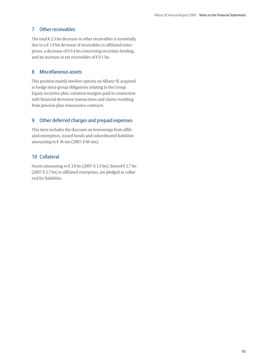# <span id="page-67-0"></span>7 Other receivables

The total  $\in$  2.3 bn decrease in other receivables is essentially due to a  $\epsilon$  1.9 bn decrease of receivables to affiliated enterprises, a decrease of  $\in$  0.4 bn concerning securities lending, and an increase in tax receivables of  $\in$  0.1 bn.

# 8 Miscellaneous assets

This position mainly involves options on Allianz SE acquired to hedge intra-group obligations relating to the Group Equity incentive plan, variation margins paid in connection with financial derivative transactions and claims resulting from pension plan reinsurance contracts.

# 9 Other deferred charges and prepaid expenses

This item includes the discount on borrowings from affiliated enterprises, issued bonds and subordinated liabilities amounting to  $\rm \epsilon$  36 mn (2007:  $\rm \epsilon$  60 mn).

# 10 Collateral

Assets amounting to € 3.0 bn (2007: € 3.3 bn), thereof € 2.7 bn (2007:  $\in$  2.7 bn) to affiliated enterprises, are pledged as collateral for liabilities.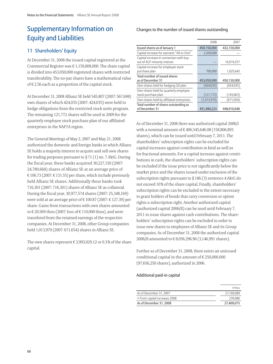# <span id="page-68-0"></span> Supplementary Information on Equity and Liabilities

# 11 Shareholders' Equity

At December 31, 2008 the issued capital registered at the Commercial Register was  $\in$  1,159,808,000. The share capital is divided into 453,050,000 registered shares with restricted transferability. The no-par shares have a mathematical value of  $\epsilon$  2.56 each as a proportion of the capital stock.

At December 31, 2008 Allianz SE held 545,807 (2007: 567,698) own shares of which 424,035 (2007: 424,035) were held to hedge obligations from the restricted stock units program. The remaining 121,772 shares will be used in 2009 for the quarterly employee stock purchase plan of our affiliated enterprises in the NAFTA region.

The General Meetings of May 2, 2007 and May 21, 2008 authorized the domestic and foreign banks in which Allianz SE holds a majority interest to acquire and sell own shares for trading purposes pursuant to  $\S 71 (1)$  no. 7 AktG. During the fiscal year, these banks acquired 30,227,150 (2007: 24,780,668) shares of Allianz SE at an average price of  $\in$  106.73 (2007:  $\in$  131.55) per share, which include previously held Allianz SE shares. Additionally these banks took 716,301 (2007: 716,301) shares of Allianz SE as collateral. During the fiscal year, 30,977,574 shares (2007: 25,348,169) were sold at an average price of € 100.87 (2007: € 127.39) per share. Gains from transactions with own shares amounted to € 20,569 thou (2007: loss of € 110,000 thou), and were transfered from the retained earnings of the respective companies. At December 31, 2008, other Group companies held 1,013,970 (2007: 671,654) shares in Allianz SE.

The own shares represent  $\rm \epsilon$  3,993,029.12 or 0.3% of the share capital.

### Changes to the number of issued shares outstanding

|                                                                          | 2008        | 2007        |
|--------------------------------------------------------------------------|-------------|-------------|
| Issued shares as of January 1                                            | 450,150,000 | 432,150,000 |
| Capital increase for warrants "All-in-One"                               | 2,200,000   |             |
| Capital increase in connection with buy-<br>out of AGF minority interest |             | 16,974,357  |
| Capital increase for employee stock<br>purchase plan                     | 700,000     | 1,025,643   |
| Total number of issued shares<br>as of December 31                       | 453,050,000 | 450,150,000 |
| Own shares held for hedging GEI plan                                     | (424, 035)  | (424, 035)  |
| Own shares held for quarterly employee<br>stock purchase plan            | (121, 772)  | (143, 663)  |
| Own shares held by affiliated enterprises                                | (1,013,970) | (671, 654)  |
| Total number of shares outstanding as<br>of December 31                  | 451,490,223 | 448,910,648 |

As of December 31, 2008 there was authorized capital 2006/I with a nominal amount of  $\epsilon$  406,545,646.08 (158,806,893 shares), which can be issued until February 7, 2011. The shareholders' subscription rights can be excluded for capital increases against contribution in kind as well as for fractional amounts. For a capital increase against contributions in cash, the shareholders' subscription rights can be excluded if the issue price is not significantly below the market price and the shares issued under exclusion of the subscription rights pursuant to  $\S 186 (3)$  sentence 4 AktG do not exceed 10 % of the share capital. Finally, shareholders' subscription rights can be excluded to the extent necessary to grant holders of bonds that carry conversion or option rights a subscription right. Another authorized capital (authorized capital 2006/II) can be used until February 7, 2011 to issue shares against cash contributions. The shareholders' subscription rights can be excluded in order to issue new shares to employees of Allianz SE and its Group companies. As of December 31, 2008 the authorized capital 2006/II amounted to € 8,056,296.96 (3,146,991 shares).

Further as of December 31, 2008, there exists an unissued conditional capital in the amount of  $\epsilon$  250,000,000 (97,656,250 shares), authorized in 2006.

### Additional paid-in capital

|                               | € thou     |
|-------------------------------|------------|
| As of December 31, 2007       | 27,169,089 |
| + From capital increases 2008 | 239.986    |
| As of December 31, 2008       | 27,409,075 |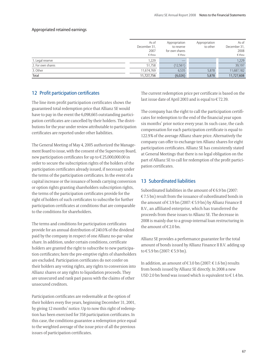### <span id="page-69-0"></span>Appropriated retained earnings

|                   | As of<br>December 31,<br>2007<br>$\epsilon$ thou | Appropriation<br>to reserve<br>for own shares<br>$\epsilon$ thou | Appropriation<br>to other | As of<br>December 31,<br>2008<br>€ thou |
|-------------------|--------------------------------------------------|------------------------------------------------------------------|---------------------------|-----------------------------------------|
| 1. Legal reserve  | 1,229                                            |                                                                  |                           | 1,229                                   |
| 2. For own shares | 51,758                                           | (12, 561)                                                        |                           | 39,197                                  |
| 3. Other          | 11,674,769                                       | 6,535                                                            | 5,878                     | 11,687,182                              |
| Total             | 11,727,756                                       | (6,026)                                                          | 5,878                     | 11,727,608                              |

# 12 Profit participation certificates

The line item profit participation certificates shows the guaranteed total redemption price that Allianz SE would have to pay in the event the 6,098,665 outstanding participation certificates are cancelled by their holders. The distributions for the year under review attributable to participation certificates are reported under other liabilities.

The General Meeting of May 4, 2005 authorized the Management Board to issue, with the consent of the Supervisory Board, new participation certificates for up to  $\in$  25,000,000.00 in order to secure the subscription rights of the holders of the participation certificates already issued, if necessary under the terms of the participation certificates. In the event of a capital increase or the issuance of bonds carrying conversion or option rights granting shareholders subscription rights, the terms of the participation certificates provide for the right of holders of such certificates to subscribe for further participation certificates at conditions that are comparable to the conditions for shareholders.

The terms and conditions for participation certificates provide for an annual distribution of 240.0 % of the dividend paid by the company in respect of one Allianz no-par value share. In addition, under certain conditions, certificate holders are granted the right to subscribe to new participation certificates; here the pre-emptive rights of shareholders are excluded. Participation certificates do not confer on their holders any voting rights, any rights to conversion into Allianz shares or any rights to liquidation proceeds. They are unsecured and rank pari passu with the claims of other unsecured creditors.

Participation certificates are redeemable at the option of their holders every five years, beginning December 31, 2001, by giving 12 months' notice. Up to now this right of redemption has been exercised for 358 participation certificates. In this case, the conditions guarantee a redemption price equal to the weighted average of the issue price of all the previous issues of participation certificates.

The current redemption price per certificate is based on the last issue date of April 2003 and is equal to  $\rm \epsilon$  72.39.

The company has the right to call the participation certificates for redemption to the end of the financial year upon six months' prior notice every year. In such case, the cash compensation for each participation certificate is equal to 122.9 % of the average Allianz share price. Alternatively the company can offer to exchange ten Allianz shares for eight participation certificates. Allianz SE has consistently stated at General Meetings that there is no legal obligation on the part of Allianz SE to call for redemption of the profit participation certificates.

# 13 Subordinated liabilities

Subordinated liabilities in the amount of  $\epsilon$  6.9 bn (2007:  $\rm \epsilon$  7.5 bn) result from the issuance of subordinated bonds in the amount of  $\epsilon$  3.9 bn (2007:  $\epsilon$  5.9 bn) by Allianz Finance II B.V., an affiliated enterprise, which has transferred the proceeds from these issues to Allianz SE. The decrease in 2008 is mainly due to a group-internal loan restructuring in the amount of  $\epsilon$  2.0 bn.

Allianz SE provides a performance guarantee for the total amount of bonds issued by Allianz Finance II B.V. adding up to € 5.9 bn (2007: € 5.9 bn).

In addition, an amount of  $\epsilon$  3.0 bn (2007:  $\epsilon$  1.6 bn) results from bonds issued by Allianz SE directly. In 2008 a new USD 2.0 bn bond was issued which is equivalent to  $\epsilon$  1.4 bn.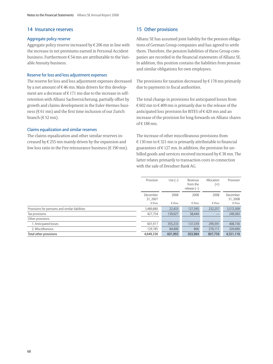### <span id="page-70-0"></span>14 Insurance reserves

### Aggregate policy reserve

Aggregate policy reserve increased by  $\in$  206 mn in line with the increase in net premiums earned in Personal Accident business. Furthermore  $\epsilon$  54 mn are attributable to the Variable Annuity business.

### Reserve for loss and loss adjustment expenses

The reserve for loss and loss adjustment expenses decreased by a net amount of  $\in$  46 mn. Main drivers for this development are a decrease of  $\epsilon$  171 mn due to the increase in selfretention with Allianz Sachversicherung, partially offset by growth and claims development in the Euler-Hermes business ( $\rm \epsilon$  61 mn) and the first time inclusion of our Zurich branch (€ 52 mn).

### Claims equalization and similar reserves

The claims equalization and other similar reserves increased by  $\epsilon$  255 mn mainly driven by the expansion and low loss ratio in the Fire reinsurance business (€ 190 mn).

# 15 Other provisions

Allianz SE has assumed joint liability for the pension obligations of German Group companies and has agreed to settle them. Therefore, the pension liabilities of these Group companies are recorded in the financial statements of Allianz SE. In addition, this position contains the liabilities from pension and similar obligations for own employees.

The provisions for taxation decreased by  $\epsilon$  178 mn primarily due to payments to fiscal authorities.

The total change in provisions for anticipated losses from  $\rm \epsilon$  602 mn to  $\rm \epsilon$  409 mn is primarily due to the release of the anticipated loss provision for BITES of  $\epsilon$  420 mn and an increase of the provision for long forwards on Allianz shares of € 188 mn.

The increase of other miscelleanous provisions from  $\in$  130 mn to  $\in$  321 mn is primarily attributable to financial guarantees of  $\in$  127 mn. In addition, the provision for unbilled goods and services received increased by  $\epsilon$  38 mn. The latter relates primarily to transaction costs in connection with the sale of Dresdner Bank AG.

|                                                 | Provision           | Use $(-)$ | Revenue<br>from the<br>release $(-)$ | Allocation<br>$^{(+)}$ | Provision           |
|-------------------------------------------------|---------------------|-----------|--------------------------------------|------------------------|---------------------|
|                                                 | December<br>31,2007 | 2008      | 2008                                 | 2008                   | December<br>31,2008 |
|                                                 | € thou              | € thou    | € thou                               | € thou                 | € thou              |
| Provisions for pensions and similar liabilities | 3,489,880           | 22,433    | 127,395                              | 232,257                | 3,572,309           |
| Tax provisions                                  | 427,754             | 139,927   | 38,444                               |                        | 249,383             |
| Other provisions                                |                     |           |                                      |                        |                     |
| 1. Anticipated losses                           | 601,917             | 355,233   | 137,339                              | 299,391                | 408,736             |
| 2. Miscelleanous                                | 129,785             | 84.400    | 806                                  | 276,111                | 320,690             |
| Total other provisions                          | 4,649,336           | 601,993   | 303,984                              | 807,759                | 4,551,118           |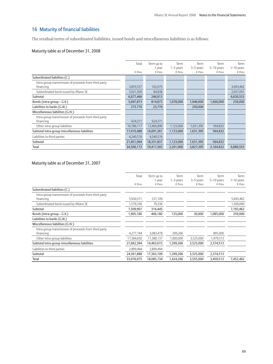# <span id="page-71-0"></span>16 Maturity of financial liabilities

The residual terms of subordinated liabilities, issued bonds and miscellaneous liabilities is as follows:

# Maturity table as of December 31, 2008

|                                                                    | Total      | Term up to<br>1 year | Term<br>$1-3$ years | Term<br>3-5 years | Term<br>$5-10$ years | Term<br>$>$ 10 years |
|--------------------------------------------------------------------|------------|----------------------|---------------------|-------------------|----------------------|----------------------|
|                                                                    | € thou     | $\epsilon$ thou      | € thou              | € thou            | € thou               | € thou               |
| Subordinated liabilities (C.)                                      |            |                      |                     |                   |                      |                      |
| Intra-group transmission of proceeds from third party<br>financing | 3,855,537  | 162,075              |                     |                   |                      | 3,693,462            |
| Subordinated bond issued by Allianz SE                             | 3,021,929  | 84,838               |                     |                   |                      | 2,937,091            |
| Subtotal                                                           | 6,877,466  | 246,913              |                     |                   |                      | 6,630,553            |
| Bonds (intra-group - G.II.)                                        | 5,697,873  | 814,873              | 1,078,000           | 1,946,000         | 1,600,000            | 259,000              |
| Liabilities to banks (G.III.)                                      | 273,770    | 23,770               |                     | 250,000           |                      |                      |
| Miscellaneous liabilities (G.IV.)                                  |            |                      |                     |                   |                      |                      |
| Intra-group transmission of proceeds from third party<br>financing | 624,371    | 624,371              |                     |                   |                      |                      |
| Other intra-group liabilities                                      | 16,786,117 | 13,466,890           | 1,123,000           | 1,631,395         | 564,832              |                      |
| Subtotal intra-group miscellaneous liabilities                     | 17,410,488 | 14,091,261           | 1,123,000           | 1,631,395         | 564,832              |                      |
| Liabilities to third parties                                       | 4,240,576  | 4,240,576            |                     |                   |                      |                      |
| Subtotal                                                           | 21,651,064 | 18,331,837           | 1,123,000           | 1,631,395         | 564,832              |                      |
| Total                                                              | 34,500,173 | 19,417,393           | 2,201,000           | 3,827,395         | 2,164,832            | 6,889,553            |

# Maturity table as of December 31, 2007

| Total<br>€ thou | Term up to<br>1 year<br>€ thou | Term<br>$1-3$ years<br>€ thou | <b>Term</b><br>3-5 years<br>€ thou | Term<br>5-10 years<br>€ thou | Term<br>$>$ 10 years<br>$∈$ thou |
|-----------------|--------------------------------|-------------------------------|------------------------------------|------------------------------|----------------------------------|
|                 |                                |                               |                                    |                              |                                  |
| 5,930,571       | 237,109                        |                               |                                    |                              | 5,693,462                        |
| 1,579,336       | 79,336                         |                               |                                    |                              | 1,500,000                        |
| 7,509,907       | 316,445                        |                               |                                    |                              | 7,193,462                        |
| 1,905,180       | 406,180                        | 125,000                       | 30,000                             | 1,085,000                    | 259,000                          |
|                 |                                |                               |                                    |                              |                                  |
|                 |                                |                               |                                    |                              |                                  |
| 4,277,744       | 3,083,478                      | 299,266                       |                                    | 895,000                      |                                  |
| 17,384,650      | 11,380,137                     | 1,000,000                     | 3,525,000                          | 1,479,513                    |                                  |
| 21,662,394      | 14,463,615                     | 1,299,266                     | 3,525,000                          | 2,374,513                    |                                  |
| 2,899,494       | 2,899,494                      |                               |                                    |                              |                                  |
| 24,561,888      | 17,363,109                     | 1,299,266                     | 3,525,000                          | 2,374,513                    |                                  |
| 33,976,975      | 18,085,734                     | 1,424,266                     | 3,555,000                          | 3,459,513                    | 7,452,462                        |
|                 |                                |                               |                                    |                              |                                  |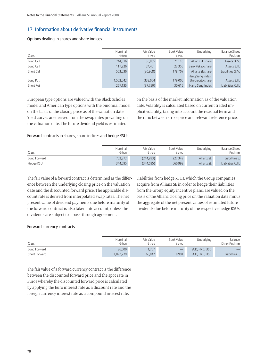## 17 Information about derivative financial instruments

## Options dealing in shares and share indices

| Class      | Nominal<br>$\epsilon$ thou | Fair Value<br>$\epsilon$ thou | Book Value<br>€ thou | Underlying       | <b>Balance Sheet</b><br>Position |
|------------|----------------------------|-------------------------------|----------------------|------------------|----------------------------------|
| Long Call  | 244,316                    | 35,965                        | 71,110               | Allianz SE share | Assets D.IV.                     |
| Long Call  | 117,226                    | 24,401                        | 23,355               | Bank Pekao share | Assets B.III.                    |
| Short Call | 563.036                    | (30, 968)                     | 178.767              | Allianz SE share | Liabilities G.IV.                |
|            |                            |                               |                      | Hang Seng Index, |                                  |
| Long Put   | 1,502,542                  | 332.664                       | 179.065              | Unicredito share | Assets B.III.                    |
| Short Put  | 267,135                    | (37, 750)                     | 30,616               | Hang Seng Index  | Liabilities G.III.               |

European type options are valued with the Black Scholes model and American type options with the binomial model on the basis of the closing price as of the valuation date. Yield curves are derived from the swap rates prevailing on the valuation date. The future dividend yield is estimated

on the basis of the market information as of the valuation date. Volatility is calculated based on current traded implicit volatility, taking into account the residual term and the ratio between strike price and relevant reference price.

#### Forward contracts in shares, share indices and hedge RSUs

| Class        | Nominal<br>€ thou | Fair Value<br>€ thou | Book Value<br>€ thou | Underlying | <b>Balance Sheet</b><br>Position |
|--------------|-------------------|----------------------|----------------------|------------|----------------------------------|
| Long Forward | 702,872           | (214, 993)           | 227,349              | Allianz SE | Liabilities E.                   |
| Hedge RSU    | 344,695           | (344, 695)           | 660,992              | Allianz SE | Liabilities G.III.               |

The fair value of a forward contract is determined as the difference between the underlying closing price on the valuation date and the discounted forward price. The applicable discount rate is derived from interpolated swap rates. The net present value of dividend payments due before maturity of the forward contract is also taken into account, unless the dividends are subject to a pass-through agreement.

Liabilities from hedge RSUs, which the Group companies acquire from Allianz SE in order to hedge their liabilities from the Group equity incentive plans, are valued on the basis of the Allianz closing price on the valuation date minus the aggregate of the net present values of estimated future dividends due before maturity of the respective hedge RSUs.

#### Forward currency contracts

| Class         | Nominal<br>€ thou | Fair Value<br>€ thou | Book Value<br>€ thou     | Underlying    | Balance<br>Sheet Position |
|---------------|-------------------|----------------------|--------------------------|---------------|---------------------------|
| Long Forward  | 86,600            | .707                 | $\overline{\phantom{a}}$ | SGD, HKD, USD | $-$                       |
| Short Forward | .097.229          | 68.842               | 8.901                    | SGD, HKD, USD | Liabilities E.            |

The fair value of a forward currency contract is the difference between the discounted forward price and the spot rate in Euros whereby the discounted forward price is calculated by applying the Euro interest rate as a discount rate and the foreign currency interest rate as a compound interest rate.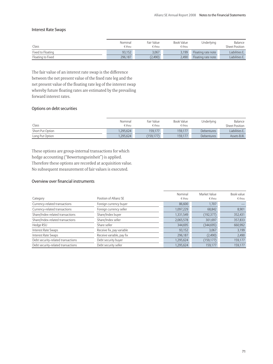#### Interest Rate Swaps

| Class             | Nominal<br>$\epsilon$ thou | Fair Value<br>€ thou | Book Value<br>$\epsilon$ thou | Underlying         | Balance<br><b>Sheet Position</b> |
|-------------------|----------------------------|----------------------|-------------------------------|--------------------|----------------------------------|
| Fixed to Floating | 93.152                     | 3.067                | 3.199                         | Floating rate note | Liabilities E.                   |
| Floating to Fixed | 296.187                    | (2,490)              | 2.490                         | Floating rate note | Liabilities E.                   |

The fair value of an interest rate swap is the difference between the net present value of the fixed rate leg and the net present value of the floating rate leg of the interest swap whereby future floating rates are estimated by the prevailing forward interest rates.

## Options on debt securities

| Class            | Nominal<br>$\epsilon$ thou | Fair Value<br>€ thou | Book Value<br>$\epsilon$ thou | Underlying        | Balance<br>Sheet Position |
|------------------|----------------------------|----------------------|-------------------------------|-------------------|---------------------------|
| Short Put Option | .295.624                   | 159,177              | 159,177                       | <b>Debentures</b> | Liabilities E.            |
| Long Put Option  | .295.624                   | (159, 177)           | 159,177                       | Debentures        | Assets B.III.             |

These options are group-internal transactions for which hedge accounting ("Bewertungseinheit") is applied. Therefore these options are recorded at acquisition value. No subsequent measurement of fair values is executed.

## Overview over financial instruments

| Category                           | Position of Allianz SF    | Nominal<br>€ thou | Market Value<br>€ thou | Book value<br>€ thou |
|------------------------------------|---------------------------|-------------------|------------------------|----------------------|
| Currency-related transactions      | Foreign currency buyer    | 86,600            | 1,707                  |                      |
| Currency-related transactions      | Foreign currency seller   | 1,097,229         | 68,842                 | 8,901                |
| Share/Index-related transactions   | Share/Index buyer         | 1,331,549         | (192, 377)             | 352,431              |
| Share/Index-related transactions   | Share/Index seller        | 2,065,578         | 301,697                | 357,833              |
| Hedge RSU                          | Share seller              | 344,695           | (344, 695)             | 660,992              |
| Interest Rate Swaps                | Receive fix, pay variable | 93,152            | 3.067                  | 3,199                |
| Interest Rate Swaps                | Receive variable, pay fix | 296,187           | (2,490)                | 2,490                |
| Debt security-related transactions | Debt security buyer       | 1,295,624         | (159, 177)             | 159,177              |
| Debt security-related transactions | Debt security seller      | 1,295,624         | 159,177                | 159,177              |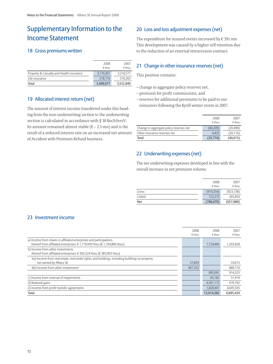## Supplementary Information to the Income Statement

## 18 Gross premiums written

|                                          | 2008<br>$\epsilon$ thou | 2007<br>€ thou |
|------------------------------------------|-------------------------|----------------|
| Property & Casualty and Health insurance | 3,170,361               | 3,216,577      |
| Life insurance                           | 278.716                 | 316,263        |
| Total                                    | 3,449,077               | 3,532,840      |

## 19 Allocated interest return (net)

The amount of interest income transferred under this heading from the non-underwriting section to the underwriting section is calculated in accordance with § 38 RechVersV. Its amount remained almost stable ( $\epsilon$  – 2.5 mn) and is the result of a reduced interest rate on an increased net amount of Accident with Premium Refund business.

## 20 Loss and loss adjustment expenses (net)

The expenditure for insured events increased by  $\rm \epsilon$  391 mn This development was caused by a higher self retention due to the reduction of an external retrocession contract.

## 21 Change in other insurance reserves (net)

This position contains:

- change in aggregate policy reserves net,
- provision for profit commissions, and
- reserves for additional premiums to be paid to our reinsurers following the Kyrill winter storm in 2007.

|                                         | 2008<br>$\epsilon$ thou | 2007<br>$\notin$ thou |
|-----------------------------------------|-------------------------|-----------------------|
| Change in aggregate policy reserves net | (40,209)                | (20, 499)             |
| Other insurance reserves net            | 4.435                   | (20, 116)             |
| Total                                   | (35, 774)               | (40, 615)             |

## 22 Underwriting expenses (net)

The net underwriting expenses developed in line with the overall increase in net premium volume.

|            | 2008<br>$\epsilon$ thou | 2007<br>€ thou |
|------------|-------------------------|----------------|
| Gross      | (919, 354)              | (923, 738)     |
| Ceded      | 123.275                 | 265,850        |
| <b>Net</b> | (796,079)               | (657,888)      |

## 23 Investment income

|                                                                                                                                              | 2008    | 2008            | 2007      |
|----------------------------------------------------------------------------------------------------------------------------------------------|---------|-----------------|-----------|
|                                                                                                                                              | € thou  | $\epsilon$ thou | € thou    |
| a) Income from shares in affiliated enterprises and participations<br>thereof from affiliated enterprises: €1,719,939 thou (€1,194,800 thou) |         | 1,724,496       | 1,203,828 |
| b) Income from other investments                                                                                                             |         |                 |           |
| thereof from affiliated enterprises: €302,324 thou (€383,903 thou)                                                                           |         |                 |           |
| ba) Income from real estate, real estate rights, and buildings, including buildings on property                                              |         |                 |           |
| not owned by Allianz SE                                                                                                                      | 27,839  |                 | 33,615    |
| bb) Income from other investments                                                                                                            | 967,252 |                 | 880,710   |
|                                                                                                                                              |         | 995,091         | 914,325   |
| c) Income from reversal of impairments                                                                                                       |         | 65.182          | 51,919    |
| d) Realized gains                                                                                                                            |         | 9,301,172       | 679,792   |
| e) Income from profit transfer agreements                                                                                                    |         | 1,828,441       | 4,045,565 |
| Total                                                                                                                                        |         | 13.914.382      | 6.895.429 |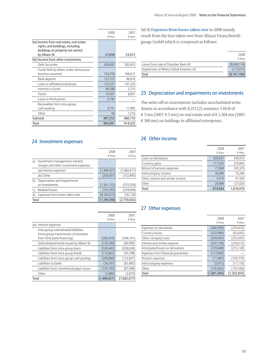|                                                                                                                 | 2008<br>€ thou | 2007<br>$\notin$ thou |
|-----------------------------------------------------------------------------------------------------------------|----------------|-----------------------|
| ba) Income from real estate, real estate<br>rights, and buildings, including<br>buildings on property not owned |                |                       |
| by Allianz SE                                                                                                   | 27,839         | 33,615                |
| bb) Income from other investments                                                                               |                |                       |
| <b>Debt Securities</b>                                                                                          | 426,825        | 382,453               |
| Funds held by others under reinsurance                                                                          |                |                       |
| business assumed                                                                                                | 150,359        | 169,672               |
| Bank deposits                                                                                                   | 137,315        | 98,418                |
| Loans to affiliated enterprises                                                                                 | 132,227        | 197,229               |
| Interests in funds                                                                                              | 90,588         | 5,210                 |
| <b>Stocks</b>                                                                                                   | 10,361         | 8,607                 |
| Loans to third parties                                                                                          | 9,796          |                       |
| Receivables from intra-group                                                                                    |                |                       |
| cash pooling                                                                                                    | 9,731          | 17,905                |
| Other                                                                                                           | 50             | 1,216                 |
| Subtotal                                                                                                        | 967,252        | 880,710               |
| Total                                                                                                           | 995,091        | 914,325               |
|                                                                                                                 |                |                       |

Ad d) Expenses from losses taken over in 2008 mainly

result from the loss taken over from Allianz Finanzbeteiligungs GmbH which is composed as follows:

|                                           | 2008          |
|-------------------------------------------|---------------|
|                                           | $∈$ thou      |
| Losses from sale of Dresdner Bank AG      | (8,049,174)   |
| Impairment of Allianz Global Investors AG | (112,015)     |
| Total                                     | (8, 161, 189) |

## 25 Depreciation and impairments on investments

The write-off on investments includes unscheduled writedowns in accordance with § 253 (2) sentence 3 HGB of € 3 mn (2007: € 5 mn) on real estate and of € 1,304 mn (2007:  $\in$  380 mn) on holdings in affiliated enterprises.

## 24 Investment expenses

|       |                                                                          | 2008<br>€ thou | 2007<br>€ thou |
|-------|--------------------------------------------------------------------------|----------------|----------------|
| a)    | Investment management, interest<br>charges and other investment expenses |                |                |
|       | aa) Interest expenses                                                    | (1,469,427)    | (1,682,677)    |
|       | ab) Other                                                                | (236,007)      | (152, 845)     |
| b)    | Depreciation and impairments<br>on investments                           | (1, 561, 153)  | (533,258)      |
| C)    | Realized losses                                                          | (335, 392)     | (334, 594)     |
| d)    | Expenses from losses taken over                                          | (8, 182, 619)  | (56, 128)      |
| Total |                                                                          | (11, 784, 598) | (2,759,502)    |

|                                                                                                              | 2008<br>$\notin$ thou | 2007<br>$\epsilon$ thou |
|--------------------------------------------------------------------------------------------------------------|-----------------------|-------------------------|
| Interest expenses<br>aa)                                                                                     |                       |                         |
| Intra-group subordinated liabilities<br>(intra-group transmission of proceeds<br>from third party financing) | (285, 659)            | (340, 191)              |
| Subordinated bonds issued by Allianz SE                                                                      | (150, 246)            | (82,990)                |
| Liabilities from intra-group loans                                                                           | (526, 442)            | (928, 638)              |
| Liabilities from intra-group bonds                                                                           | (115,803)             | (45, 798)               |
| Liabilities from intra-group cash pooling                                                                    | (206, 889)            | (132, 641)              |
| Liabilities to banks                                                                                         | (36, 107)             | (62, 492)               |
| Liabilities from commercial paper issues                                                                     | (145, 195)            | (87,048)                |
| Other                                                                                                        | (3,086)               | (2,879)                 |
| Total                                                                                                        | (1,469,427)           | (1,682,677)             |

## 26 Other income

|                                   | 2008<br>€ thou | 2007<br>€ thou |
|-----------------------------------|----------------|----------------|
| Gains on derivatives              | 620,637        | 296,916        |
| Currency gains                    | 117,025        | 370,843        |
| Refund of pension expenses        | 71,994         | 105,379        |
| Intercompany income               | 30,469         | 75,246         |
| Other interest and similar income | 5,470          | 41,569         |
| Other                             | 28,989         | 127,026        |
| Total                             | 874.584        | 1,016,979      |

## 27 Other expenses

|                                    | 2008<br>€ thou | 2007<br>€ thou |
|------------------------------------|----------------|----------------|
| Expenses on derivatives            | (460,399)      | (259, 470)     |
| Currency losses                    | (252, 989)     | (62, 642)      |
| Other company costs                | (250, 465)     | (253, 035)     |
| Interest and similar expense       | (247, 154)     | (234, 513)     |
| Anticipated losses on derivatives  | (239, 448)     | (215, 128)     |
| Expenses from financial guarantees | (127,040)      |                |
| Pension expenses                   | (71, 965)      | (105, 379)     |
| Intercompany expenses              | (5, 972)       | (17, 118)      |
| Other                              | (145, 962)     | (155, 569)     |
| Total                              | (1,801,394)    | (1,302,854)    |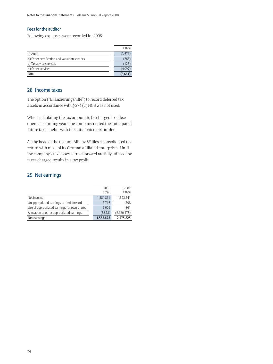## Fees for the auditor

Following expenses were recorded for 2008:

|                                               | $\notin$ thou |
|-----------------------------------------------|---------------|
| a) Audit                                      | (3,671)       |
| b) Other certification and valuation services | 768           |
| c) Tax advice services                        | (125)         |
| d) Other services                             | (4,097)       |
| Total                                         | (8,661)       |

## 28 Income taxes

The option ("Bilanzierungshilfe") to record deferred tax assets in accordance with  $\S 274 (2)$  HGB was not used.

When calculating the tax amount to be charged to subsequent accounting years the company netted the anticipated future tax benefits with the anticipated tax burden.

As the head of the tax unit Allianz SE files a consolidated tax return with most of its German affiliated enterprises. Until the company's tax losses carried forward are fully utilized the taxes charged results in a tax profit.

## 29 Net earnings

|                                             | 2008<br>$E$ thou | 2007<br>€ thou |
|---------------------------------------------|------------------|----------------|
| Net income                                  | 1,581,811        | 4,593,641      |
| Unappropriated earnings carried forward     | 3,716            | 1,798          |
| Use of appropriated earnings for own shares | 6,026            | 861            |
| Allocation to other appropriated earnings   | (5,878)          | (2,120,475)    |
| Net earnings                                | 1,585,675        | 2,475,825      |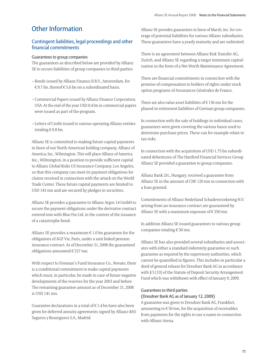## Other Information

## Contingent liabilities, legal proceedings and other financial commitments

## Guarantees to group companies

The guarantees as described below are provided by Allianz SE to secure liabilities of group companies to third parties:

- Bonds issued by Allianz Finance II B.V., Amsterdam, for € 9.7 bn, thereof € 5.6 bn on a subordinated basis.
- Commercial Papers issued by Allianz Finance Corporation, USA. At the end of the year USD 0.4 bn in commercial papers were issued as part of the program.
- Letters of Credit issued to various operating Allianz entities totaling  $\in$  0.8 bn.

Allianz SE is committed to making future capital payments in favor of our North American holding company, Allianz of America, Inc., Wilmington. This will place Allianz of America Inc., Wilmington, in a position to provide sufficient capital to Allianz Global Risks US Insurance Company, Los Angeles, so that this company can meet its payment obligations for claims received in connection with the attack on the World Trade Center. These future capital payments are limited to USD 143 mn and are secured by pledges in securities.

Allianz SE provides a guarantee to Allianz Argos 14 GmbH to secure the payment obligations under the derivative contract entered into with Blue Fin Ltd. in the context of the issuance of a catastrophe bond.

Allianz SE provides a maximum  $\in$  1.0 bn guarantee for the obligations of AGF Vie, Paris, under a unit linked pension insurance contract. As of December 31, 2008 the guaranteed obligations amounted  $\rm \epsilon$  537 mn.

With respect to Fireman's Fund Insurance Co., Novato, there is a conditional commitment to make capital payments which must, in particular, be made in case of future negative developments of the reserves for the year 2003 and before. The remaining guarantee amount as of December 31, 2008 is USD 141 mn.

Guarantee declarations in a total of  $\epsilon$  1.4 bn have also been given for deferred annuity agreements signed by Allianz-RAS Seguros y Reaseguros S.A., Madrid.

Allianz SE provides guarantees in favor of Marsh, Inc. for coverage of potential liabilities for various Allianz subsidiaries. These guarantees have a yearly maturity and are unlimited.

There is an agreement between Allianz Risk Transfer AG, Zurich, and Allianz SE regarding a target minimum capitalization in the form of a Net Worth Maintenance Agreement.

There are financial commitments in connection with the promise of compensation to holders of rights under stock option programs of Assurances Générales de France.

There are also value asset liabilities of  $\epsilon$  136 mn for the phased-in retirement liabilities of German group companies.

In connection with the sale of holdings in individual cases, guarantees were given covering the various bases used to determine purchase prices. These can for example relate to tax risks.

In connection with the acquisition of USD 1.75 bn subordinated debentures of The Hartford Financial Services Group Allianz SE provided a guarantee to group companies.

Allianz Bank Zrt., Hungary, received a guarantee from Allianz SE in the amount of CHF 120 mn in connection with a loan granted.

Commitments of Allianz Nederland Schadeverzekering N.V. arising from an insurance contract are guaranteed by Allianz SE with a maximum exposure of  $\in$  350 mn.

In addition Allianz SE issued guarantees to various group companies totaling  $\epsilon$  50 mn.

Allianz SE has also provided several subsidiaries and associates with either a standard indemnity guarantee or such guarantee as required by the supervisory authorities, which cannot be quantified in figures. This includes in particular a deed of general release for Dresdner Bank AG in accordance with § 5 (10) of the Statute of Deposit Security Arrangement Fund which was withdrawn with effect of January 9, 2009.

## Guarantees to third parties (Dresdner Bank AG as of January 12, 2009)

A guarantee was given to Dresdner Bank AG, Frankfurt, amounting to  $\epsilon$  50 mn, for the acquisition of receivables from payments for the rights to use a name in connection with Allianz Arena.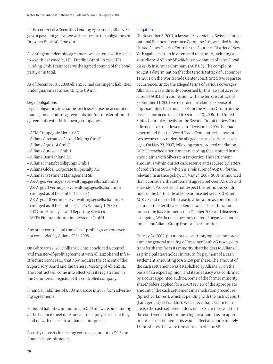In the context of a Securities Lending Agreement, Allianz SE gave a payment guarantee with respect to the obligations of Dresdner Bank AG, Frankfurt.

A contingent indemnity agreement was entered with respect to securities issued by HT1 Funding GmbH in case HT1 Funding GmbH cannot serve the agreed coupon of the bond partly or in total.

As of December 31, 2008 Allianz SE had contingent liabilities under guarantees amounting to  $\mathop{\in} 9$  mn.

#### Legal obligations

Legal obligations to assume any losses arise on account of management control agreements and/or transfer-of-profit agreements with the following companies:

- ACM-Compagnie Mercur AG
- Allianz Alternative Assets Holding GmbH
- Allianz Argos 14 GmbH
- Allianz Autowelt GmbH
- Allianz Deutschland AG
- Allianz Finanzbeteiligungs GmbH
- Allianz Global Corporate & Specialty AG
- Allianz Investment Management SE
- AZ-Arges Vermögensverwaltungsgesellschaft mbH
- AZ-Argos 3 Vermögensverwaltungsgesellschaft mbH (merged as of December 11, 2008)
- AZ-Argos 10 Vermögensverwaltungsgesellschaft mbH (merged as of December 31, 2007/January 1, 2008)
- IDS GmbH-Analysis and Reporting Services
- META Finanz-Informationssysteme GmbH

Any other control and transfer-of-profit agreements were not concluded by Allianz SE in 2008.

On February 17, 2009 Allianz SE has concluded a control and transfer-of-profit agreement with Allianz Shared Infrastructure Services SE that now requires the consent of the Supervisory Board and the General Meeting of Allianz SE. The contract will come into effect with its registration in the Commercial register of the controlled company.

Financial liabilities of  $\in$  203 mn arose in 2008 from advertising agreements.

Potential liabilities amounting to  $\epsilon$  30 mn were outstanding at the balance sheet date for calls on equity stocks not fully paid up with respect to affiliated enterprises.

Security deposits for leasing contracts amount to  $\epsilon$  0.3 mn financial commitments.

#### **Litigation**

On November 5, 2001, a lawsuit, Silverstein v. Swiss Re International Business Insurance Company Ltd., was filed in the United States District Court for the Southern District of New York against certain insurers and reinsurers, including a subsidiary of Allianz SE which is now named Allianz Global Risks US Insurance Company (AGR US). The complaint sought a determination that the terrorist attack of September 11, 2001 on the World Trade Center constituted two separate occurrences under the alleged terms of various coverages. Allianz SE was indirectly concerned by this lawsuit as reinsurer of AGR US In connection with the terrorist attack of September 11, 2001 we recorded net claims expense of approximately  $\epsilon$  1.5 bn in 2001 for the Allianz Group on the basis of one occurrence. On October 18, 2006, the United States Court of Appeals for the Second Circuit of New York affirmed an earlier lower court decision in 2004 that had determined that the World Trade Center attack constituted two occurrences under the alleged terms of various coverages. On May 23, 2007, following court-ordered mediation, AGR US reached a settlement regarding the disputed insurance claims with Silverstein Properties. The settlement amount is within our set case reserve and secured by letters of credit from SCOR, which is a reinsurer of AGR US for the relevant insurance policy. On May 24, 2007, SCOR announced that it considers the settlement agreed between AGR US and Silverstein Properties to not respect the terms and conditions of the Certificate of Reinsurance between SCOR and AGR US and referred the case to arbitration as contemplated under the Certificate of Reinsurance. The arbitration proceeding has commenced in October 2007 and discovery is ongoing. We do not expect any material negative financial impact for Allianz Group from such arbitration.

On May 24, 2002, pursuant to a statutory squeeze-out procedure, the general meeting of Dresdner Bank AG resolved to transfer shares from its minority shareholders to Allianz SE as principal shareholder in return for payment of a cash settlement amounting to  $\epsilon$  51.50 per share. The amount of the cash settlement was established by Allianz SE on the basis of an expert opinion, and its adequacy was confirmed by a court appointed auditor. Some of the former minority shareholders applied for a court review of the appropriate amount of the cash settlement in a mediation procedure (Spruchverfahren), which is pending with the district court (Landgericht) of Frankfurt. We believe that a claim to increase the cash settlement does not exist. In the event that the court were to determine a higher amount as an appropriate cash settlement, this would affect all approximately 16 mn shares that were transferred to Allianz SE.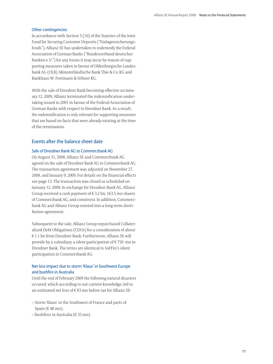#### Other contingencies

In accordance with Section 5 (10) of the Statutes of the Joint Fund for Securing Customer Deposits ("Einlagensicherungsfonds"), Allianz SE has undertaken to indemnify the Federal Association of German Banks ("Bundesverband deutscher Banken e. V.") for any losses it may incur by reason of supporting measures taken in favour of Oldenburgische Landesbank AG (OLB), Münsterländische Bank Thie & Co. KG and Bankhaus W. Fortmann & Söhner KG.

With the sale of Dresdner Bank becoming effective on January 12, 2009, Allianz terminated the indemnification undertaking issued in 2001 in favour of the Federal Association of German Banks with respect to Dresdner Bank. As a result, the indemnification is only relevant for supporting measures that are based on facts that were already existing at the time of the termination.

## Events after the balance sheet date

#### Sale of Dresdner Bank AG to Commerzbank AG

On August 31, 2008, Allianz SE and Commerzbank AG agreed on the sale of Dresdner Bank AG to Commerzbank AG. The transaction agreement was adjusted on November 27, 2008, and January 9, 2009. For details on the financial effects see page 13. The transaction was closed as scheduled on January 12, 2009. In exchange for Dresdner Bank AG, Allianz Group received a cash payment of  $\rm \epsilon$  3.2 bn, 163.5 mn shares of Commerzbank AG, and cominvest. In addition, Commerzbank AG and Allianz Group entered into a long-term distribution agreement.

Subsequent to the sale, Allianz Group repurchased Collateralized Debt Obligations (CDOs) for a consideration of about - 1.1 bn from Dresdner Bank. Furthermore, Allianz SE will provide by a subsidiary a silent participation of  $\rm \epsilon$  750  $\,$ mn in Dresdner Bank. The terms are identical to SoFFin's silent participation in Commerzbank AG.

## Net loss impact due to storm 'Klaus' in Southwest Europe and bushfire in Australia

Until the end of February 2009 the following natural disasters occured, which according to our current knowledge, led to an estimated net loss of  $\rm \epsilon$  83 mn before tax for Allianz SE:

- Storm 'Klaus' in the Southwest of France and parts of Spain ( $\in$  48 mn),
- Bushfires in Australia (€ 35 mn).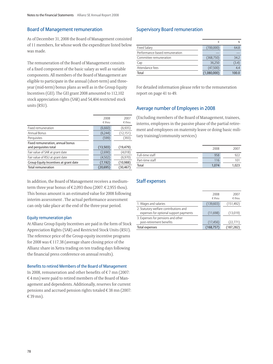### Board of Management remuneration

As of December 31, 2008 the Board of Management consisted of 11 members, for whose work the expenditure listed below was made.

The remuneration of the Board of Management consists of a fixed component of the basic salary as well as variable components. All members of the Board of Management are eligible to participate in the annual (short-term) and threeyear (mid-term) bonus plans as well as in the Group Equity Incentives (GEI). The GEI grant 2008 amounted to 112,102 stock appreciation rights (SAR) and 54,404 restricted stock units (RSU).

|                                                           | 2008<br>$\notin$ thou | 2007<br>$\notin$ thou |
|-----------------------------------------------------------|-----------------------|-----------------------|
| Fixed remuneration                                        | (6,660)               | (6, 935)              |
| Annual Bonus                                              | (6, 244)              | (12, 151)             |
| Perquisites                                               | (599)                 | (393)                 |
| Fixed remuneration, annual bonus<br>and perquisites total | (13,503)              | (19, 479)             |
| Fair value of SAR at grant date                           | (2,690)               | (4,018)               |
| Fair value of RSU at grant date                           | (4,502)               | (6,970)               |
| Group Equity Incentives at grant date                     | (7, 192)              | (10, 988)             |
| <b>Total remuneration</b>                                 | (20, 695)             | (30, 467)             |

In addition, the Board of Management receives a mediumterm three year bonus of  $\in$  2,093 thou (2007:  $\in$  2,955 thou). This bonus amount is an estimated value for 2008 following interim assessment . The actual performance assessment can only take place at the end of the three-year period.

### Equity remuneration plan

At Allianz Group Equity Incentives are paid in the form of Stock Appreciation Rights (SAR) and Restricted Stock Units (RSU). The reference price of the Group equity incentive programs for 2008 was  $\in$  117.38 (average share closing price of the Allianz share in Xetra trading on ten trading days following the financial press conference on annual results).

### Benefits to retired Members of the Board of Management

In 2008, remuneration and other benefits of  $\rm \epsilon$  7 mn (2007:  $\mathop{\varepsilon}\nolimits$ 4 mn) were paid to retired members of the Board of Management and dependents. Additionally, reserves for current pensions and accrued pension rights totaled  $\rm \epsilon$  38 mn (2007: € 39 mn).

## Supervisory Board remuneration

|                                | €           |       |
|--------------------------------|-------------|-------|
| <b>Fixed Salary</b>            | (700,000)   | 64.8  |
| Performance-based remuneration |             |       |
| Committee remuneration         | (368, 750)  | 34.2  |
| Cap                            | 36,250      | (3.4) |
| Attendance fees                | (47,500)    | 4.4   |
| Total                          | (1,080,000) | 100.0 |

For detailed information please refer to the remuneration report on page 41 to 49.

## Average number of Employees in 2008

(Excluding members of the Board of Management, trainees, interns, employees in the passive phase of the partial retirement and employees on maternity leave or doing basic military training/community services)

|                 | 2008  | 2007  |
|-----------------|-------|-------|
| Full-time staff | 958   |       |
| Part-time staff | 116   | 101   |
| Total           | 1.074 | 1,023 |

## Staff expenses

|                                                                                  | 2008<br>$\notin$ thou | 2007<br>€ thou |
|----------------------------------------------------------------------------------|-----------------------|----------------|
| 1. Wages and salaries                                                            | (139,603)             | (151, 492)     |
| 2. Statutory welfare contributions and<br>expenses for optional support payments | (11, 698)             | (13,019)       |
| 3. Expenses for pensions and other<br>post-retirement benefits                   | (17, 456)             | (22, 771)      |
| <b>Total expenses</b>                                                            | (168, 757)            | (187, 282)     |
|                                                                                  |                       |                |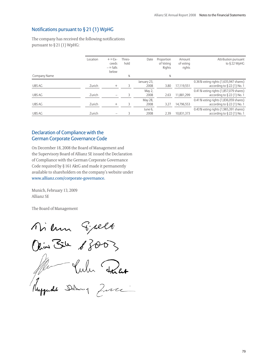## Notifications pursuant to § 21 (1) WpHG

The company has received the following notifications pursuant to § 21 (1) WpHG:

|              | Location | $+=$ Ex-<br>ceeds<br>$=$ falls<br>below | Thres-<br>hold | Date            | Proportion<br>of Voting<br>Rights | Amount<br>of voting<br>rights | Attribution pursuant<br>to $\S$ 22 WpHG                                  |
|--------------|----------|-----------------------------------------|----------------|-----------------|-----------------------------------|-------------------------------|--------------------------------------------------------------------------|
| Company Name |          |                                         | $\%$           |                 | $\%$                              |                               |                                                                          |
|              |          |                                         |                | January 23,     |                                   |                               | 0.36% voting rights (1,635,947 shares)                                   |
| UBS AG       | Zurich   | $\pm$                                   | 3              | 2008            | 3.80                              | 17,119,551                    | according to $\S$ 22 (1) No. 1                                           |
| UBS AG       | Zurich   |                                         | 3              | May 2,<br>2008  | 2.63                              | 11,881,299                    | 0.41% voting rights (1,857,079 shares)<br>according to $\S$ 22 (1) No. 1 |
| UBS AG       | Zurich   | $^{+}$                                  | 3              | May 28,<br>2008 | 3.27                              | 14,796,553                    | 0.41% voting rights (1,836,059 shares)<br>according to $\S$ 22 (1) No. 1 |
| UBS AG       | Zurich   |                                         | 3              | June 6,<br>2008 | 2.39                              | 10,831,373                    | 0.43% voting rights (1,965,391 shares)<br>according to $\S$ 22 (1) No. 1 |

## Declaration of Compliance with the German Corporate Governance Code

On December 18, 2008 the Board of Management and the Supervisory Board of Allianz SE issued the Declaration of Compliance with the German Corporate Governance Code required by § 161 AktG and made it permanently available to shareholders on the company's website under www.allianz.com/corporate-governance.

Munich, February 13, 2009 Allianz SE

The Board of Management

Milum Guelt

Vulu Talet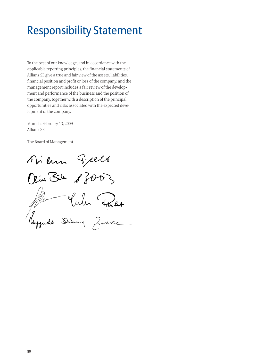# Responsibility Statement

To the best of our knowledge, and in accordance with the applicable reporting principles, the financial statements of Allianz SE give a true and fair view of the assets, liabilities, financial position and profit or loss of the company, and the management report includes a fair review of the development and performance of the business and the position of the company, together with a description of the principal opportunities and risks associated with the expected development of the company.

Munich, February 13, 2009 Allianz SE

The Board of Management

Milum Guelt While Triet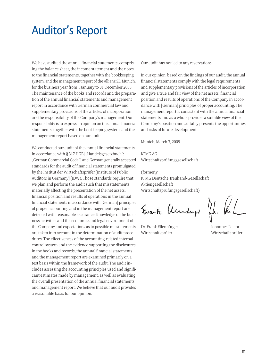# Auditor's Report

We have audited the annual financial statements, comprising the balance sheet, the income statement and the notes to the financial statements, together with the bookkeeping system, and the management report of the Allianz SE, Munich, for the business year from 1 January to 31 December 2008. The maintenance of the books and records and the preparation of the annual financial statements and management report in accordance with German commercial law and supplementary provisions of the articles of incorporation are the responsibility of the Company's management. Our responsibility is to express an opinion on the annual financial statements, together with the bookkeeping system, and the management report based on our audit.

We conducted our audit of the annual financial statements in accordance with  $\S 317 HGB$  ["Handelsgesetzbuch": "German Commercial Code"] and German generally accepted standards for the audit of financial statements promulgated by the Institut der Wirtschaftsprüfer [Institute of Public Auditors in Germany] (IDW). Those standards require that we plan and perform the audit such that misstatements materially affecting the presentation of the net assets, financial position and results of operations in the annual financial statements in accordance with [German] principles of proper accounting and in the management report are detected with reasonable assurance. Knowledge of the business activities and the economic and legal environment of the Company and expectations as to possible misstatements are taken into account in the determination of audit procedures. The effectiveness of the accounting-related internal control system and the evidence supporting the disclosures in the books and records, the annual financial statements and the management report are examined primarily on a test basis within the framework of the audit. The audit includes assessing the accounting principles used and significant estimates made by management, as well as evaluating the overall presentation of the annual financial statements and management report. We believe that our audit provides a reasonable basis for our opinion.

Our audit has not led to any reservations.

In our opinion, based on the findings of our audit, the annual financial statements comply with the legal requirements and supplementary provisions of the articles of incorporation and give a true and fair view of the net assets, financial position and results of operations of the Company in accordance with [German] principles of proper accounting. The management report is consistent with the annual financial statements and as a whole provides a suitable view of the Company's position and suitably presents the opportunities and risks of future development.

Munich, March 3, 2009

KPMG AG Wirtschaftsprüfungsgesellschaft

(formerly KPMG Deutsche Treuhand-Gesellschaft Aktiengesellschaft Wirtschaftsprüfungsgesellschaft)

Frank Elendrop Jd. Val

Dr. Frank Ellenbürger Johannes Pastor Wirtschaftsprüfer Wirtschaftsprüfer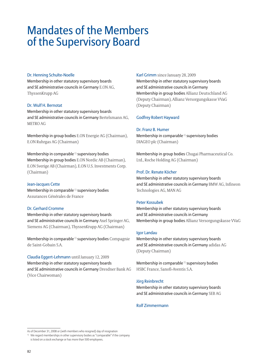# Mandates of the Members of the Supervisory Board

## Dr. Henning Schulte-Noelle

Membership in other statutory supervisory boards and SE administrative councils in Germany E.ON AG, ThyssenKrupp AG

#### Dr. Wulf H. Bernotat

Membership in other statutory supervisory boards and SE administrative councils in Germany Bertelsmann AG, METRO AG

Membership in group bodies E.ON Energie AG (Chairman), E.ON Ruhrgas AG (Chairman)

### Membership in comparable 1) supervisory bodies

Membership in group bodies E.ON Nordic AB (Chairman), E.ON Sverige AB (Chairman), E.ON U.S. Investments Corp. (Chairman)

#### Jean-Jacques Cette

Membership in comparable 1) supervisory bodies Assurances Générales de France

## Dr. Gerhard Cromme

Membership in other statutory supervisory boards and SE administrative councils in Germany Axel Springer AG, Siemens AG (Chairman), ThyssenKrupp AG (Chairman)

Membership in comparable 1) supervisory bodies Compagnie de Saint-Gobain S.A.

#### Claudia Eggert-Lehmann until January 12, 2009

Membership in other statutory supervisory boards and SE administrative councils in Germany Dresdner Bank AG (Vice Chairwoman)

#### Karl Grimm since January 28, 2009

Membership in other statutory supervisory boards and SE administrative councils in Germany Membership in group bodies Allianz Deutschland AG (Deputy Chairman), Allianz Versorgungskasse VVaG (Deputy Chairman)

#### Godfrey Robert Hayward

#### Dr. Franz B. Humer

Membership in comparable 1) supervisory bodies DIAGEO plc (Chairman)

Membership in group bodies Chugai Pharmaceutical Co. Ltd., Roche Holding AG (Chairman)

#### Prof. Dr. Renate Köcher

Membership in other statutory supervisory boards and SE administrative councils in Germany BMW AG, Infineon Technologies AG, MAN AG

#### Peter Kossubek

Membership in other statutory supervisory boards and SE administrative councils in Germany Membership in group bodies Allianz Versorgungskasse VVaG

#### Igor Landau

Membership in other statutory supervisory boards and SE administrative councils in Germany adidas AG (Deputy Chairman)

Membership in comparable<sup>1)</sup> supervisory bodies HSBC France, Sanofi-Aventis S.A.

#### Jörg Reinbrecht

Membership in other statutory supervisory boards and SE administrative councils in Germany SEB AG

## Rolf Zimmermann

As of December 31, 2008 or (with members who resigned) day of resignation

<sup>&</sup>lt;sup>1)</sup> We regard memberships in other supervisory bodies as "comparable" if the company is listed on a stock exchange or has more than 500 employees.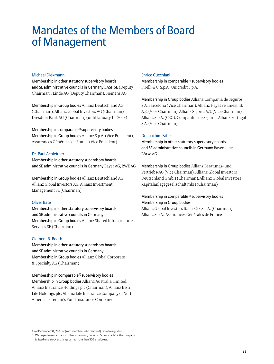## Mandates of the Members of Board of Management

#### Michael Diekmann

Membership in other statutory supervisory boards and SE administrative councils in Germany BASF SE (Deputy Chairman), Linde AG (Deputy Chairman), Siemens AG

Membership in Group bodies Allianz Deutschland AG (Chairman), Allianz Global Investors AG (Chairman), Dresdner Bank AG (Chairman) (until January 12, 2009)

#### Membership in comparable<sup>1)</sup> supervisory bodies

Membership in Group bodies Allianz S.p.A. (Vice President), Assurances Générales de France (Vice President)

### Dr. Paul Achleitner

Membership in other statutory supervisory boards and SE administrative councils in Germany Bayer AG, RWE AG

Membership in Group bodies Allianz Deutschland AG, Allianz Global Investors AG, Allianz Investment Management SE (Chairman)

#### Oliver Bäte

Membership in other statutory supervisory boards and SE administrative councils in Germany Membership in Group bodies Allianz Shared Infrastructure Services SE (Chairman)

#### Clement B. Booth

Membership in other statutory supervisory boards and SE administrative councils in Germany Membership in Group bodies Allianz Global Corporate & Specialty AG (Chairman)

Membership in comparable<sup>1</sup>) supervisory bodies Membership in Group bodies Allianz Australia Limited, Allianz Insurance Holdings plc (Chairman), Allianz Irish Life Holdings plc, Allianz Life Insurance Company of North America, Fireman's Fund Insurance Company

#### Enrico Cucchiani

Membership in comparable 1) supervisory bodies Pirelli & C. S.p.A., Unicredit S.p.A.

Membership in Group bodies Allianz Compañía de Seguros S.A. Barcelona (Vice Chairman), Allianz Hayat ve Emeklilik A.Ş. (Vice Chairman), Allianz Sigorta A.Ş. (Vice Chairman), Allianz S.p.A. (CEO), Companhia de Seguros Allianz Portugal S.A. (Vice Chairman)

#### Dr. Joachim Faber

Membership in other statutory supervisory boards and SE administrative councils in Germany Bayerische Börse AG

Membership in Group bodies Allianz Beratungs- und Vertriebs-AG (Vice Chairman), Allianz Global Investors Deutschland GmbH (Chairman), Allianz Global Investors Kapitalanlagegesellschaft mbH (Chairman)

## Membership in comparable 1) supervisory bodies Membership in Group bodies

Allianz Global Investors Italia SGR S.p.A. (Chairman), Allianz S.p.A., Assurances Générales de France

As of December 31, 2008 or (with members who resigned) day of resignation

<sup>&</sup>lt;sup>1)</sup> We regard memberships in other supervisory bodies as "comparable" if the company

is listed on a stock exchange or has more than 500 employees.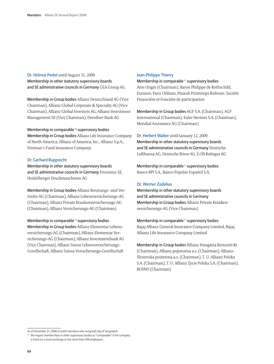## Dr. Helmut Perlet until August 31, 2009 Membership in other statutory supervisory boards and SE administrative councils in Germany GEA Group AG

Membership in Group bodies Allianz Deutschland AG (Vice Chairman), Allianz Global Corporate & Specialty AG (Vice Chairman), Allianz Global Investors AG, Allianz Investment Management SE (Vice Chairman), Dresdner Bank AG

Membership in comparable<sup>1)</sup> supervisory bodies Membership in Group bodies Allianz Life Insurance Company of North America, Allianz of America, Inc., Allianz S.p.A., Fireman's Fund Insurance Company

#### Dr. Gerhard Rupprecht

Membership in other statutory supervisory boards and SE administrative councils in Germany Fresenius SE, Heidelberger Druckmaschinen AG

Membership in Group bodies Allianz Beratungs- und Vertriebs-AG (Chairman), Allianz Lebensversicherungs-AG (Chairman), Allianz Private Krankenversicherungs-AG (Chairman), Allianz Versicherungs-AG (Chairman)

Membership in comparable 1) supervisory bodies Membership in Group bodies Allianz Elementar Lebensversicherungs-AG (Chairman), Allianz Elementar Versicherungs-AG (Chairman), Allianz Investmentbank AG (Vice Chairman), Allianz Suisse Lebensversicherungs-Gesellschaft, Allianz Suisse Versicherungs-Gesellschaft

#### Jean-Philippe Thierry

Membership in comparable  $1)$  supervisory bodies Atos Origin (Chairman), Baron Philippe de Rothschild, Eurazeo, Paris Orléans, Pinault Printemps Redoute, Société Financière et Foncière de participation

Membership in Group bodies AGF S.A. (Chairman), AGF International (Chairman), Euler Hermes S.A. (Chairman), Mondial Assistance AG (Chairman)

Dr. Herbert Walter until January 12, 2009 Membership in other statutory supervisory boards and SE administrative councils in Germany Deutsche Lufthansa AG, Deutsche Börse AG, E.ON Ruhrgas AG

Membership in comparable  $1)$  supervisory bodies Banco BPI S.A., Banco Popular Español S.A.

#### Dr. Werner Zedelius

Membership in other statutory supervisory boards and SE administrative councils in Germany Membership in Group bodies Allianz Private Krankenversicherungs-AG (Vice Chairman)

Membership in comparable 1) supervisory bodies Bajaj Allianz General Insurance Company Limited, Bajaj Allianz Life Insurance Company Limited

Membership in Group bodies Allianz Hungária Biztositó Rt. (Chairman), Allianz pojistovna a.s. (Chairman), Allianz-Slovenska poistovna a.s. (Chairman), T. U. Allianz Polska S.A. (Chairman), T. U. Allianz Życie Polska S.A. (Chairman), ROSNO (Chairman)

As of December 31, 2008 or (with members who resigned) day of resignation

<sup>&</sup>lt;sup>1)</sup> We regard memberships in other supervisory bodies as "comparable" if the company

is listed on a stock exchange or has more than 500 employees.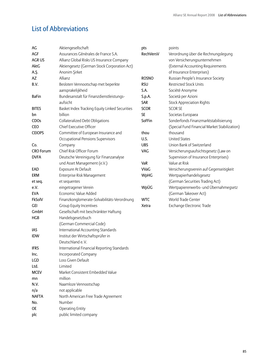## List of Abbreviations

| AG               | Aktiengesellschaft                             | pts          | points                                        |
|------------------|------------------------------------------------|--------------|-----------------------------------------------|
| <b>AGF</b>       | Assurances Générales de France S.A.            | RechVersV    | Verordnung über die Rechnungslegung           |
| <b>AGRUS</b>     | Allianz Global Risks US Insurance Company      |              | von Versicherungsunternehmen                  |
| AktG             | Aktiengesetz (German Stock Corporation Act)    |              | (External Accounting Requirements             |
| A.Ş.             | Anonim Şirket                                  |              | of Insurance Enterprises)                     |
| AΖ               | Allianz                                        | <b>ROSNO</b> | Russian People's Insurance Society            |
| B.V.             | Besloten Vennootschap met beperkte             | <b>RSU</b>   | <b>Restricted Stock Units</b>                 |
|                  | aansprakelijkheid                              | S.A.         | Société Anonyme                               |
| <b>BaFin</b>     | Bundesanstalt für Finanzdienstleistungs-       | S.p.A.       | Società per Azioni                            |
|                  | aufsicht                                       | <b>SAR</b>   | <b>Stock Appreciation Rights</b>              |
| <b>BITES</b>     | Basket Index Tracking Equity Linked Securities | <b>SCOR</b>  | <b>SCOR SE</b>                                |
| bn               | billion                                        | SE           | Societas Europaea                             |
| CDOs             | Collateralized Debt Obligations                | SoFFin       | Sonderfonds Finanzmarktstabilisierung         |
| <b>CEO</b>       | Chief Executive Officer                        |              | (Special Fund Financial Market Stabilization) |
| <b>CEIOPS</b>    | Committee of European Insurance and            | thou         | thousand                                      |
|                  | Occupational Pensions Supervisors              | U.S.         | <b>United States</b>                          |
| Co.              | Company                                        | <b>UBS</b>   | Union Bank of Switzerland                     |
| <b>CRO Forum</b> | Chief Risk Officer Forum                       | <b>VAG</b>   | Versicherungsaufsichtsgesetz (Law on          |
| <b>DVFA</b>      | Deutsche Vereinigung für Finanzanalyse         |              | Supervision of Insurance Enterprises)         |
|                  | und Asset Management (e.V.)                    | VaR          | Value at Risk                                 |
| EAD              | Exposure At Default                            | <b>VVaG</b>  | Versicherungsverein auf Gegenseitigkeit       |
| <b>ERM</b>       | Enterprise Risk Management                     | WpHG         | Wertpapierhandelsgesetz                       |
| et seq.          | et sequentes                                   |              | (German Securities Trading Act)               |
| e.V.             | eingetragener Verein                           | WpÜG         | Wertpapiererwerbs- und Übernahmegsetz         |
| <b>EVA</b>       | Economic Value Added                           |              | (German Takeover Act)                         |
| FkSolV           | Finanzkonglomerate-Solvabilitäts-Verordnung    | <b>WTC</b>   | World Trade Center                            |
| <b>GEI</b>       | Group Equity Incentives                        | Xetra        | Exchange Electronic Trade                     |
| GmbH             | Gesellschaft mit beschränkter Haftung          |              |                                               |
| <b>HCB</b>       | Handelsgesetzbuch                              |              |                                               |
|                  | (German Commercial Code)                       |              |                                               |
| IAS              | International Accounting Standards             |              |                                               |
| <b>IDW</b>       | Institut der Wirtschaftsprüfer in              |              |                                               |
|                  | Deutschland e.V.                               |              |                                               |
| <b>IFRS</b>      | International Financial Reporting Standards    |              |                                               |
| Inc.             | Incorporated Company                           |              |                                               |
| LGD              | Loss Given Default                             |              |                                               |
| Ltd.             | Limited                                        |              |                                               |
| <b>MCEV</b>      | Market Consistent Embedded Value               |              |                                               |
| mn               | million                                        |              |                                               |
| N.V.             | Naamloze Vennootschap                          |              |                                               |
| n/a              | not applicable                                 |              |                                               |
| <b>NAFTA</b>     | North American Free Trade Agreement            |              |                                               |
| No.              | Number                                         |              |                                               |
| <b>OE</b>        | <b>Operating Entity</b>                        |              |                                               |
| plc              | public limited company                         |              |                                               |
|                  |                                                |              |                                               |